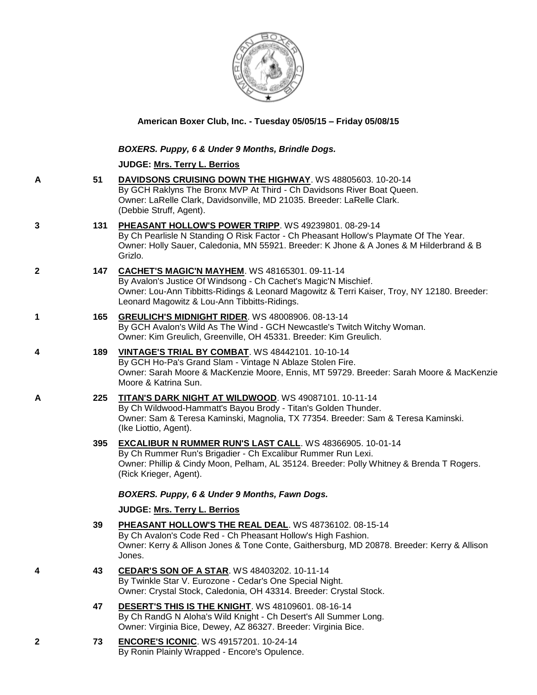

**American Boxer Club, Inc. - Tuesday 05/05/15 – Friday 05/08/15**

## *BOXERS. Puppy, 6 & Under 9 Months, Brindle Dogs.*

## **JUDGE: [Mrs. Terry L. Berrios](http://www.infodog.com/judges/7393/juddat.htm)**

- **A 51 [DAVIDSONS CRUISING DOWN THE HIGHWAY](http://www.infodog.com/files/bdogrsl1.prg;makc=WS%2048805603;mdog=Davidsons_Cruising_Down_The_Highway;wins=all)**. WS 48805603. 10-20-14 By GCH Raklyns The Bronx MVP At Third - Ch Davidsons River Boat Queen. Owner: LaRelle Clark, Davidsonville, MD 21035. Breeder: LaRelle Clark. (Debbie Struff, Agent). **3 131 [PHEASANT HOLLOW'S POWER TRIPP](http://www.infodog.com/files/bdogrsl1.prg;makc=WS%2049239801;mdog=Pheasant_Hollow_s_Power_Tripp;wins=all)**. WS 49239801. 08-29-14 By Ch Pearlisle N Standing O Risk Factor - Ch Pheasant Hollow's Playmate Of The Year. Owner: Holly Sauer, Caledonia, MN 55921. Breeder: K Jhone & A Jones & M Hilderbrand & B Grizlo. **2 147 [CACHET'S MAGIC'N MAYHEM](http://www.infodog.com/files/bdogrsl1.prg;makc=WS%2048165301;mdog=Cachet_s_Magic_N_Mayhem;wins=all)**. WS 48165301. 09-11-14 By Avalon's Justice Of Windsong - Ch Cachet's Magic'N Mischief. Owner: Lou-Ann Tibbitts-Ridings & Leonard Magowitz & Terri Kaiser, Troy, NY 12180. Breeder: Leonard Magowitz & Lou-Ann Tibbitts-Ridings. **1 165 [GREULICH'S MIDNIGHT RIDER](http://www.infodog.com/files/bdogrsl1.prg;makc=WS%2048008906;mdog=Greulich_s_Midnight_Rider;wins=all)**. WS 48008906. 08-13-14 By GCH Avalon's Wild As The Wind - GCH Newcastle's Twitch Witchy Woman. Owner: Kim Greulich, Greenville, OH 45331. Breeder: Kim Greulich.
- **4 189 [VINTAGE'S TRIAL BY COMBAT](http://www.infodog.com/files/bdogrsl1.prg;makc=WS%2048442101;mdog=Vintage_s_Trial_By_Combat;wins=all)**. WS 48442101. 10-10-14 By GCH Ho-Pa's Grand Slam - Vintage N Ablaze Stolen Fire. Owner: Sarah Moore & MacKenzie Moore, Ennis, MT 59729. Breeder: Sarah Moore & MacKenzie Moore & Katrina Sun.
- **A 225 [TITAN'S DARK NIGHT AT WILDWOOD](http://www.infodog.com/files/bdogrsl1.prg;makc=WS%2049087101;mdog=Titan_s_Dark_Night_At_Wildwood;wins=all)**. WS 49087101. 10-11-14 By Ch Wildwood-Hammatt's Bayou Brody - Titan's Golden Thunder. Owner: Sam & Teresa Kaminski, Magnolia, TX 77354. Breeder: Sam & Teresa Kaminski. (Ike Liottio, Agent).
	- **395 [EXCALIBUR N RUMMER RUN'S LAST CALL](http://www.infodog.com/files/bdogrsl1.prg;makc=WS%2048366905;mdog=Excalibur_N_Rummer_Run_s_Last_Call;wins=all)**. WS 48366905. 10-01-14 By Ch Rummer Run's Brigadier - Ch Excalibur Rummer Run Lexi. Owner: Phillip & Cindy Moon, Pelham, AL 35124. Breeder: Polly Whitney & Brenda T Rogers. (Rick Krieger, Agent).

## *BOXERS. Puppy, 6 & Under 9 Months, Fawn Dogs.*

## **JUDGE: [Mrs. Terry L. Berrios](http://www.infodog.com/judges/7393/juddat.htm)**

- **39 [PHEASANT HOLLOW'S THE REAL DEAL](http://www.infodog.com/files/bdogrsl1.prg;makc=WS%2048736102;mdog=Pheasant_Hollow_s_The_Real_Deal;wins=all)**. WS 48736102. 08-15-14 By Ch Avalon's Code Red - Ch Pheasant Hollow's High Fashion. Owner: Kerry & Allison Jones & Tone Conte, Gaithersburg, MD 20878. Breeder: Kerry & Allison Jones.
- **4 43 [CEDAR'S SON OF A STAR](http://www.infodog.com/files/bdogrsl1.prg;makc=WS%2048403202;mdog=Cedar_s_Son_Of_A_Star;wins=all)**. WS 48403202. 10-11-14 By Twinkle Star V. Eurozone - Cedar's One Special Night. Owner: Crystal Stock, Caledonia, OH 43314. Breeder: Crystal Stock.
	- **47 [DESERT'S THIS IS THE KNIGHT](http://www.infodog.com/files/bdogrsl1.prg;makc=WS%2048109601;mdog=Desert_s_This_Is_The_Knight;wins=all)**. WS 48109601. 08-16-14 By Ch RandG N Aloha's Wild Knight - Ch Desert's All Summer Long. Owner: Virginia Bice, Dewey, AZ 86327. Breeder: Virginia Bice.
- **2 73 [ENCORE'S ICONIC](http://www.infodog.com/files/bdogrsl1.prg;makc=WS%2049157201;mdog=Encore_s_Iconic;wins=all)**. WS 49157201. 10-24-14 By Ronin Plainly Wrapped - Encore's Opulence.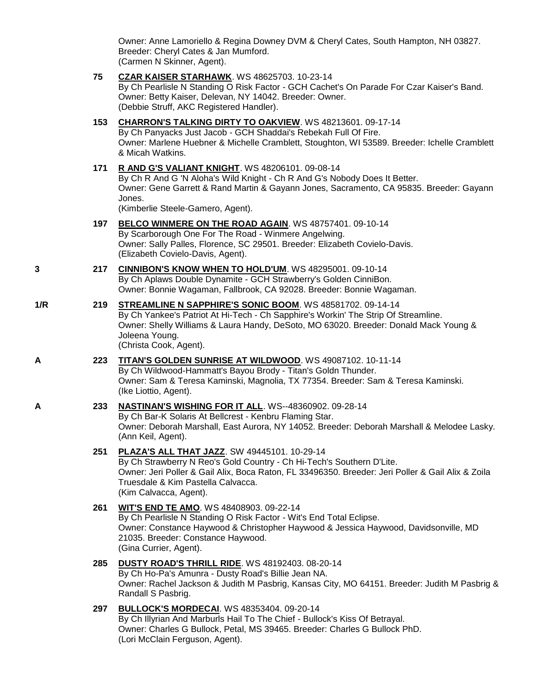Owner: Anne Lamoriello & Regina Downey DVM & Cheryl Cates, South Hampton, NH 03827. Breeder: Cheryl Cates & Jan Mumford. (Carmen N Skinner, Agent).

**75 [CZAR KAISER STARHAWK](http://www.infodog.com/files/bdogrsl1.prg;makc=WS%2048625703;mdog=Czar_Kaiser_Starhawk;wins=all)**. WS 48625703. 10-23-14 By Ch Pearlisle N Standing O Risk Factor - GCH Cachet's On Parade For Czar Kaiser's Band. Owner: Betty Kaiser, Delevan, NY 14042. Breeder: Owner. (Debbie Struff, AKC Registered Handler). **153 [CHARRON'S TALKING DIRTY TO OAKVIEW](http://www.infodog.com/files/bdogrsl1.prg;makc=WS%2048213601;mdog=Charron_s_Talking_Dirty_To_Oakview;wins=all)**. WS 48213601. 09-17-14 By Ch Panyacks Just Jacob - GCH Shaddai's Rebekah Full Of Fire. Owner: Marlene Huebner & Michelle Cramblett, Stoughton, WI 53589. Breeder: Ichelle Cramblett & Micah Watkins. **171 [R AND G'S VALIANT KNIGHT](http://www.infodog.com/files/bdogrsl1.prg;makc=WS%2048206101;mdog=R_And_G_s_Valiant_Knight;wins=all)**. WS 48206101. 09-08-14 By Ch R And G 'N Aloha's Wild Knight - Ch R And G's Nobody Does It Better. Owner: Gene Garrett & Rand Martin & Gayann Jones, Sacramento, CA 95835. Breeder: Gayann Jones. (Kimberlie Steele-Gamero, Agent). **197 [BELCO WINMERE ON THE ROAD AGAIN](http://www.infodog.com/files/bdogrsl1.prg;makc=WS%2048757401;mdog=Belco_Winmere_On_The_Road_Again;wins=all)**. WS 48757401. 09-10-14 By Scarborough One For The Road - Winmere Angelwing. Owner: Sally Palles, Florence, SC 29501. Breeder: Elizabeth Covielo-Davis. (Elizabeth Covielo-Davis, Agent). **3 217 [CINNIBON'S KNOW WHEN TO HOLD'UM](http://www.infodog.com/files/bdogrsl1.prg;makc=WS%2048295001;mdog=CinniBon_s_Know_When_To_Hold_Um;wins=all)**. WS 48295001. 09-10-14 By Ch Aplaws Double Dynamite - GCH Strawberry's Golden CinniBon. Owner: Bonnie Wagaman, Fallbrook, CA 92028. Breeder: Bonnie Wagaman. **1/R 219 [STREAMLINE N SAPPHIRE'S SONIC BOOM](http://www.infodog.com/files/bdogrsl1.prg;makc=WS%2048581702;mdog=Streamline_N_Sapphire_s_Sonic_Boom;wins=all)**. WS 48581702. 09-14-14 By Ch Yankee's Patriot At Hi-Tech - Ch Sapphire's Workin' The Strip Of Streamline. Owner: Shelly Williams & Laura Handy, DeSoto, MO 63020. Breeder: Donald Mack Young & Joleena Young. (Christa Cook, Agent). **A 223 [TITAN'S GOLDEN SUNRISE AT WILDWOOD](http://www.infodog.com/files/bdogrsl1.prg;makc=WS%2049087102;mdog=Titan_s_Golden_Sunrise_At_Wildwood;wins=all)**. WS 49087102. 10-11-14 By Ch Wildwood-Hammatt's Bayou Brody - Titan's Goldn Thunder. Owner: Sam & Teresa Kaminski, Magnolia, TX 77354. Breeder: Sam & Teresa Kaminski. (Ike Liottio, Agent). **A 233 [NASTINAN'S WISHING FOR IT ALL](http://www.infodog.com/files/bdogrsl1.prg;makc=WS--48360902;mdog=Nastinan_s_Wishing_For_It_All;wins=all)**. WS--48360902. 09-28-14 By Ch Bar-K Solaris At Bellcrest - Kenbru Flaming Star. Owner: Deborah Marshall, East Aurora, NY 14052. Breeder: Deborah Marshall & Melodee Lasky. (Ann Keil, Agent). **251 [PLAZA'S ALL THAT JAZZ](http://www.infodog.com/files/bdogrsl1.prg;makc=SW%2049445101;mdog=Plaza_s_All_That_Jazz;wins=all)**. SW 49445101. 10-29-14 By Ch Strawberry N Reo's Gold Country - Ch Hi-Tech's Southern D'Lite. Owner: Jeri Poller & Gail Alix, Boca Raton, FL 33496350. Breeder: Jeri Poller & Gail Alix & Zoila Truesdale & Kim Pastella Calvacca. (Kim Calvacca, Agent). **261 [WIT'S END TE AMO](http://www.infodog.com/files/bdogrsl1.prg;makc=WS%2048408903;mdog=Wit_s_End_Te_Amo;wins=all)**. WS 48408903. 09-22-14 By Ch Pearlisle N Standing O Risk Factor - Wit's End Total Eclipse. Owner: Constance Haywood & Christopher Haywood & Jessica Haywood, Davidsonville, MD 21035. Breeder: Constance Haywood. (Gina Currier, Agent). **285 [DUSTY ROAD'S THRILL RIDE](http://www.infodog.com/files/bdogrsl1.prg;makc=WS%2048192403;mdog=Dusty_Road_s_Thrill_Ride;wins=all)**. WS 48192403. 08-20-14 By Ch Ho-Pa's Amunra - Dusty Road's Billie Jean NA. Owner: Rachel Jackson & Judith M Pasbrig, Kansas City, MO 64151. Breeder: Judith M Pasbrig & Randall S Pasbrig. **297 [BULLOCK'S MORDECAI](http://www.infodog.com/files/bdogrsl1.prg;makc=WS%2048353404;mdog=Bullock_s_Mordecai;wins=all)**. WS 48353404. 09-20-14 By Ch Illyrian And Marburls Hail To The Chief - Bullock's Kiss Of Betrayal. Owner: Charles G Bullock, Petal, MS 39465. Breeder: Charles G Bullock PhD. (Lori McClain Ferguson, Agent).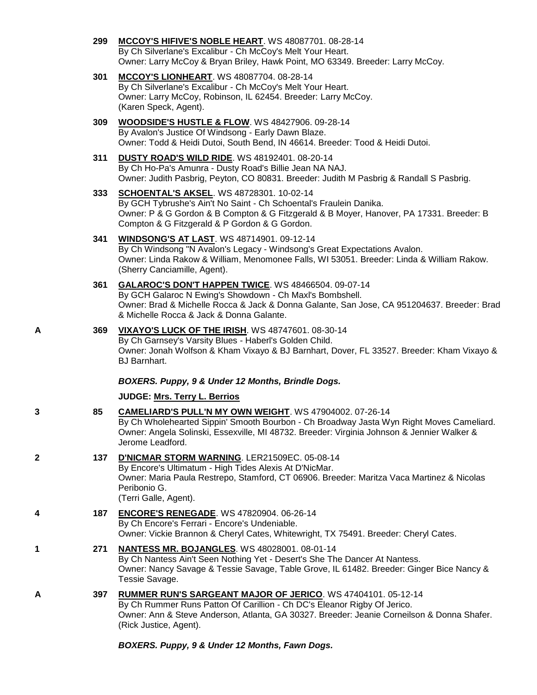- **299 [MCCOY'S HIFIVE'S NOBLE HEART](http://www.infodog.com/files/bdogrsl1.prg;makc=WS%2048087701;mdog=McCoy_s_HiFive_s_Noble_Heart;wins=all)**. WS 48087701. 08-28-14 By Ch Silverlane's Excalibur - Ch McCoy's Melt Your Heart. Owner: Larry McCoy & Bryan Briley, Hawk Point, MO 63349. Breeder: Larry McCoy.
- **301 [MCCOY'S LIONHEART](http://www.infodog.com/files/bdogrsl1.prg;makc=WS%2048087704;mdog=McCoy_s_Lionheart;wins=all)**. WS 48087704. 08-28-14 By Ch Silverlane's Excalibur - Ch McCoy's Melt Your Heart. Owner: Larry McCoy, Robinson, IL 62454. Breeder: Larry McCoy. (Karen Speck, Agent).
- **309 [WOODSIDE'S HUSTLE & FLOW](http://www.infodog.com/files/bdogrsl1.prg;makc=WS%2048427906;mdog=Woodside_s_Hustle_&_Flow;wins=all)**. WS 48427906. 09-28-14 By Avalon's Justice Of Windsong - Early Dawn Blaze. Owner: Todd & Heidi Dutoi, South Bend, IN 46614. Breeder: Tood & Heidi Dutoi.
- **311 [DUSTY ROAD'S WILD RIDE](http://www.infodog.com/files/bdogrsl1.prg;makc=WS%2048192401;mdog=Dusty_Road_s_Wild_Ride;wins=all)**. WS 48192401. 08-20-14 By Ch Ho-Pa's Amunra - Dusty Road's Billie Jean NA NAJ. Owner: Judith Pasbrig, Peyton, CO 80831. Breeder: Judith M Pasbrig & Randall S Pasbrig.
- **333 [SCHOENTAL'S AKSEL](http://www.infodog.com/files/bdogrsl1.prg;makc=WS%2048728301;mdog=Schoental_s_Aksel;wins=all)**. WS 48728301. 10-02-14 By GCH Tybrushe's Ain't No Saint - Ch Schoental's Fraulein Danika. Owner: P & G Gordon & B Compton & G Fitzgerald & B Moyer, Hanover, PA 17331. Breeder: B Compton & G Fitzgerald & P Gordon & G Gordon.
- **341 [WINDSONG'S AT LAST](http://www.infodog.com/files/bdogrsl1.prg;makc=WS%2048714901;mdog=Windsong_s_At_Last;wins=all)**. WS 48714901. 09-12-14 By Ch Windsong "N Avalon's Legacy - Windsong's Great Expectations Avalon. Owner: Linda Rakow & William, Menomonee Falls, WI 53051. Breeder: Linda & William Rakow. (Sherry Canciamille, Agent).
- **361 [GALAROC'S DON'T HAPPEN TWICE](http://www.infodog.com/files/bdogrsl1.prg;makc=WS%2048466504;mdog=Galaroc_s_Don_t_Happen_Twice;wins=all)**. WS 48466504. 09-07-14 By GCH Galaroc N Ewing's Showdown - Ch Maxl's Bombshell. Owner: Brad & Michelle Rocca & Jack & Donna Galante, San Jose, CA 951204637. Breeder: Brad & Michelle Rocca & Jack & Donna Galante.
- **A 369 [VIXAYO'S LUCK OF THE IRISH](http://www.infodog.com/files/bdogrsl1.prg;makc=WS%2048747601;mdog=Vixayo_s_Luck_Of_The_Irish;wins=all)**. WS 48747601. 08-30-14 By Ch Garnsey's Varsity Blues - Haberl's Golden Child. Owner: Jonah Wolfson & Kham Vixayo & BJ Barnhart, Dover, FL 33527. Breeder: Kham Vixayo & BJ Barnhart.

*BOXERS. Puppy, 9 & Under 12 Months, Brindle Dogs.*

## **JUDGE: [Mrs. Terry L. Berrios](http://www.infodog.com/judges/7393/juddat.htm)**

- **3 85 [CAMELIARD'S PULL'N MY OWN WEIGHT](http://www.infodog.com/files/bdogrsl1.prg;makc=WS%2047904002;mdog=Cameliard_s_Pull_n_My_Own_Weight;wins=all)**. WS 47904002. 07-26-14 By Ch Wholehearted Sippin' Smooth Bourbon - Ch Broadway Jasta Wyn Right Moves Cameliard. Owner: Angela Solinski, Essexville, MI 48732. Breeder: Virginia Johnson & Jennier Walker & Jerome Leadford.
- **2 137 [D'NICMAR STORM WARNING](http://www.infodog.com/files/bdogrsl1.prg;makc=LER21509EC;mdog=D_NicMar_Storm_Warning;wins=all)**. LER21509EC. 05-08-14 By Encore's Ultimatum - High Tides Alexis At D'NicMar. Owner: Maria Paula Restrepo, Stamford, CT 06906. Breeder: Maritza Vaca Martinez & Nicolas Peribonio G. (Terri Galle, Agent).
- **4 187 [ENCORE'S RENEGADE](http://www.infodog.com/files/bdogrsl1.prg;makc=WS%2047820904;mdog=Encore_s_Renegade;wins=all)**. WS 47820904. 06-26-14 By Ch Encore's Ferrari - Encore's Undeniable. Owner: Vickie Brannon & Cheryl Cates, Whitewright, TX 75491. Breeder: Cheryl Cates.
- **1 271 [NANTESS MR. BOJANGLES](http://www.infodog.com/files/bdogrsl1.prg;makc=WS%2048028001;mdog=Nantess_Mr._Bojangles;wins=all)**. WS 48028001. 08-01-14 By Ch Nantess Ain't Seen Nothing Yet - Desert's She The Dancer At Nantess. Owner: Nancy Savage & Tessie Savage, Table Grove, IL 61482. Breeder: Ginger Bice Nancy & Tessie Savage.
- **A 397 [RUMMER RUN'S SARGEANT MAJOR OF JERICO](http://www.infodog.com/files/bdogrsl1.prg;makc=WS%2047404101;mdog=Rummer_Run_s_Sargeant_Major_Of_Jerico;wins=all)**. WS 47404101. 05-12-14 By Ch Rummer Runs Patton Of Carillion - Ch DC's Eleanor Rigby Of Jerico. Owner: Ann & Steve Anderson, Atlanta, GA 30327. Breeder: Jeanie Corneilson & Donna Shafer. (Rick Justice, Agent).

*BOXERS. Puppy, 9 & Under 12 Months, Fawn Dogs.*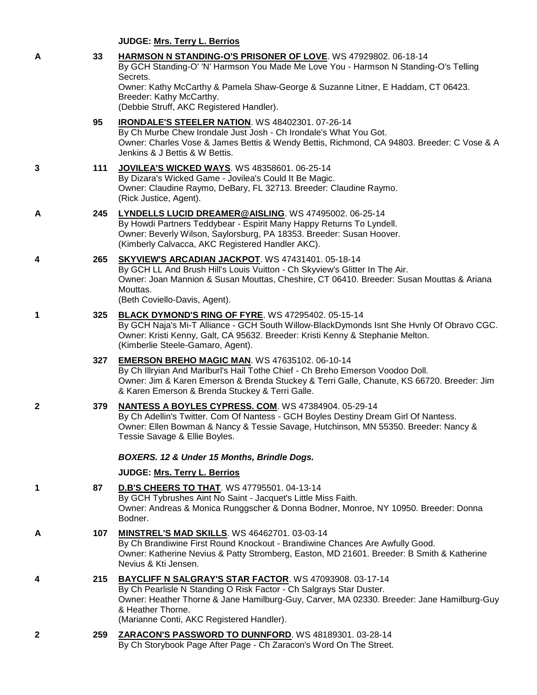**JUDGE: [Mrs. Terry L. Berrios](http://www.infodog.com/judges/7393/juddat.htm)**

|   |     | <b>JUDGE: Mrs. Terry L. Berrios</b>                                                                                                                                                                                                                                                           |
|---|-----|-----------------------------------------------------------------------------------------------------------------------------------------------------------------------------------------------------------------------------------------------------------------------------------------------|
| A | 33  | HARMSON N STANDING-O'S PRISONER OF LOVE. WS 47929802. 06-18-14<br>By GCH Standing-O' 'N' Harmson You Made Me Love You - Harmson N Standing-O's Telling<br>Secrets.                                                                                                                            |
|   |     | Owner: Kathy McCarthy & Pamela Shaw-George & Suzanne Litner, E Haddam, CT 06423.<br>Breeder: Kathy McCarthy.<br>(Debbie Struff, AKC Registered Handler).                                                                                                                                      |
|   | 95  | IRONDALE'S STEELER NATION. WS 48402301. 07-26-14<br>By Ch Murbe Chew Irondale Just Josh - Ch Irondale's What You Got.<br>Owner: Charles Vose & James Bettis & Wendy Bettis, Richmond, CA 94803. Breeder: C Vose & A<br>Jenkins & J Bettis & W Bettis.                                         |
| 3 | 111 | <b>JOVILEA'S WICKED WAYS. WS 48358601. 06-25-14</b><br>By Dizara's Wicked Game - Jovilea's Could It Be Magic.<br>Owner: Claudine Raymo, DeBary, FL 32713. Breeder: Claudine Raymo.<br>(Rick Justice, Agent).                                                                                  |
| A | 245 | LYNDELLS LUCID DREAMER@AISLING. WS 47495002. 06-25-14<br>By Howdi Partners Teddybear - Espirit Many Happy Returns To Lyndell.<br>Owner: Beverly Wilson, Saylorsburg, PA 18353. Breeder: Susan Hoover.<br>(Kimberly Calvacca, AKC Registered Handler AKC).                                     |
| 4 | 265 | SKYVIEW'S ARCADIAN JACKPOT. WS 47431401. 05-18-14<br>By GCH LL And Brush Hill's Louis Vuitton - Ch Skyview's Glitter In The Air.<br>Owner: Joan Mannion & Susan Mouttas, Cheshire, CT 06410. Breeder: Susan Mouttas & Ariana<br>Mouttas.<br>(Beth Coviello-Davis, Agent).                     |
| 1 | 325 | BLACK DYMOND'S RING OF FYRE. WS 47295402. 05-15-14<br>By GCH Naja's Mi-T Alliance - GCH South Willow-BlackDymonds Isnt She Hvnly Of Obravo CGC.<br>Owner: Kristi Kenny, Galt, CA 95632. Breeder: Kristi Kenny & Stephanie Melton.<br>(Kimberlie Steele-Gamaro, Agent).                        |
|   | 327 | <b>EMERSON BREHO MAGIC MAN. WS 47635102. 06-10-14</b><br>By Ch Illryian And Marlburl's Hail Tothe Chief - Ch Breho Emerson Voodoo Doll.<br>Owner: Jim & Karen Emerson & Brenda Stuckey & Terri Galle, Chanute, KS 66720. Breeder: Jim<br>& Karen Emerson & Brenda Stuckey & Terri Galle.      |
| 2 | 379 | <b>NANTESS A BOYLES CYPRESS. COM. WS 47384904. 05-29-14</b><br>By Ch Adellin's Twitter. Com Of Nantess - GCH Boyles Destiny Dream Girl Of Nantess.<br>Owner: Ellen Bowman & Nancy & Tessie Savage, Hutchinson, MN 55350. Breeder: Nancy &<br>Tessie Savage & Ellie Boyles.                    |
|   |     | BOXERS. 12 & Under 15 Months, Brindle Dogs.                                                                                                                                                                                                                                                   |
|   |     | JUDGE: Mrs. Terry L. Berrios                                                                                                                                                                                                                                                                  |
| 1 | 87  | <b>D.B'S CHEERS TO THAT. WS 47795501. 04-13-14</b><br>By GCH Tybrushes Aint No Saint - Jacquet's Little Miss Faith.<br>Owner: Andreas & Monica Runggscher & Donna Bodner, Monroe, NY 10950. Breeder: Donna<br>Bodner.                                                                         |
| A | 107 | MINSTREL'S MAD SKILLS. WS 46462701. 03-03-14<br>By Ch Brandiwine First Round Knockout - Brandiwine Chances Are Awfully Good.<br>Owner: Katherine Nevius & Patty Stromberg, Easton, MD 21601. Breeder: B Smith & Katherine<br>Nevius & Kti Jensen.                                             |
| 4 | 215 | BAYCLIFF N SALGRAY'S STAR FACTOR. WS 47093908. 03-17-14<br>By Ch Pearlisle N Standing O Risk Factor - Ch Salgrays Star Duster.<br>Owner: Heather Thorne & Jane Hamilburg-Guy, Carver, MA 02330. Breeder: Jane Hamilburg-Guy<br>& Heather Thorne.<br>(Marianne Conti, AKC Registered Handler). |
| 2 |     | 259 ZARACON'S PASSWORD TO DUNNFORD. WS 48189301. 03-28-14<br>By Ch Storybook Page After Page - Ch Zaracon's Word On The Street.                                                                                                                                                               |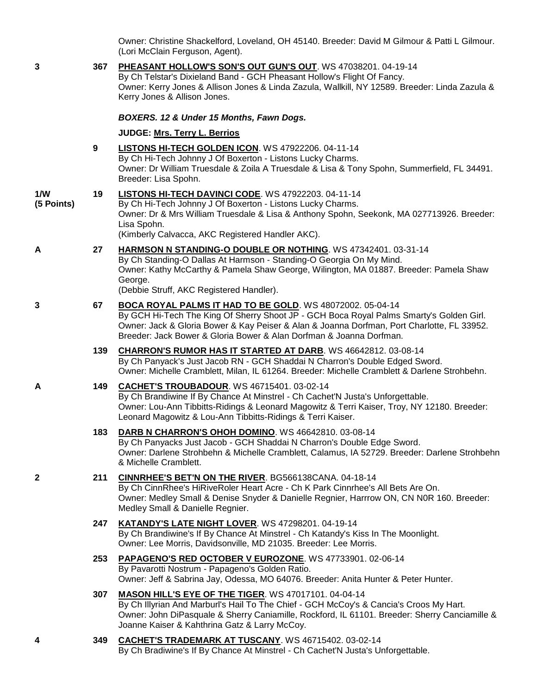Owner: Christine Shackelford, Loveland, OH 45140. Breeder: David M Gilmour & Patti L Gilmour. (Lori McClain Ferguson, Agent).

| 3                 | 367 | PHEASANT HOLLOW'S SON'S OUT GUN'S OUT. WS 47038201. 04-19-14<br>By Ch Telstar's Dixieland Band - GCH Pheasant Hollow's Flight Of Fancy.<br>Owner: Kerry Jones & Allison Jones & Linda Zazula, Wallkill, NY 12589. Breeder: Linda Zazula &<br>Kerry Jones & Allison Jones.                                                 |
|-------------------|-----|---------------------------------------------------------------------------------------------------------------------------------------------------------------------------------------------------------------------------------------------------------------------------------------------------------------------------|
|                   |     | BOXERS. 12 & Under 15 Months, Fawn Dogs.                                                                                                                                                                                                                                                                                  |
|                   |     | JUDGE: Mrs. Terry L. Berrios                                                                                                                                                                                                                                                                                              |
|                   | 9   | LISTONS HI-TECH GOLDEN ICON. WS 47922206. 04-11-14<br>By Ch Hi-Tech Johnny J Of Boxerton - Listons Lucky Charms.<br>Owner: Dr William Truesdale & Zoila A Truesdale & Lisa & Tony Spohn, Summerfield, FL 34491.<br>Breeder: Lisa Spohn.                                                                                   |
| 1/W<br>(5 Points) | 19  | LISTONS HI-TECH DAVINCI CODE. WS 47922203. 04-11-14<br>By Ch Hi-Tech Johnny J Of Boxerton - Listons Lucky Charms.<br>Owner: Dr & Mrs William Truesdale & Lisa & Anthony Spohn, Seekonk, MA 027713926. Breeder:<br>Lisa Spohn.<br>(Kimberly Calvacca, AKC Registered Handler AKC).                                         |
| Α                 | 27  | HARMSON N STANDING-O DOUBLE OR NOTHING. WS 47342401. 03-31-14<br>By Ch Standing-O Dallas At Harmson - Standing-O Georgia On My Mind.<br>Owner: Kathy McCarthy & Pamela Shaw George, Wilington, MA 01887. Breeder: Pamela Shaw<br>George.<br>(Debbie Struff, AKC Registered Handler).                                      |
| 3                 | 67  | BOCA ROYAL PALMS IT HAD TO BE GOLD. WS 48072002. 05-04-14<br>By GCH Hi-Tech The King Of Sherry Shoot JP - GCH Boca Royal Palms Smarty's Golden Girl.<br>Owner: Jack & Gloria Bower & Kay Peiser & Alan & Joanna Dorfman, Port Charlotte, FL 33952.<br>Breeder: Jack Bower & Gloria Bower & Alan Dorfman & Joanna Dorfman. |
|                   | 139 | <b>CHARRON'S RUMOR HAS IT STARTED AT DARB.</b> WS 46642812. 03-08-14<br>By Ch Panyack's Just Jacob RN - GCH Shaddai N Charron's Double Edged Sword.<br>Owner: Michelle Cramblett, Milan, IL 61264. Breeder: Michelle Cramblett & Darlene Strohbehn.                                                                       |
| A                 | 149 | <b>CACHET'S TROUBADOUR. WS 46715401. 03-02-14</b><br>By Ch Brandiwine If By Chance At Minstrel - Ch Cachet'N Justa's Unforgettable.<br>Owner: Lou-Ann Tibbitts-Ridings & Leonard Magowitz & Terri Kaiser, Troy, NY 12180. Breeder:<br>Leonard Magowitz & Lou-Ann Tibbitts-Ridings & Terri Kaiser.                         |
|                   | 183 | DARB N CHARRON'S OHOH DOMINO. WS 46642810. 03-08-14<br>By Ch Panyacks Just Jacob - GCH Shaddai N Charron's Double Edge Sword.<br>Owner: Darlene Strohbehn & Michelle Cramblett, Calamus, IA 52729. Breeder: Darlene Strohbehn<br>& Michelle Cramblett.                                                                    |
| 2                 | 211 | CINNRHEE'S BET'N ON THE RIVER. BG566138CANA. 04-18-14<br>By Ch CinnRhee's HiRiveRoler Heart Acre - Ch K Park Cinnrhee's All Bets Are On.<br>Owner: Medley Small & Denise Snyder & Danielle Regnier, Harrrow ON, CN N0R 160. Breeder:<br>Medley Small & Danielle Regnier.                                                  |
|                   | 247 | KATANDY'S LATE NIGHT LOVER. WS 47298201. 04-19-14<br>By Ch Brandiwine's If By Chance At Minstrel - Ch Katandy's Kiss In The Moonlight.<br>Owner: Lee Morris, Davidsonville, MD 21035. Breeder: Lee Morris.                                                                                                                |
|                   | 253 | PAPAGENO'S RED OCTOBER V EUROZONE. WS 47733901. 02-06-14<br>By Pavarotti Nostrum - Papageno's Golden Ratio.<br>Owner: Jeff & Sabrina Jay, Odessa, MO 64076. Breeder: Anita Hunter & Peter Hunter.                                                                                                                         |
|                   | 307 | MASON HILL'S EYE OF THE TIGER. WS 47017101. 04-04-14<br>By Ch Illyrian And Marburl's Hail To The Chief - GCH McCoy's & Cancia's Croos My Hart.<br>Owner: John DiPasquale & Sherry Caniamille, Rockford, IL 61101. Breeder: Sherry Canciamille &<br>Joanne Kaiser & Kahthrina Gatz & Larry McCoy.                          |
|                   | 349 | CACHET'S TRADEMARK AT TUSCANY. WS 46715402. 03-02-14                                                                                                                                                                                                                                                                      |

By Ch Bradiwine's If By Chance At Minstrel - Ch Cachet'N Justa's Unforgettable.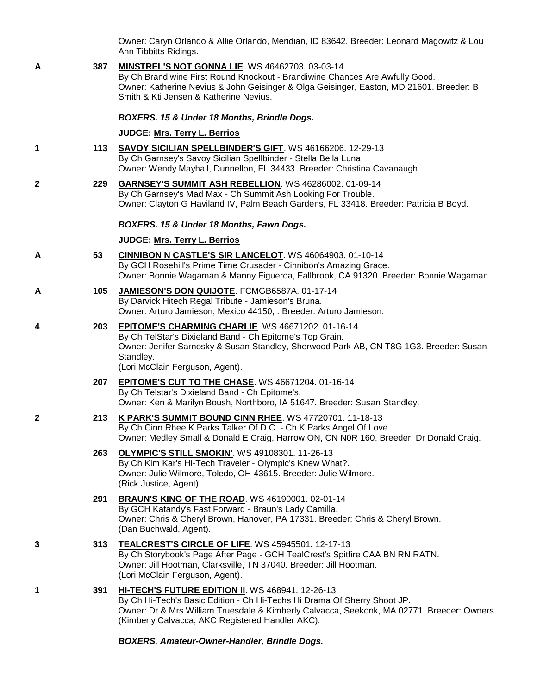Owner: Caryn Orlando & Allie Orlando, Meridian, ID 83642. Breeder: Leonard Magowitz & Lou Ann Tibbitts Ridings.

**A 387 [MINSTREL'S NOT GONNA LIE](http://www.infodog.com/files/bdogrsl1.prg;makc=WS%2046462703;mdog=Minstrel_s_Not_Gonna_Lie;wins=all)**. WS 46462703. 03-03-14 By Ch Brandiwine First Round Knockout - Brandiwine Chances Are Awfully Good. Owner: Katherine Nevius & John Geisinger & Olga Geisinger, Easton, MD 21601. Breeder: B Smith & Kti Jensen & Katherine Nevius. *BOXERS. 15 & Under 18 Months, Brindle Dogs.* **JUDGE: [Mrs. Terry L. Berrios](http://www.infodog.com/judges/7393/juddat.htm) 1 113 [SAVOY SICILIAN SPELLBINDER'S GIFT](http://www.infodog.com/files/bdogrsl1.prg;makc=WS%2046166206;mdog=Savoy_Sicilian_Spellbinder_s_Gift;wins=all)**. WS 46166206. 12-29-13 By Ch Garnsey's Savoy Sicilian Spellbinder - Stella Bella Luna. Owner: Wendy Mayhall, Dunnellon, FL 34433. Breeder: Christina Cavanaugh. **2 229 [GARNSEY'S SUMMIT ASH REBELLION](http://www.infodog.com/files/bdogrsl1.prg;makc=WS%2046286002;mdog=Garnsey_s_Summit_Ash_Rebellion;wins=all)**. WS 46286002. 01-09-14 By Ch Garnsey's Mad Max - Ch Summit Ash Looking For Trouble. Owner: Clayton G Haviland IV, Palm Beach Gardens, FL 33418. Breeder: Patricia B Boyd. *BOXERS. 15 & Under 18 Months, Fawn Dogs.* **JUDGE: [Mrs. Terry L. Berrios](http://www.infodog.com/judges/7393/juddat.htm) A 53 [CINNIBON N CASTLE'S SIR LANCELOT](http://www.infodog.com/files/bdogrsl1.prg;makc=WS%2046064903;mdog=Cinnibon_N_Castle_s_Sir_Lancelot;wins=all)**. WS 46064903. 01-10-14 By GCH Rosehill's Prime Time Crusader - Cinnibon's Amazing Grace. Owner: Bonnie Wagaman & Manny Figueroa, Fallbrook, CA 91320. Breeder: Bonnie Wagaman. **A 105 [JAMIESON'S DON QUIJOTE](http://www.infodog.com/files/bdogrsl1.prg;makc=FCMGB6587A;mdog=Jamieson_s_Don_Quijote;wins=all)**. FCMGB6587A. 01-17-14 By Darvick Hitech Regal Tribute - Jamieson's Bruna. Owner: Arturo Jamieson, Mexico 44150, . Breeder: Arturo Jamieson. **4 203 [EPITOME'S CHARMING CHARLIE](http://www.infodog.com/files/bdogrsl1.prg;makc=WS%2046671202;mdog=Epitome_s_Charming_Charlie;wins=all)**. WS 46671202. 01-16-14 By Ch TelStar's Dixieland Band - Ch Epitome's Top Grain. Owner: Jenifer Sarnosky & Susan Standley, Sherwood Park AB, CN T8G 1G3. Breeder: Susan Standley. (Lori McClain Ferguson, Agent). **207 [EPITOME'S CUT TO THE CHASE](http://www.infodog.com/files/bdogrsl1.prg;makc=WS%2046671204;mdog=Epitome_s_Cut_To_The_Chase;wins=all)**. WS 46671204. 01-16-14 By Ch Telstar's Dixieland Band - Ch Epitome's. Owner: Ken & Marilyn Boush, Northboro, IA 51647. Breeder: Susan Standley. **2 213 [K PARK'S SUMMIT BOUND CINN RHEE](http://www.infodog.com/files/bdogrsl1.prg;makc=WS%2047720701;mdog=K_Park_s_Summit_Bound_Cinn_Rhee;wins=all)**. WS 47720701. 11-18-13 By Ch Cinn Rhee K Parks Talker Of D.C. - Ch K Parks Angel Of Love. Owner: Medley Small & Donald E Craig, Harrow ON, CN N0R 160. Breeder: Dr Donald Craig. **263 [OLYMPIC'S STILL SMOKIN'](http://www.infodog.com/files/bdogrsl1.prg;makc=WS%2049108301;mdog=Olympic_s_Still_Smokin_;wins=all)**. WS 49108301. 11-26-13 By Ch Kim Kar's Hi-Tech Traveler - Olympic's Knew What?. Owner: Julie Wilmore, Toledo, OH 43615. Breeder: Julie Wilmore. (Rick Justice, Agent). **291 [BRAUN'S KING OF THE ROAD](http://www.infodog.com/files/bdogrsl1.prg;makc=WS%2046190001;mdog=Braun_s_King_Of_The_Road;wins=all)**. WS 46190001. 02-01-14 By GCH Katandy's Fast Forward - Braun's Lady Camilla. Owner: Chris & Cheryl Brown, Hanover, PA 17331. Breeder: Chris & Cheryl Brown. (Dan Buchwald, Agent). **3 313 [TEALCREST'S CIRCLE OF LIFE](http://www.infodog.com/files/bdogrsl1.prg;makc=WS%2045945501;mdog=TealCrest_s_Circle_Of_Life;wins=all)**. WS 45945501. 12-17-13 By Ch Storybook's Page After Page - GCH TealCrest's Spitfire CAA BN RN RATN. Owner: Jill Hootman, Clarksville, TN 37040. Breeder: Jill Hootman. (Lori McClain Ferguson, Agent). **1 391 [HI-TECH'S FUTURE EDITION II](http://www.infodog.com/files/bdogrsl1.prg;makc=WS%20468941;mdog=Hi-Tech_s_Future_Edition_II;wins=all)**. WS 468941. 12-26-13 By Ch Hi-Tech's Basic Edition - Ch Hi-Techs Hi Drama Of Sherry Shoot JP. Owner: Dr & Mrs William Truesdale & Kimberly Calvacca, Seekonk, MA 02771. Breeder: Owners. (Kimberly Calvacca, AKC Registered Handler AKC). *BOXERS. Amateur-Owner-Handler, Brindle Dogs.*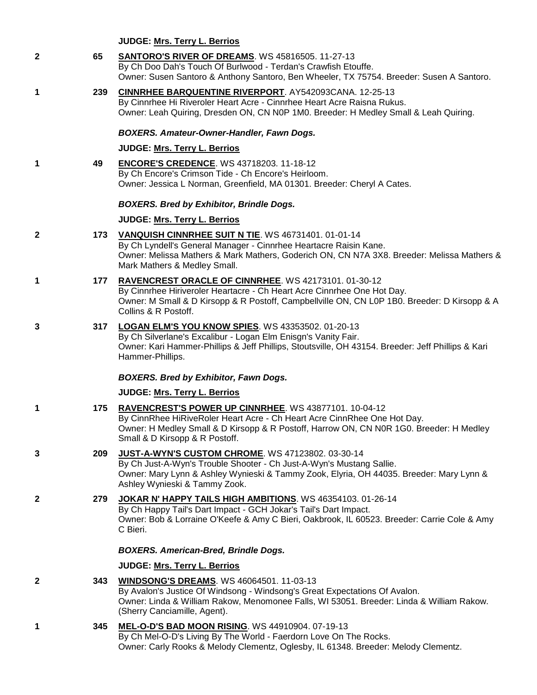## **JUDGE: [Mrs. Terry L. Berrios](http://www.infodog.com/judges/7393/juddat.htm)**

| $\mathbf{2}$ | 65  | <b>SANTORO'S RIVER OF DREAMS. WS 45816505. 11-27-13</b><br>By Ch Doo Dah's Touch Of Burlwood - Terdan's Crawfish Etouffe.<br>Owner: Susen Santoro & Anthony Santoro, Ben Wheeler, TX 75754. Breeder: Susen A Santoro.                                          |
|--------------|-----|----------------------------------------------------------------------------------------------------------------------------------------------------------------------------------------------------------------------------------------------------------------|
| $\mathbf 1$  | 239 | <b>CINNRHEE BARQUENTINE RIVERPORT. AY542093CANA. 12-25-13</b><br>By Cinnrhee Hi Riveroler Heart Acre - Cinnrhee Heart Acre Raisna Rukus.<br>Owner: Leah Quiring, Dresden ON, CN N0P 1M0. Breeder: H Medley Small & Leah Quiring.                               |
|              |     | BOXERS. Amateur-Owner-Handler, Fawn Dogs.                                                                                                                                                                                                                      |
|              |     | JUDGE: Mrs. Terry L. Berrios                                                                                                                                                                                                                                   |
| $\mathbf 1$  | 49  | <b>ENCORE'S CREDENCE.</b> WS 43718203. 11-18-12<br>By Ch Encore's Crimson Tide - Ch Encore's Heirloom.<br>Owner: Jessica L Norman, Greenfield, MA 01301. Breeder: Cheryl A Cates.                                                                              |
|              |     | <b>BOXERS. Bred by Exhibitor, Brindle Dogs.</b>                                                                                                                                                                                                                |
|              |     | JUDGE: Mrs. Terry L. Berrios                                                                                                                                                                                                                                   |
| $\mathbf{2}$ | 173 | VANQUISH CINNRHEE SUIT N TIE. WS 46731401. 01-01-14<br>By Ch Lyndell's General Manager - Cinnrhee Heartacre Raisin Kane.<br>Owner: Melissa Mathers & Mark Mathers, Goderich ON, CN N7A 3X8. Breeder: Melissa Mathers &<br>Mark Mathers & Medley Small.         |
| $\mathbf 1$  | 177 | RAVENCREST ORACLE OF CINNRHEE. WS 42173101. 01-30-12<br>By Cinnrhee Hiriveroler Heartacre - Ch Heart Acre Cinnrhee One Hot Day.<br>Owner: M Small & D Kirsopp & R Postoff, Campbellville ON, CN L0P 1B0. Breeder: D Kirsopp & A<br>Collins & R Postoff.        |
| 3            | 317 | LOGAN ELM'S YOU KNOW SPIES. WS 43353502. 01-20-13<br>By Ch Silverlane's Excalibur - Logan Elm Enisgn's Vanity Fair.<br>Owner: Kari Hammer-Phillips & Jeff Phillips, Stoutsville, OH 43154. Breeder: Jeff Phillips & Kari<br>Hammer-Phillips.                   |
|              |     | <b>BOXERS. Bred by Exhibitor, Fawn Dogs.</b>                                                                                                                                                                                                                   |
|              |     | JUDGE: Mrs. Terry L. Berrios                                                                                                                                                                                                                                   |
| 1            | 175 | RAVENCREST'S POWER UP CINNRHEE. WS 43877101. 10-04-12<br>By CinnRhee HiRiveRoler Heart Acre - Ch Heart Acre CinnRhee One Hot Day.<br>Owner: H Medley Small & D Kirsopp & R Postoff, Harrow ON, CN N0R 1G0. Breeder: H Medley<br>Small & D Kirsopp & R Postoff. |
| 3            | 209 | JUST-A-WYN'S CUSTOM CHROME. WS 47123802. 03-30-14<br>By Ch Just-A-Wyn's Trouble Shooter - Ch Just-A-Wyn's Mustang Sallie.<br>Owner: Mary Lynn & Ashley Wynieski & Tammy Zook, Elyria, OH 44035. Breeder: Mary Lynn &<br>Ashley Wynieski & Tammy Zook.          |
| $\mathbf{2}$ | 279 | JOKAR N' HAPPY TAILS HIGH AMBITIONS. WS 46354103. 01-26-14<br>By Ch Happy Tail's Dart Impact - GCH Jokar's Tail's Dart Impact.<br>Owner: Bob & Lorraine O'Keefe & Amy C Bieri, Oakbrook, IL 60523. Breeder: Carrie Cole & Amy<br>C Bieri.                      |
|              |     | <b>BOXERS. American-Bred, Brindle Dogs.</b>                                                                                                                                                                                                                    |
|              |     | JUDGE: Mrs. Terry L. Berrios                                                                                                                                                                                                                                   |
| $\mathbf{2}$ | 343 | <b>WINDSONG'S DREAMS.</b> WS 46064501. 11-03-13<br>By Avalon's Justice Of Windsong - Windsong's Great Expectations Of Avalon.<br>Owner: Linda & William Rakow, Menomonee Falls, WI 53051. Breeder: Linda & William Rakow.<br>(Sherry Canciamille, Agent).      |
| 1            | 345 | MEL-O-D'S BAD MOON RISING. WS 44910904. 07-19-13<br>By Ch Mel-O-D's Living By The World - Faerdorn Love On The Rocks.<br>Owner: Carly Rooks & Melody Clementz, Oglesby, IL 61348. Breeder: Melody Clementz.                                                    |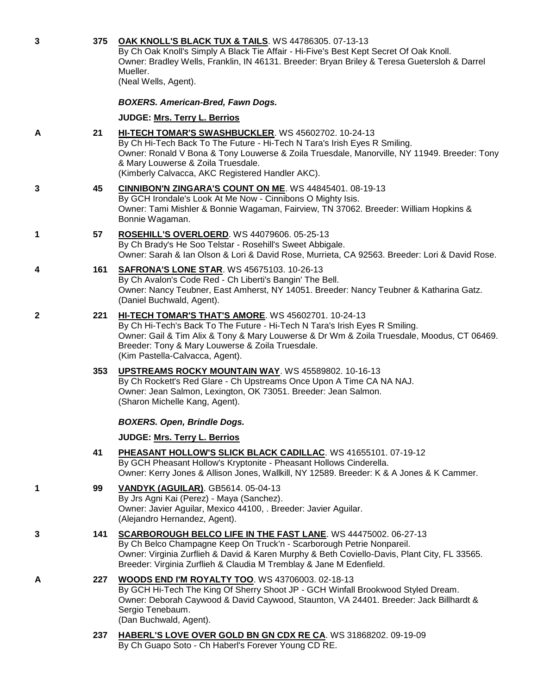| 3 | 375 | OAK KNOLL'S BLACK TUX & TAILS. WS 44786305. 07-13-13<br>By Ch Oak Knoll's Simply A Black Tie Affair - Hi-Five's Best Kept Secret Of Oak Knoll.<br>Owner: Bradley Wells, Franklin, IN 46131. Breeder: Bryan Briley & Teresa Guetersloh & Darrel<br>Mueller.<br>(Neal Wells, Agent).                                        |
|---|-----|---------------------------------------------------------------------------------------------------------------------------------------------------------------------------------------------------------------------------------------------------------------------------------------------------------------------------|
|   |     | <b>BOXERS. American-Bred, Fawn Dogs.</b>                                                                                                                                                                                                                                                                                  |
|   |     | JUDGE: Mrs. Terry L. Berrios                                                                                                                                                                                                                                                                                              |
| Α | 21  | HI-TECH TOMAR'S SWASHBUCKLER. WS 45602702. 10-24-13<br>By Ch Hi-Tech Back To The Future - Hi-Tech N Tara's Irish Eyes R Smiling.<br>Owner: Ronald V Bona & Tony Louwerse & Zoila Truesdale, Manorville, NY 11949. Breeder: Tony<br>& Mary Louwerse & Zoila Truesdale.<br>(Kimberly Calvacca, AKC Registered Handler AKC). |
| 3 | 45  | <b>CINNIBON'N ZINGARA'S COUNT ON ME. WS 44845401. 08-19-13</b><br>By GCH Irondale's Look At Me Now - Cinnibons O Mighty Isis.<br>Owner: Tami Mishler & Bonnie Wagaman, Fairview, TN 37062. Breeder: William Hopkins &<br>Bonnie Wagaman.                                                                                  |
| 1 | 57  | ROSEHILL'S OVERLOERD. WS 44079606. 05-25-13<br>By Ch Brady's He Soo Telstar - Rosehill's Sweet Abbigale.<br>Owner: Sarah & Ian Olson & Lori & David Rose, Murrieta, CA 92563. Breeder: Lori & David Rose.                                                                                                                 |
| 4 | 161 | <b>SAFRONA'S LONE STAR. WS 45675103. 10-26-13</b><br>By Ch Avalon's Code Red - Ch Liberti's Bangin' The Bell.<br>Owner: Nancy Teubner, East Amherst, NY 14051. Breeder: Nancy Teubner & Katharina Gatz.<br>(Daniel Buchwald, Agent).                                                                                      |
| 2 | 221 | HI-TECH TOMAR'S THAT'S AMORE. WS 45602701. 10-24-13<br>By Ch Hi-Tech's Back To The Future - Hi-Tech N Tara's Irish Eyes R Smiling.<br>Owner: Gail & Tim Alix & Tony & Mary Louwerse & Dr Wm & Zoila Truesdale, Moodus, CT 06469.<br>Breeder: Tony & Mary Louwerse & Zoila Truesdale.<br>(Kim Pastella-Calvacca, Agent).   |
|   | 353 | UPSTREAMS ROCKY MOUNTAIN WAY. WS 45589802. 10-16-13<br>By Ch Rockett's Red Glare - Ch Upstreams Once Upon A Time CA NA NAJ.<br>Owner: Jean Salmon, Lexington, OK 73051. Breeder: Jean Salmon.<br>(Sharon Michelle Kang, Agent).                                                                                           |
|   |     | <b>BOXERS. Open, Brindle Dogs.</b>                                                                                                                                                                                                                                                                                        |
|   |     | <b>JUDGE: Mrs. Terry L. Berrios</b>                                                                                                                                                                                                                                                                                       |
|   | 41  | PHEASANT HOLLOW'S SLICK BLACK CADILLAC. WS 41655101. 07-19-12<br>By GCH Pheasant Hollow's Kryptonite - Pheasant Hollows Cinderella.<br>Owner: Kerry Jones & Allison Jones, Wallkill, NY 12589. Breeder: K & A Jones & K Cammer.                                                                                           |
| 1 | 99  | <b>VANDYK (AGUILAR).</b> GB5614. 05-04-13<br>By Jrs Agni Kai (Perez) - Maya (Sanchez).<br>Owner: Javier Aguilar, Mexico 44100, . Breeder: Javier Aguilar.<br>(Alejandro Hernandez, Agent).                                                                                                                                |
| 3 | 141 | SCARBOROUGH BELCO LIFE IN THE FAST LANE. WS 44475002. 06-27-13<br>By Ch Belco Champagne Keep On Truck'n - Scarborough Petrie Nonpareil.<br>Owner: Virginia Zurflieh & David & Karen Murphy & Beth Coviello-Davis, Plant City, FL 33565.<br>Breeder: Virginia Zurflieh & Claudia M Tremblay & Jane M Edenfield.            |
| Α | 227 | <b>WOODS END I'M ROYALTY TOO. WS 43706003. 02-18-13</b><br>By GCH Hi-Tech The King Of Sherry Shoot JP - GCH Winfall Brookwood Styled Dream.<br>Owner: Deborah Caywood & David Caywood, Staunton, VA 24401. Breeder: Jack Billhardt &<br>Sergio Tenebaum.<br>(Dan Buchwald, Agent).                                        |
|   | 237 | HABERL'S LOVE OVER GOLD BN GN CDX RE CA. WS 31868202. 09-19-09<br>By Ch Guapo Soto - Ch Haberl's Forever Young CD RE.                                                                                                                                                                                                     |
|   |     |                                                                                                                                                                                                                                                                                                                           |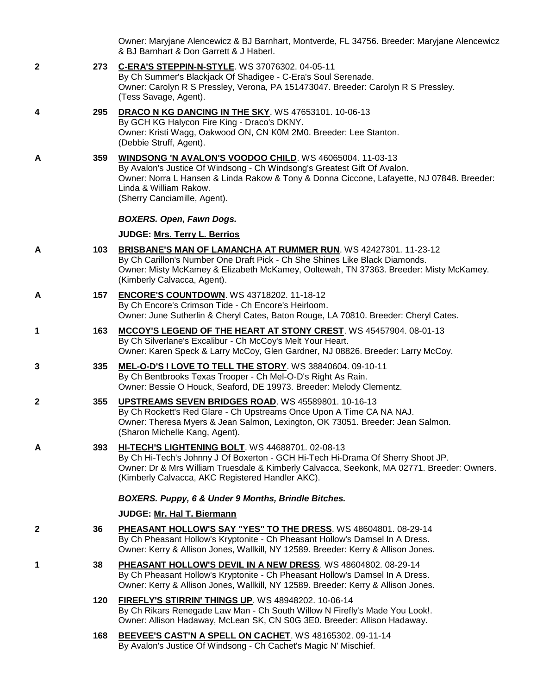Owner: Maryjane Alencewicz & BJ Barnhart, Montverde, FL 34756. Breeder: Maryjane Alencewicz & BJ Barnhart & Don Garrett & J Haberl.

**2 273 [C-ERA'S STEPPIN-N-STYLE](http://www.infodog.com/files/bdogrsl1.prg;makc=WS%2037076302;mdog=C-Era_s_Steppin-N-Style;wins=all)**. WS 37076302. 04-05-11 By Ch Summer's Blackjack Of Shadigee - C-Era's Soul Serenade. Owner: Carolyn R S Pressley, Verona, PA 151473047. Breeder: Carolyn R S Pressley. (Tess Savage, Agent). **4 295 [DRACO N KG DANCING IN THE SKY](http://www.infodog.com/files/bdogrsl1.prg;makc=WS%2047653101;mdog=Draco_N_KG_Dancing_In_The_Sky;wins=all)**. WS 47653101. 10-06-13 By GCH KG Halycon Fire King - Draco's DKNY. Owner: Kristi Wagg, Oakwood ON, CN K0M 2M0. Breeder: Lee Stanton. (Debbie Struff, Agent). **A 359 [WINDSONG 'N AVALON'S VOODOO CHILD](http://www.infodog.com/files/bdogrsl1.prg;makc=WS%2046065004;mdog=Windsong__N_Avalon_s_Voodoo_Child;wins=all)**. WS 46065004. 11-03-13 By Avalon's Justice Of Windsong - Ch Windsong's Greatest Gift Of Avalon. Owner: Norra L Hansen & Linda Rakow & Tony & Donna Ciccone, Lafayette, NJ 07848. Breeder: Linda & William Rakow. (Sherry Canciamille, Agent). *BOXERS. Open, Fawn Dogs.* **JUDGE: [Mrs. Terry L. Berrios](http://www.infodog.com/judges/7393/juddat.htm) A 103 [BRISBANE'S MAN OF LAMANCHA AT RUMMER RUN](http://www.infodog.com/files/bdogrsl1.prg;makc=WS%2042427301;mdog=Brisbane_s_Man_Of_Lamancha_At_Rummer_Run;wins=all)**. WS 42427301. 11-23-12 By Ch Carillon's Number One Draft Pick - Ch She Shines Like Black Diamonds. Owner: Misty McKamey & Elizabeth McKamey, Ooltewah, TN 37363. Breeder: Misty McKamey. (Kimberly Calvacca, Agent). **A 157 [ENCORE'S COUNTDOWN](http://www.infodog.com/files/bdogrsl1.prg;makc=WS%2043718202;mdog=Encore_s_Countdown;wins=all)**. WS 43718202. 11-18-12 By Ch Encore's Crimson Tide - Ch Encore's Heirloom. Owner: June Sutherlin & Cheryl Cates, Baton Rouge, LA 70810. Breeder: Cheryl Cates. **1 163 [MCCOY'S LEGEND OF THE HEART AT STONY CREST](http://www.infodog.com/files/bdogrsl1.prg;makc=WS%2045457904;mdog=McCoy_s_Legend_Of_The_Heart_At_Stony_Crest;wins=all)**. WS 45457904. 08-01-13 By Ch Silverlane's Excalibur - Ch McCoy's Melt Your Heart. Owner: Karen Speck & Larry McCoy, Glen Gardner, NJ 08826. Breeder: Larry McCoy. **3 335 [MEL-O-D'S I LOVE TO TELL THE STORY](http://www.infodog.com/files/bdogrsl1.prg;makc=WS%2038840604;mdog=Mel-O-D_s_I_Love_To_Tell_The_Story;wins=all)**. WS 38840604. 09-10-11 By Ch Bentbrooks Texas Trooper - Ch Mel-O-D's Right As Rain. Owner: Bessie O Houck, Seaford, DE 19973. Breeder: Melody Clementz. **2 355 [UPSTREAMS SEVEN BRIDGES ROAD](http://www.infodog.com/files/bdogrsl1.prg;makc=WS%2045589801;mdog=Upstreams_Seven_Bridges_Road;wins=all)**. WS 45589801. 10-16-13 By Ch Rockett's Red Glare - Ch Upstreams Once Upon A Time CA NA NAJ. Owner: Theresa Myers & Jean Salmon, Lexington, OK 73051. Breeder: Jean Salmon. (Sharon Michelle Kang, Agent). **A 393 [HI-TECH'S LIGHTENING BOLT](http://www.infodog.com/files/bdogrsl1.prg;makc=WS%2044688701;mdog=Hi-Tech_s_Lightening_Bolt;wins=all)**. WS 44688701. 02-08-13 By Ch Hi-Tech's Johnny J Of Boxerton - GCH Hi-Tech Hi-Drama Of Sherry Shoot JP. Owner: Dr & Mrs William Truesdale & Kimberly Calvacca, Seekonk, MA 02771. Breeder: Owners. (Kimberly Calvacca, AKC Registered Handler AKC). *BOXERS. Puppy, 6 & Under 9 Months, Brindle Bitches.* **JUDGE: [Mr. Hal T. Biermann](http://www.infodog.com/judges/3643/juddat.htm) 2 36 [PHEASANT HOLLOW'S SAY "YES" TO THE DRESS](http://www.infodog.com/files/bdogrsl1.prg;makc=WS%2048604801;mdog=Pheasant_Hollow_s_Say__Yes__To_The_Dress;wins=all)**. WS 48604801. 08-29-14 By Ch Pheasant Hollow's Kryptonite - Ch Pheasant Hollow's Damsel In A Dress. Owner: Kerry & Allison Jones, Wallkill, NY 12589. Breeder: Kerry & Allison Jones. **1 38 [PHEASANT HOLLOW'S DEVIL IN A NEW DRESS](http://www.infodog.com/files/bdogrsl1.prg;makc=WS%2048604802;mdog=Pheasant_Hollow_s_Devil_In_A_New_Dress;wins=all)**. WS 48604802. 08-29-14 By Ch Pheasant Hollow's Kryptonite - Ch Pheasant Hollow's Damsel In A Dress. Owner: Kerry & Allison Jones, Wallkill, NY 12589. Breeder: Kerry & Allison Jones. **120 [FIREFLY'S STIRRIN' THINGS UP](http://www.infodog.com/files/bdogrsl1.prg;makc=WS%2048948202;mdog=Firefly_s_Stirrin__Things_Up;wins=all)**. WS 48948202. 10-06-14 By Ch Rikars Renegade Law Man - Ch South Willow N Firefly's Made You Look!. Owner: Allison Hadaway, McLean SK, CN S0G 3E0. Breeder: Allison Hadaway. **168 [BEEVEE'S CAST'N A SPELL ON CACHET](http://www.infodog.com/files/bdogrsl1.prg;makc=WS%2048165302;mdog=BeeVee_s_Cast_N_A_Spell_On_Cachet;wins=all)**. WS 48165302. 09-11-14 By Avalon's Justice Of Windsong - Ch Cachet's Magic N' Mischief.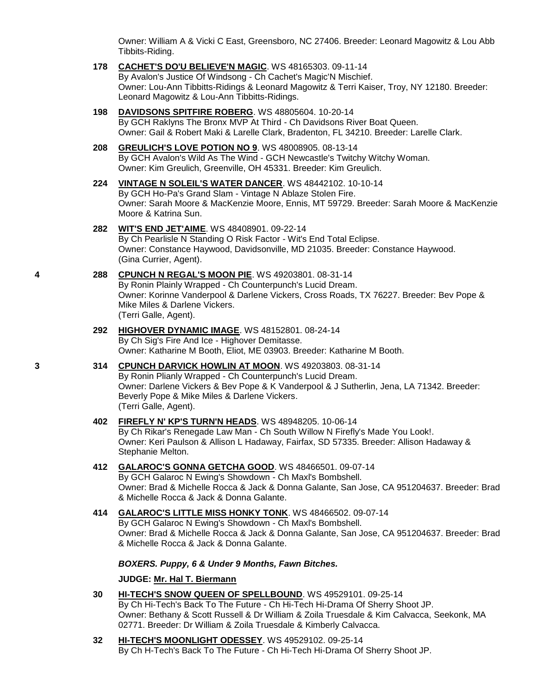Owner: William A & Vicki C East, Greensboro, NC 27406. Breeder: Leonard Magowitz & Lou Abb Tibbits-Riding.

- **178 [CACHET'S DO'U BELIEVE'N MAGIC](http://www.infodog.com/files/bdogrsl1.prg;makc=WS%2048165303;mdog=Cachet_s_Do_U_Believe_N_Magic;wins=all)**. WS 48165303. 09-11-14 By Avalon's Justice Of Windsong - Ch Cachet's Magic'N Mischief. Owner: Lou-Ann Tibbitts-Ridings & Leonard Magowitz & Terri Kaiser, Troy, NY 12180. Breeder: Leonard Magowitz & Lou-Ann Tibbitts-Ridings.
- **198 [DAVIDSONS SPITFIRE ROBERG](http://www.infodog.com/files/bdogrsl1.prg;makc=WS%2048805604;mdog=Davidsons_Spitfire_Roberg;wins=all)**. WS 48805604. 10-20-14 By GCH Raklyns The Bronx MVP At Third - Ch Davidsons River Boat Queen. Owner: Gail & Robert Maki & Larelle Clark, Bradenton, FL 34210. Breeder: Larelle Clark.
- **208 [GREULICH'S LOVE POTION NO 9](http://www.infodog.com/files/bdogrsl1.prg;makc=WS%2048008905;mdog=Greulich_s_Love_Potion_No_9;wins=all)**. WS 48008905. 08-13-14 By GCH Avalon's Wild As The Wind - GCH Newcastle's Twitchy Witchy Woman. Owner: Kim Greulich, Greenville, OH 45331. Breeder: Kim Greulich.
- **224 [VINTAGE N SOLEIL'S WATER DANCER](http://www.infodog.com/files/bdogrsl1.prg;makc=WS%2048442102;mdog=Vintage_N_Soleil_s_Water_Dancer;wins=all)**. WS 48442102. 10-10-14 By GCH Ho-Pa's Grand Slam - Vintage N Ablaze Stolen Fire. Owner: Sarah Moore & MacKenzie Moore, Ennis, MT 59729. Breeder: Sarah Moore & MacKenzie Moore & Katrina Sun.
- **282 [WIT'S END JET'AIME](http://www.infodog.com/files/bdogrsl1.prg;makc=WS%2048408901;mdog=Wit_s_End_JeT_aime;wins=all)**. WS 48408901. 09-22-14 By Ch Pearlisle N Standing O Risk Factor - Wit's End Total Eclipse. Owner: Constance Haywood, Davidsonville, MD 21035. Breeder: Constance Haywood. (Gina Currier, Agent).

## **4 288 [CPUNCH N REGAL'S MOON PIE](http://www.infodog.com/files/bdogrsl1.prg;makc=WS%2049203801;mdog=Cpunch_N_Regal_s_Moon_Pie;wins=all)**. WS 49203801. 08-31-14 By Ronin Plainly Wrapped - Ch Counterpunch's Lucid Dream. Owner: Korinne Vanderpool & Darlene Vickers, Cross Roads, TX 76227. Breeder: Bev Pope & Mike Miles & Darlene Vickers. (Terri Galle, Agent).

- **292 [HIGHOVER DYNAMIC IMAGE](http://www.infodog.com/files/bdogrsl1.prg;makc=WS%2048152801;mdog=Highover_Dynamic_Image;wins=all)**. WS 48152801. 08-24-14 By Ch Sig's Fire And Ice - Highover Demitasse. Owner: Katharine M Booth, Eliot, ME 03903. Breeder: Katharine M Booth.
- **3 314 [CPUNCH DARVICK HOWLIN AT MOON](http://www.infodog.com/files/bdogrsl1.prg;makc=WS%2049203803;mdog=CPunch_Darvick_Howlin_At_Moon;wins=all)**. WS 49203803. 08-31-14 By Ronin Plianly Wrapped - Ch Counterpunch's Lucid Dream. Owner: Darlene Vickers & Bev Pope & K Vanderpool & J Sutherlin, Jena, LA 71342. Breeder: Beverly Pope & Mike Miles & Darlene Vickers. (Terri Galle, Agent).

## **402 [FIREFLY N' KP'S TURN'N HEADS](http://www.infodog.com/files/bdogrsl1.prg;makc=WS%2048948205;mdog=Firefly_N__KP_s_Turn_n_Heads;wins=all)**. WS 48948205. 10-06-14

By Ch Rikar's Renegade Law Man - Ch South Willow N Firefly's Made You Look!. Owner: Keri Paulson & Allison L Hadaway, Fairfax, SD 57335. Breeder: Allison Hadaway & Stephanie Melton.

- **412 [GALAROC'S GONNA GETCHA GOOD](http://www.infodog.com/files/bdogrsl1.prg;makc=WS%2048466501;mdog=Galaroc_s_Gonna_Getcha_Good;wins=all)**. WS 48466501. 09-07-14 By GCH Galaroc N Ewing's Showdown - Ch Maxl's Bombshell. Owner: Brad & Michelle Rocca & Jack & Donna Galante, San Jose, CA 951204637. Breeder: Brad & Michelle Rocca & Jack & Donna Galante.
- **414 [GALAROC'S LITTLE MISS HONKY TONK](http://www.infodog.com/files/bdogrsl1.prg;makc=WS%2048466502;mdog=Galaroc_s_Little_Miss_Honky_Tonk;wins=all)**. WS 48466502. 09-07-14 By GCH Galaroc N Ewing's Showdown - Ch Maxl's Bombshell. Owner: Brad & Michelle Rocca & Jack & Donna Galante, San Jose, CA 951204637. Breeder: Brad & Michelle Rocca & Jack & Donna Galante.

## *BOXERS. Puppy, 6 & Under 9 Months, Fawn Bitches.*

## **JUDGE: [Mr. Hal T. Biermann](http://www.infodog.com/judges/3643/juddat.htm)**

- **30 [HI-TECH'S SNOW QUEEN OF SPELLBOUND](http://www.infodog.com/files/bdogrsl1.prg;makc=WS%2049529101;mdog=Hi-Tech_s_Snow_Queen_Of_Spellbound;wins=all)**. WS 49529101. 09-25-14 By Ch Hi-Tech's Back To The Future - Ch Hi-Tech Hi-Drama Of Sherry Shoot JP. Owner: Bethany & Scott Russell & Dr William & Zoila Truesdale & Kim Calvacca, Seekonk, MA 02771. Breeder: Dr William & Zoila Truesdale & Kimberly Calvacca.
- **32 [HI-TECH'S MOONLIGHT ODESSEY](http://www.infodog.com/files/bdogrsl1.prg;makc=WS%2049529102;mdog=Hi-Tech_s_Moonlight_Odessey;wins=all)**. WS 49529102. 09-25-14 By Ch H-Tech's Back To The Future - Ch Hi-Tech Hi-Drama Of Sherry Shoot JP.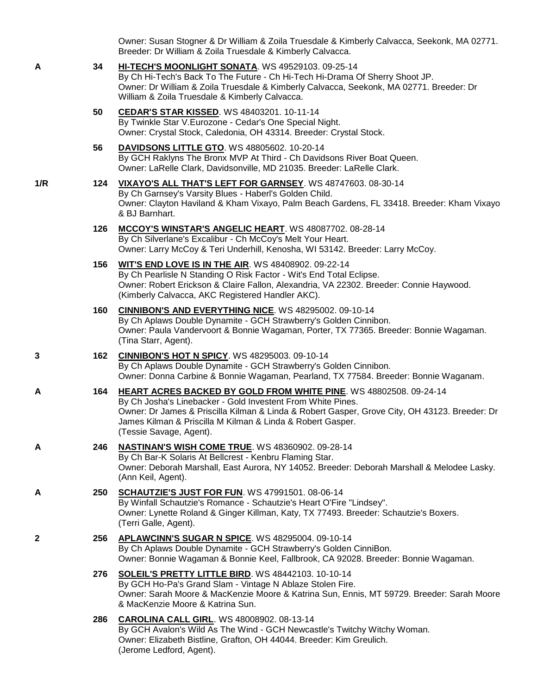Owner: Susan Stogner & Dr William & Zoila Truesdale & Kimberly Calvacca, Seekonk, MA 02771. Breeder: Dr William & Zoila Truesdale & Kimberly Calvacca.

- **A 34 [HI-TECH'S MOONLIGHT SONATA](http://www.infodog.com/files/bdogrsl1.prg;makc=WS%2049529103;mdog=Hi-Tech_s_Moonlight_Sonata;wins=all)**. WS 49529103. 09-25-14 By Ch Hi-Tech's Back To The Future - Ch Hi-Tech Hi-Drama Of Sherry Shoot JP. Owner: Dr William & Zoila Truesdale & Kimberly Calvacca, Seekonk, MA 02771. Breeder: Dr William & Zoila Truesdale & Kimberly Calvacca. **50 [CEDAR'S STAR KISSED](http://www.infodog.com/files/bdogrsl1.prg;makc=WS%2048403201;mdog=Cedar_s_Star_Kissed;wins=all)**. WS 48403201. 10-11-14
	- By Twinkle Star V.Eurozone Cedar's One Special Night. Owner: Crystal Stock, Caledonia, OH 43314. Breeder: Crystal Stock.
	- **56 [DAVIDSONS LITTLE GTO](http://www.infodog.com/files/bdogrsl1.prg;makc=WS%2048805602;mdog=Davidsons_Little_GTO;wins=all)**. WS 48805602. 10-20-14 By GCH Raklyns The Bronx MVP At Third - Ch Davidsons River Boat Queen. Owner: LaRelle Clark, Davidsonville, MD 21035. Breeder: LaRelle Clark.
- **1/R 124 [VIXAYO'S ALL THAT'S LEFT FOR GARNSEY](http://www.infodog.com/files/bdogrsl1.prg;makc=WS%2048747603;mdog=Vixayo_s_All_That_s_Left_For_Garnsey;wins=all)**. WS 48747603. 08-30-14 By Ch Garnsey's Varsity Blues - Haberl's Golden Child. Owner: Clayton Haviland & Kham Vixayo, Palm Beach Gardens, FL 33418. Breeder: Kham Vixayo & BJ Barnhart.
	- **126 [MCCOY'S WINSTAR'S ANGELIC HEART](http://www.infodog.com/files/bdogrsl1.prg;makc=WS%2048087702;mdog=McCoy_s_Winstar_s_Angelic_Heart;wins=all)**. WS 48087702. 08-28-14 By Ch Silverlane's Excalibur - Ch McCoy's Melt Your Heart. Owner: Larry McCoy & Teri Underhill, Kenosha, WI 53142. Breeder: Larry McCoy.
	- **156 [WIT'S END LOVE IS IN THE AIR](http://www.infodog.com/files/bdogrsl1.prg;makc=WS%2048408902;mdog=Wit_s_End_Love_Is_In_The_Air;wins=all)**. WS 48408902. 09-22-14 By Ch Pearlisle N Standing O Risk Factor - Wit's End Total Eclipse. Owner: Robert Erickson & Claire Fallon, Alexandria, VA 22302. Breeder: Connie Haywood. (Kimberly Calvacca, AKC Registered Handler AKC).
	- **160 [CINNIBON'S AND EVERYTHING NICE](http://www.infodog.com/files/bdogrsl1.prg;makc=WS%2048295002;mdog=CinniBon_s_And_Everything_Nice;wins=all)**. WS 48295002. 09-10-14 By Ch Aplaws Double Dynamite - GCH Strawberry's Golden Cinnibon. Owner: Paula Vandervoort & Bonnie Wagaman, Porter, TX 77365. Breeder: Bonnie Wagaman. (Tina Starr, Agent).
- **3 162 [CINNIBON'S HOT N SPICY](http://www.infodog.com/files/bdogrsl1.prg;makc=WS%2048295003;mdog=Cinnibon_s_Hot_N_Spicy;wins=all)**. WS 48295003. 09-10-14 By Ch Aplaws Double Dynamite - GCH Strawberry's Golden Cinnibon. Owner: Donna Carbine & Bonnie Wagaman, Pearland, TX 77584. Breeder: Bonnie Waganam.
- **A 164 [HEART ACRES BACKED BY GOLD FROM WHITE PINE](http://www.infodog.com/files/bdogrsl1.prg;makc=WS%2048802508;mdog=Heart_Acres_Backed_By_Gold_From_White_Pine;wins=all)**. WS 48802508. 09-24-14 By Ch Josha's Linebacker - Gold Investent From White Pines. Owner: Dr James & Priscilla Kilman & Linda & Robert Gasper, Grove City, OH 43123. Breeder: Dr James Kilman & Priscilla M Kilman & Linda & Robert Gasper. (Tessie Savage, Agent).
- **A 246 [NASTINAN'S WISH COME TRUE](http://www.infodog.com/files/bdogrsl1.prg;makc=WS%2048360902;mdog=Nastinan_s_Wish_Come_True;wins=all)**. WS 48360902. 09-28-14 By Ch Bar-K Solaris At Bellcrest - Kenbru Flaming Star. Owner: Deborah Marshall, East Aurora, NY 14052. Breeder: Deborah Marshall & Melodee Lasky. (Ann Keil, Agent).
- **A 250 [SCHAUTZIE'S JUST FOR FUN](http://www.infodog.com/files/bdogrsl1.prg;makc=WS%2047991501;mdog=Schautzie_s_Just_For_Fun;wins=all)**. WS 47991501. 08-06-14 By Winfall Schautzie's Romance - Schautzie's Heart O'Fire "Lindsey". Owner: Lynette Roland & Ginger Killman, Katy, TX 77493. Breeder: Schautzie's Boxers. (Terri Galle, Agent).
- **2 256 [APLAWCINN'S SUGAR N SPICE](http://www.infodog.com/files/bdogrsl1.prg;makc=WS%2048295004;mdog=AplawCinn_s_Sugar_N_Spice;wins=all)**. WS 48295004. 09-10-14 By Ch Aplaws Double Dynamite - GCH Strawberry's Golden CinniBon. Owner: Bonnie Wagaman & Bonnie Keel, Fallbrook, CA 92028. Breeder: Bonnie Wagaman.
	- **276 [SOLEIL'S PRETTY LITTLE BIRD](http://www.infodog.com/files/bdogrsl1.prg;makc=WS%2048442103;mdog=Soleil_s_Pretty_Little_Bird;wins=all)**. WS 48442103. 10-10-14 By GCH Ho-Pa's Grand Slam - Vintage N Ablaze Stolen Fire. Owner: Sarah Moore & MacKenzie Moore & Katrina Sun, Ennis, MT 59729. Breeder: Sarah Moore & MacKenzie Moore & Katrina Sun.
	- **286 [CAROLINA CALL GIRL](http://www.infodog.com/files/bdogrsl1.prg;makc=WS%2048008902;mdog=Carolina_Call_Girl;wins=all)**. WS 48008902. 08-13-14 By GCH Avalon's Wild As The Wind - GCH Newcastle's Twitchy Witchy Woman. Owner: Elizabeth Bistline, Grafton, OH 44044. Breeder: Kim Greulich. (Jerome Ledford, Agent).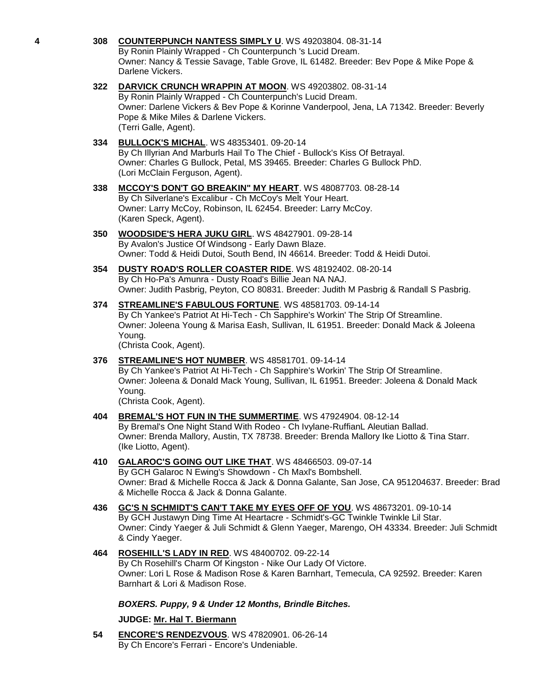- **4 308 [COUNTERPUNCH NANTESS SIMPLY U](http://www.infodog.com/files/bdogrsl1.prg;makc=WS%2049203804;mdog=Counterpunch_Nantess_Simply_U;wins=all)**. WS 49203804. 08-31-14 By Ronin Plainly Wrapped - Ch Counterpunch 's Lucid Dream. Owner: Nancy & Tessie Savage, Table Grove, IL 61482. Breeder: Bev Pope & Mike Pope & Darlene Vickers. **322 [DARVICK CRUNCH WRAPPIN AT MOON](http://www.infodog.com/files/bdogrsl1.prg;makc=WS%2049203802;mdog=Darvick_Crunch_Wrappin_At_Moon;wins=all)**. WS 49203802. 08-31-14 By Ronin Plainly Wrapped - Ch Counterpunch's Lucid Dream. Owner: Darlene Vickers & Bev Pope & Korinne Vanderpool, Jena, LA 71342. Breeder: Beverly Pope & Mike Miles & Darlene Vickers. (Terri Galle, Agent). **334 [BULLOCK'S MICHAL](http://www.infodog.com/files/bdogrsl1.prg;makc=WS%2048353401;mdog=Bullock_s_Michal;wins=all)**. WS 48353401. 09-20-14 By Ch Illyrian And Marburls Hail To The Chief - Bullock's Kiss Of Betrayal. Owner: Charles G Bullock, Petal, MS 39465. Breeder: Charles G Bullock PhD. (Lori McClain Ferguson, Agent). **338 [MCCOY'S DON'T GO BREAKIN" MY HEART](http://www.infodog.com/files/bdogrsl1.prg;makc=WS%2048087703;mdog=McCoy_s_Don_t_Go_Breakin__My_Heart;wins=all)**. WS 48087703. 08-28-14 By Ch Silverlane's Excalibur - Ch McCoy's Melt Your Heart. Owner: Larry McCoy, Robinson, IL 62454. Breeder: Larry McCoy. (Karen Speck, Agent). **350 [WOODSIDE'S HERA JUKU GIRL](http://www.infodog.com/files/bdogrsl1.prg;makc=WS%2048427901;mdog=Woodside_s_Hera_Juku_Girl;wins=all)**. WS 48427901. 09-28-14 By Avalon's Justice Of Windsong - Early Dawn Blaze. Owner: Todd & Heidi Dutoi, South Bend, IN 46614. Breeder: Todd & Heidi Dutoi. **354 [DUSTY ROAD'S ROLLER COASTER RIDE](http://www.infodog.com/files/bdogrsl1.prg;makc=WS%2048192402;mdog=Dusty_Road_s_Roller_Coaster_Ride;wins=all)**. WS 48192402. 08-20-14 By Ch Ho-Pa's Amunra - Dusty Road's Billie Jean NA NAJ. Owner: Judith Pasbrig, Peyton, CO 80831. Breeder: Judith M Pasbrig & Randall S Pasbrig. **374 [STREAMLINE'S FABULOUS FORTUNE](http://www.infodog.com/files/bdogrsl1.prg;makc=WS%2048581703;mdog=Streamline_s_Fabulous_Fortune;wins=all)**. WS 48581703. 09-14-14 By Ch Yankee's Patriot At Hi-Tech - Ch Sapphire's Workin' The Strip Of Streamline. Owner: Joleena Young & Marisa Eash, Sullivan, IL 61951. Breeder: Donald Mack & Joleena Young. (Christa Cook, Agent). **376 [STREAMLINE'S HOT NUMBER](http://www.infodog.com/files/bdogrsl1.prg;makc=WS%2048581701;mdog=Streamline_s_Hot_Number;wins=all)**. WS 48581701. 09-14-14 By Ch Yankee's Patriot At Hi-Tech - Ch Sapphire's Workin' The Strip Of Streamline. Owner: Joleena & Donald Mack Young, Sullivan, IL 61951. Breeder: Joleena & Donald Mack Young. (Christa Cook, Agent). **404 [BREMAL'S HOT FUN IN THE SUMMERTIME](http://www.infodog.com/files/bdogrsl1.prg;makc=WS%2047924904;mdog=Bremal_s_Hot_Fun_In_The_Summertime;wins=all)**. WS 47924904. 08-12-14 By Bremal's One Night Stand With Rodeo - Ch Ivylane-RuffianL Aleutian Ballad. Owner: Brenda Mallory, Austin, TX 78738. Breeder: Brenda Mallory Ike Liotto & Tina Starr. (Ike Liotto, Agent). **410 [GALAROC'S GOING OUT LIKE THAT](http://www.infodog.com/files/bdogrsl1.prg;makc=WS%2048466503;mdog=Galaroc_s_Going_Out_Like_That;wins=all)**. WS 48466503. 09-07-14 By GCH Galaroc N Ewing's Showdown - Ch Maxl's Bombshell. Owner: Brad & Michelle Rocca & Jack & Donna Galante, San Jose, CA 951204637. Breeder: Brad & Michelle Rocca & Jack & Donna Galante. **436 [GC'S N SCHMIDT'S CAN'T TAKE MY EYES OFF OF YOU](http://www.infodog.com/files/bdogrsl1.prg;makc=WS%2048673201;mdog=GC_s_N_Schmidt_s_Can_t_Take_My_Eyes_Off_Of_You;wins=all)**. WS 48673201. 09-10-14 By GCH Justawyn Ding Time At Heartacre - Schmidt's-GC Twinkle Twinkle Lil Star. Owner: Cindy Yaeger & Juli Schmidt & Glenn Yaeger, Marengo, OH 43334. Breeder: Juli Schmidt & Cindy Yaeger. **464 [ROSEHILL'S LADY IN RED](http://www.infodog.com/files/bdogrsl1.prg;makc=WS%2048400702;mdog=Rosehill_s_Lady_In_Red;wins=all)**. WS 48400702. 09-22-14 By Ch Rosehill's Charm Of Kingston - Nike Our Lady Of Victore. Owner: Lori L Rose & Madison Rose & Karen Barnhart, Temecula, CA 92592. Breeder: Karen Barnhart & Lori & Madison Rose. *BOXERS. Puppy, 9 & Under 12 Months, Brindle Bitches.* **JUDGE: [Mr. Hal T. Biermann](http://www.infodog.com/judges/3643/juddat.htm)**
	- **54 [ENCORE'S RENDEZVOUS](http://www.infodog.com/files/bdogrsl1.prg;makc=WS%2047820901;mdog=Encore_s_Rendezvous;wins=all)**. WS 47820901. 06-26-14 By Ch Encore's Ferrari - Encore's Undeniable.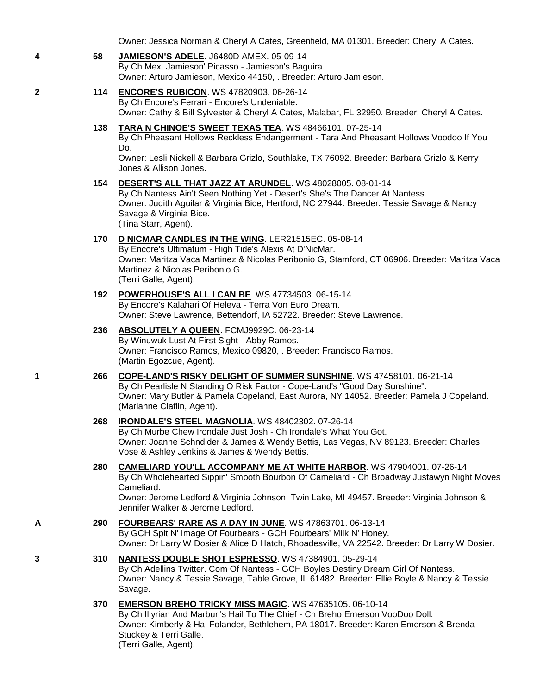Owner: Jessica Norman & Cheryl A Cates, Greenfield, MA 01301. Breeder: Cheryl A Cates.

- **4 58 [JAMIESON'S ADELE](http://www.infodog.com/files/bdogrsl1.prg;makc=J6480D%20AMEX;mdog=Jamieson_s_Adele;wins=all)**. J6480D AMEX. 05-09-14 By Ch Mex. Jamieson' Picasso - Jamieson's Baguira. Owner: Arturo Jamieson, Mexico 44150, . Breeder: Arturo Jamieson.
- **2 114 [ENCORE'S RUBICON](http://www.infodog.com/files/bdogrsl1.prg;makc=WS%2047820903;mdog=Encore_s_Rubicon;wins=all)**. WS 47820903. 06-26-14 By Ch Encore's Ferrari - Encore's Undeniable. Owner: Cathy & Bill Sylvester & Cheryl A Cates, Malabar, FL 32950. Breeder: Cheryl A Cates.
	- **138 [TARA N CHINOE'S SWEET TEXAS TEA](http://www.infodog.com/files/bdogrsl1.prg;makc=WS%2048466101;mdog=Tara_N_Chinoe_s_Sweet_Texas_Tea;wins=all)**. WS 48466101. 07-25-14 By Ch Pheasant Hollows Reckless Endangerment - Tara And Pheasant Hollows Voodoo If You Do.

Owner: Lesli Nickell & Barbara Grizlo, Southlake, TX 76092. Breeder: Barbara Grizlo & Kerry Jones & Allison Jones.

**154 [DESERT'S ALL THAT JAZZ AT ARUNDEL](http://www.infodog.com/files/bdogrsl1.prg;makc=WS%2048028005;mdog=Desert_s_All_That_Jazz_At_Arundel;wins=all)**. WS 48028005. 08-01-14

By Ch Nantess Ain't Seen Nothing Yet - Desert's She's The Dancer At Nantess. Owner: Judith Aguilar & Virginia Bice, Hertford, NC 27944. Breeder: Tessie Savage & Nancy Savage & Virginia Bice. (Tina Starr, Agent).

**170 [D NICMAR CANDLES IN THE WING](http://www.infodog.com/files/bdogrsl1.prg;makc=LER21515EC;mdog=D_NicMar_Candles_In_The_Wing;wins=all)**. LER21515EC. 05-08-14 By Encore's Ultimatum - High Tide's Alexis At D'NicMar. Owner: Maritza Vaca Martinez & Nicolas Peribonio G, Stamford, CT 06906. Breeder: Maritza Vaca

Martinez & Nicolas Peribonio G. (Terri Galle, Agent). **192 [POWERHOUSE'S ALL I CAN BE](http://www.infodog.com/files/bdogrsl1.prg;makc=WS%2047734503;mdog=PowerHouse_s_All_I_Can_Be;wins=all)**. WS 47734503. 06-15-14

- By Encore's Kalahari Of Heleva Terra Von Euro Dream. Owner: Steve Lawrence, Bettendorf, IA 52722. Breeder: Steve Lawrence.
- **236 [ABSOLUTELY A QUEEN](http://www.infodog.com/files/bdogrsl1.prg;makc=FCMJ9929C;mdog=Absolutely_A_Queen;wins=all)**. FCMJ9929C. 06-23-14 By Winuwuk Lust At First Sight - Abby Ramos. Owner: Francisco Ramos, Mexico 09820, . Breeder: Francisco Ramos. (Martin Egozcue, Agent).
- **1 266 [COPE-LAND'S RISKY DELIGHT OF SUMMER SUNSHINE](http://www.infodog.com/files/bdogrsl1.prg;makc=WS%2047458101;mdog=Cope-Land_s_Risky_Delight_Of_Summer_Sunshine;wins=all)**. WS 47458101. 06-21-14 By Ch Pearlisle N Standing O Risk Factor - Cope-Land's "Good Day Sunshine". Owner: Mary Butler & Pamela Copeland, East Aurora, NY 14052. Breeder: Pamela J Copeland. (Marianne Claflin, Agent).

## **268 [IRONDALE'S STEEL MAGNOLIA](http://www.infodog.com/files/bdogrsl1.prg;makc=WS%2048402302;mdog=Irondale_s_Steel_Magnolia;wins=all)**. WS 48402302. 07-26-14

By Ch Murbe Chew Irondale Just Josh - Ch Irondale's What You Got. Owner: Joanne Schndider & James & Wendy Bettis, Las Vegas, NV 89123. Breeder: Charles Vose & Ashley Jenkins & James & Wendy Bettis.

- **280 [CAMELIARD YOU'LL ACCOMPANY ME AT WHITE HARBOR](http://www.infodog.com/files/bdogrsl1.prg;makc=WS%2047904001;mdog=Cameliard_You_ll_Accompany_Me_At_White_Harbor;wins=all)**. WS 47904001. 07-26-14 By Ch Wholehearted Sippin' Smooth Bourbon Of Cameliard - Ch Broadway Justawyn Night Moves Cameliard. Owner: Jerome Ledford & Virginia Johnson, Twin Lake, MI 49457. Breeder: Virginia Johnson & Jennifer Walker & Jerome Ledford.
- **A 290 [FOURBEARS' RARE AS A DAY IN JUNE](http://www.infodog.com/files/bdogrsl1.prg;makc=WS%2047863701;mdog=Fourbears__Rare_As_A_Day_In_June;wins=all)**. WS 47863701. 06-13-14 By GCH Spit N' Image Of Fourbears - GCH Fourbears' Milk N' Honey. Owner: Dr Larry W Dosier & Alice D Hatch, Rhoadesville, VA 22542. Breeder: Dr Larry W Dosier.
- **3 310 [NANTESS DOUBLE SHOT ESPRESSO](http://www.infodog.com/files/bdogrsl1.prg;makc=WS%2047384901;mdog=Nantess_Double_Shot_Espresso;wins=all)**. WS 47384901. 05-29-14 By Ch Adellins Twitter. Com Of Nantess - GCH Boyles Destiny Dream Girl Of Nantess. Owner: Nancy & Tessie Savage, Table Grove, IL 61482. Breeder: Ellie Boyle & Nancy & Tessie Savage.
	- **370 [EMERSON BREHO TRICKY MISS MAGIC](http://www.infodog.com/files/bdogrsl1.prg;makc=WS%2047635105;mdog=Emerson_Breho_Tricky_Miss_Magic;wins=all)**. WS 47635105. 06-10-14 By Ch Illyrian And Marburl's Hail To The Chief - Ch Breho Emerson VooDoo Doll. Owner: Kimberly & Hal Folander, Bethlehem, PA 18017. Breeder: Karen Emerson & Brenda Stuckey & Terri Galle. (Terri Galle, Agent).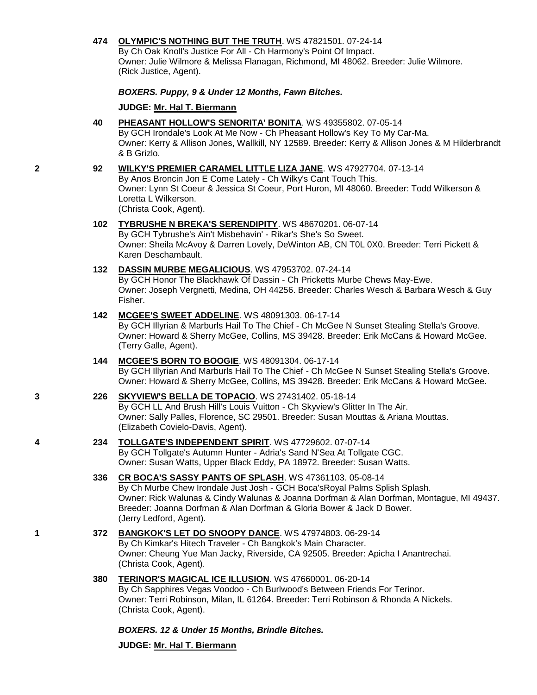## **474 [OLYMPIC'S NOTHING BUT THE TRUTH](http://www.infodog.com/files/bdogrsl1.prg;makc=WS%2047821501;mdog=Olympic_s_Nothing_But_The_Truth;wins=all)**. WS 47821501. 07-24-14

By Ch Oak Knoll's Justice For All - Ch Harmony's Point Of Impact. Owner: Julie Wilmore & Melissa Flanagan, Richmond, MI 48062. Breeder: Julie Wilmore. (Rick Justice, Agent).

## *BOXERS. Puppy, 9 & Under 12 Months, Fawn Bitches.*

**JUDGE: [Mr. Hal T. Biermann](http://www.infodog.com/judges/3643/juddat.htm)**

**40 [PHEASANT HOLLOW'S SENORITA' BONITA](http://www.infodog.com/files/bdogrsl1.prg;makc=WS%2049355802;mdog=Pheasant_Hollow_s_Senorita__Bonita;wins=all)**. WS 49355802. 07-05-14 By GCH Irondale's Look At Me Now - Ch Pheasant Hollow's Key To My Car-Ma. Owner: Kerry & Allison Jones, Wallkill, NY 12589. Breeder: Kerry & Allison Jones & M Hilderbrandt & B Grizlo.

#### **2 92 [WILKY'S PREMIER CARAMEL LITTLE LIZA JANE](http://www.infodog.com/files/bdogrsl1.prg;makc=WS%2047927704;mdog=Wilky_s_Premier_Caramel_Little_Liza_Jane;wins=all)**. WS 47927704. 07-13-14

By Anos Broncin Jon E Come Lately - Ch Wilky's Cant Touch This. Owner: Lynn St Coeur & Jessica St Coeur, Port Huron, MI 48060. Breeder: Todd Wilkerson & Loretta L Wilkerson.

(Christa Cook, Agent).

# **102 [TYBRUSHE N BREKA'S SERENDIPITY](http://www.infodog.com/files/bdogrsl1.prg;makc=WS%2048670201;mdog=Tybrushe_N_Breka_s_Serendipity;wins=all)**. WS 48670201. 06-07-14 By GCH Tybrushe's Ain't Misbehavin' - Rikar's She's So Sweet.

Owner: Sheila McAvoy & Darren Lovely, DeWinton AB, CN T0L 0X0. Breeder: Terri Pickett & Karen Deschambault.

## **132 [DASSIN MURBE MEGALICIOUS](http://www.infodog.com/files/bdogrsl1.prg;makc=WS%2047953702;mdog=Dassin_Murbe_Megalicious;wins=all)**. WS 47953702. 07-24-14

By GCH Honor The Blackhawk Of Dassin - Ch Pricketts Murbe Chews May-Ewe. Owner: Joseph Vergnetti, Medina, OH 44256. Breeder: Charles Wesch & Barbara Wesch & Guy Fisher.

## **142 [MCGEE'S SWEET ADDELINE](http://www.infodog.com/files/bdogrsl1.prg;makc=WS%2048091303;mdog=McGee_s_Sweet_Addeline;wins=all)**. WS 48091303. 06-17-14

By GCH Illyrian & Marburls Hail To The Chief - Ch McGee N Sunset Stealing Stella's Groove. Owner: Howard & Sherry McGee, Collins, MS 39428. Breeder: Erik McCans & Howard McGee. (Terry Galle, Agent).

## **144 [MCGEE'S BORN TO BOOGIE](http://www.infodog.com/files/bdogrsl1.prg;makc=WS%2048091304;mdog=McGee_s_Born_To_Boogie;wins=all)**. WS 48091304. 06-17-14 By GCH Illyrian And Marburls Hail To The Chief - Ch McGee N Sunset Stealing Stella's Groove. Owner: Howard & Sherry McGee, Collins, MS 39428. Breeder: Erik McCans & Howard McGee.

### **3 226 [SKYVIEW'S BELLA DE TOPACIO](http://www.infodog.com/files/bdogrsl1.prg;makc=WS%2027431402;mdog=Skyview_s_Bella_De_Topacio;wins=all)**. WS 27431402. 05-18-14 By GCH LL And Brush Hill's Louis Vuitton - Ch Skyview's Glitter In The Air. Owner: Sally Palles, Florence, SC 29501. Breeder: Susan Mouttas & Ariana Mouttas. (Elizabeth Covielo-Davis, Agent).

- **4 234 [TOLLGATE'S INDEPENDENT SPIRIT](http://www.infodog.com/files/bdogrsl1.prg;makc=WS%2047729602;mdog=Tollgate_s_Independent_Spirit;wins=all)**. WS 47729602. 07-07-14 By GCH Tollgate's Autumn Hunter - Adria's Sand N'Sea At Tollgate CGC. Owner: Susan Watts, Upper Black Eddy, PA 18972. Breeder: Susan Watts.
	- **336 [CR BOCA'S SASSY PANTS OF SPLASH](http://www.infodog.com/files/bdogrsl1.prg;makc=WS%2047361103;mdog=CR_Boca_s_Sassy_Pants_Of_Splash;wins=all)**. WS 47361103. 05-08-14 By Ch Murbe Chew Irondale Just Josh - GCH Boca'sRoyal Palms Splish Splash. Owner: Rick Walunas & Cindy Walunas & Joanna Dorfman & Alan Dorfman, Montague, MI 49437. Breeder: Joanna Dorfman & Alan Dorfman & Gloria Bower & Jack D Bower. (Jerry Ledford, Agent).
- **1 372 [BANGKOK'S LET DO SNOOPY DANCE](http://www.infodog.com/files/bdogrsl1.prg;makc=WS%2047974803;mdog=Bangkok_s_Let_Do_Snoopy_Dance;wins=all)**. WS 47974803. 06-29-14 By Ch Kimkar's Hitech Traveler - Ch Bangkok's Main Character. Owner: Cheung Yue Man Jacky, Riverside, CA 92505. Breeder: Apicha I Anantrechai. (Christa Cook, Agent).
	- **380 [TERINOR'S MAGICAL ICE ILLUSION](http://www.infodog.com/files/bdogrsl1.prg;makc=WS%2047660001;mdog=Terinor_s_Magical_Ice_Illusion;wins=all)**. WS 47660001. 06-20-14 By Ch Sapphires Vegas Voodoo - Ch Burlwood's Between Friends For Terinor. Owner: Terri Robinson, Milan, IL 61264. Breeder: Terri Robinson & Rhonda A Nickels. (Christa Cook, Agent).

*BOXERS. 12 & Under 15 Months, Brindle Bitches.*

**JUDGE: [Mr. Hal T. Biermann](http://www.infodog.com/judges/3643/juddat.htm)**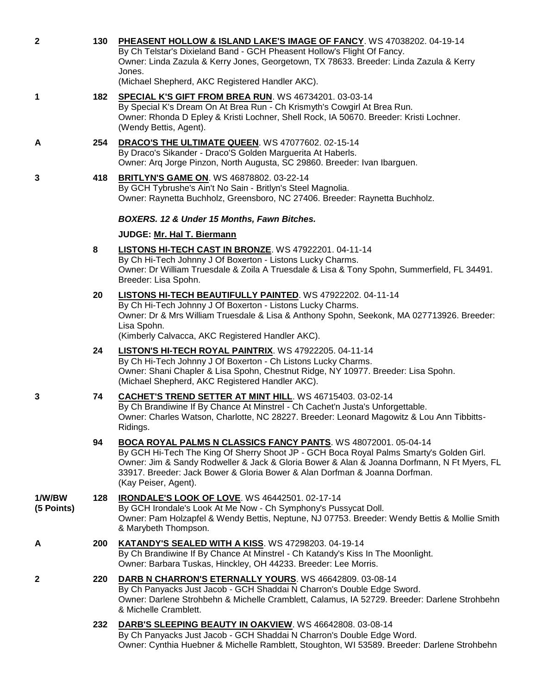| 2                    | 130 | PHEASENT HOLLOW & ISLAND LAKE'S IMAGE OF FANCY. WS 47038202. 04-19-14<br>By Ch Telstar's Dixieland Band - GCH Pheasent Hollow's Flight Of Fancy.<br>Owner: Linda Zazula & Kerry Jones, Georgetown, TX 78633. Breeder: Linda Zazula & Kerry<br>Jones.<br>(Michael Shepherd, AKC Registered Handler AKC).                                                        |
|----------------------|-----|----------------------------------------------------------------------------------------------------------------------------------------------------------------------------------------------------------------------------------------------------------------------------------------------------------------------------------------------------------------|
| 1                    |     | 182 SPECIAL K'S GIFT FROM BREA RUN. WS 46734201. 03-03-14<br>By Special K's Dream On At Brea Run - Ch Krismyth's Cowgirl At Brea Run.<br>Owner: Rhonda D Epley & Kristi Lochner, Shell Rock, IA 50670. Breeder: Kristi Lochner.<br>(Wendy Bettis, Agent).                                                                                                      |
| A                    | 254 | DRACO'S THE ULTIMATE QUEEN. WS 47077602. 02-15-14<br>By Draco's Sikander - Draco'S Golden Marguerita At Haberls.<br>Owner: Arg Jorge Pinzon, North Augusta, SC 29860. Breeder: Ivan Ibarguen.                                                                                                                                                                  |
| 3                    | 418 | <b>BRITLYN'S GAME ON. WS 46878802. 03-22-14</b><br>By GCH Tybrushe's Ain't No Sain - Britlyn's Steel Magnolia.<br>Owner: Raynetta Buchholz, Greensboro, NC 27406. Breeder: Raynetta Buchholz.                                                                                                                                                                  |
|                      |     | BOXERS. 12 & Under 15 Months, Fawn Bitches.                                                                                                                                                                                                                                                                                                                    |
|                      |     | JUDGE: Mr. Hal T. Biermann                                                                                                                                                                                                                                                                                                                                     |
|                      | 8   | LISTONS HI-TECH CAST IN BRONZE. WS 47922201. 04-11-14<br>By Ch Hi-Tech Johnny J Of Boxerton - Listons Lucky Charms.<br>Owner: Dr William Truesdale & Zoila A Truesdale & Lisa & Tony Spohn, Summerfield, FL 34491.<br>Breeder: Lisa Spohn.                                                                                                                     |
|                      | 20  | LISTONS HI-TECH BEAUTIFULLY PAINTED. WS 47922202. 04-11-14<br>By Ch Hi-Tech Johnny J Of Boxerton - Listons Lucky Charms.<br>Owner: Dr & Mrs William Truesdale & Lisa & Anthony Spohn, Seekonk, MA 027713926. Breeder:<br>Lisa Spohn.<br>(Kimberly Calvacca, AKC Registered Handler AKC).                                                                       |
|                      | 24  | LISTON'S HI-TECH ROYAL PAINTRIX. WS 47922205. 04-11-14<br>By Ch Hi-Tech Johnny J Of Boxerton - Ch Listons Lucky Charms.<br>Owner: Shani Chapler & Lisa Spohn, Chestnut Ridge, NY 10977. Breeder: Lisa Spohn.<br>(Michael Shepherd, AKC Registered Handler AKC).                                                                                                |
| 3                    | 74  | <b>CACHET'S TREND SETTER AT MINT HILL. WS 46715403. 03-02-14</b><br>By Ch Brandiwine If By Chance At Minstrel - Ch Cachet'n Justa's Unforgettable.<br>Owner: Charles Watson, Charlotte, NC 28227. Breeder: Leonard Magowitz & Lou Ann Tibbitts-<br>Ridings.                                                                                                    |
|                      | 94  | BOCA ROYAL PALMS N CLASSICS FANCY PANTS. WS 48072001. 05-04-14<br>By GCH Hi-Tech The King Of Sherry Shoot JP - GCH Boca Royal Palms Smarty's Golden Girl.<br>Owner: Jim & Sandy Rodweller & Jack & Gloria Bower & Alan & Joanna Dorfmann, N Ft Myers, FL<br>33917. Breeder: Jack Bower & Gloria Bower & Alan Dorfman & Joanna Dorfman.<br>(Kay Peiser, Agent). |
| 1/W/BW<br>(5 Points) | 128 | <b>IRONDALE'S LOOK OF LOVE. WS 46442501. 02-17-14</b><br>By GCH Irondale's Look At Me Now - Ch Symphony's Pussycat Doll.<br>Owner: Pam Holzapfel & Wendy Bettis, Neptune, NJ 07753. Breeder: Wendy Bettis & Mollie Smith<br>& Marybeth Thompson.                                                                                                               |
| A                    | 200 | <b>KATANDY'S SEALED WITH A KISS. WS 47298203. 04-19-14</b><br>By Ch Brandiwine If By Chance At Minstrel - Ch Katandy's Kiss In The Moonlight.<br>Owner: Barbara Tuskas, Hinckley, OH 44233. Breeder: Lee Morris.                                                                                                                                               |
| 2                    | 220 | DARB N CHARRON'S ETERNALLY YOURS. WS 46642809. 03-08-14<br>By Ch Panyacks Just Jacob - GCH Shaddai N Charron's Double Edge Sword.<br>Owner: Darlene Strohbehn & Michelle Cramblett, Calamus, IA 52729. Breeder: Darlene Strohbehn<br>& Michelle Cramblett.                                                                                                     |
|                      | 232 | DARB'S SLEEPING BEAUTY IN OAKVIEW. WS 46642808. 03-08-14<br>By Ch Panyacks Just Jacob - GCH Shaddai N Charron's Double Edge Word.<br>Owner: Cynthia Huebner & Michelle Ramblett, Stoughton, WI 53589. Breeder: Darlene Strohbehn                                                                                                                               |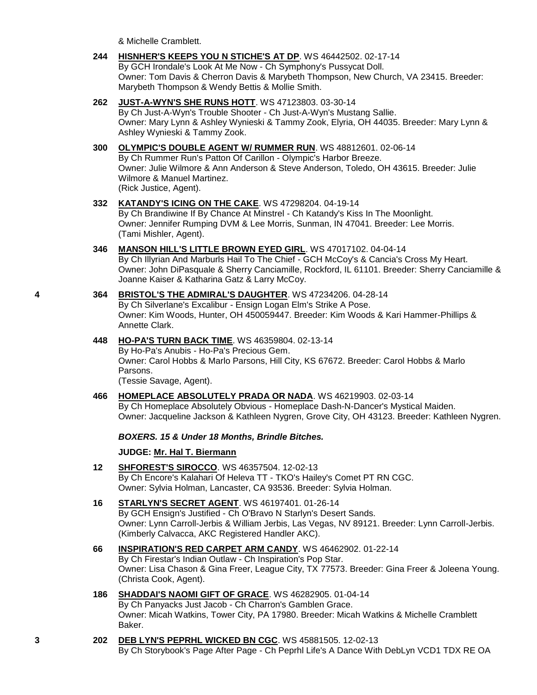& Michelle Cramblett.

**244 [HISNHER'S KEEPS YOU N STICHE'S AT DP](http://www.infodog.com/files/bdogrsl1.prg;makc=WS%2046442502;mdog=Hisnher_s_Keeps_You_N_Stiche_s_At_DP;wins=all)**. WS 46442502. 02-17-14 By GCH Irondale's Look At Me Now - Ch Symphony's Pussycat Doll. Owner: Tom Davis & Cherron Davis & Marybeth Thompson, New Church, VA 23415. Breeder: Marybeth Thompson & Wendy Bettis & Mollie Smith.

## **262 [JUST-A-WYN'S SHE RUNS HOTT](http://www.infodog.com/files/bdogrsl1.prg;makc=WS%2047123803;mdog=Just-A-Wyn_s_She_Runs_Hott;wins=all)**. WS 47123803. 03-30-14

By Ch Just-A-Wyn's Trouble Shooter - Ch Just-A-Wyn's Mustang Sallie. Owner: Mary Lynn & Ashley Wynieski & Tammy Zook, Elyria, OH 44035. Breeder: Mary Lynn & Ashley Wynieski & Tammy Zook.

## **300 [OLYMPIC'S DOUBLE AGENT W/ RUMMER RUN](http://www.infodog.com/files/bdogrsl1.prg;makc=WS%2048812601;mdog=Olympic_s_Double_Agent_W/_Rummer_Run;wins=all)**. WS 48812601. 02-06-14

By Ch Rummer Run's Patton Of Carillon - Olympic's Harbor Breeze. Owner: Julie Wilmore & Ann Anderson & Steve Anderson, Toledo, OH 43615. Breeder: Julie Wilmore & Manuel Martinez. (Rick Justice, Agent).

# **332 [KATANDY'S ICING ON THE CAKE](http://www.infodog.com/files/bdogrsl1.prg;makc=WS%2047298204;mdog=Katandy_s_Icing_On_The_Cake;wins=all)**. WS 47298204. 04-19-14 By Ch Brandiwine If By Chance At Minstrel - Ch Katandy's Kiss In The Moonlight.

Owner: Jennifer Rumping DVM & Lee Morris, Sunman, IN 47041. Breeder: Lee Morris. (Tami Mishler, Agent).

## **346 [MANSON HILL'S LITTLE BROWN EYED GIRL](http://www.infodog.com/files/bdogrsl1.prg;makc=WS%2047017102;mdog=Manson_Hill_s_Little_Brown_Eyed_Girl;wins=all)**. WS 47017102. 04-04-14

By Ch Illyrian And Marburls Hail To The Chief - GCH McCoy's & Cancia's Cross My Heart. Owner: John DiPasquale & Sherry Canciamille, Rockford, IL 61101. Breeder: Sherry Canciamille & Joanne Kaiser & Katharina Gatz & Larry McCoy.

#### **4 364 [BRISTOL'S THE ADMIRAL'S DAUGHTER](http://www.infodog.com/files/bdogrsl1.prg;makc=WS%2047234206;mdog=Bristol_s_The_Admiral_s_Daughter;wins=all)**. WS 47234206. 04-28-14 By Ch Silverlane's Excalibur - Ensign Logan Elm's Strike A Pose. Owner: Kim Woods, Hunter, OH 450059447. Breeder: Kim Woods & Kari Hammer-Phillips & Annette Clark.

## **448 [HO-PA'S TURN BACK TIME](http://www.infodog.com/files/bdogrsl1.prg;makc=WS%2046359804;mdog=Ho-Pa_s_Turn_Back_Time;wins=all)**. WS 46359804. 02-13-14

By Ho-Pa's Anubis - Ho-Pa's Precious Gem. Owner: Carol Hobbs & Marlo Parsons, Hill City, KS 67672. Breeder: Carol Hobbs & Marlo Parsons.

(Tessie Savage, Agent).

**466 [HOMEPLACE ABSOLUTELY PRADA OR NADA](http://www.infodog.com/files/bdogrsl1.prg;makc=WS%2046219903;mdog=Homeplace_Absolutely_Prada_Or_Nada;wins=all)**. WS 46219903. 02-03-14 By Ch Homeplace Absolutely Obvious - Homeplace Dash-N-Dancer's Mystical Maiden. Owner: Jacqueline Jackson & Kathleen Nygren, Grove City, OH 43123. Breeder: Kathleen Nygren.

## *BOXERS. 15 & Under 18 Months, Brindle Bitches.*

## **JUDGE: [Mr. Hal T. Biermann](http://www.infodog.com/judges/3643/juddat.htm)**

- **12 [SHFOREST'S SIROCCO](http://www.infodog.com/files/bdogrsl1.prg;makc=WS%2046357504;mdog=SHForest_s_Sirocco;wins=all)**. WS 46357504. 12-02-13 By Ch Encore's Kalahari Of Heleva TT - TKO's Hailey's Comet PT RN CGC. Owner: Sylvia Holman, Lancaster, CA 93536. Breeder: Sylvia Holman.
- **16 [STARLYN'S SECRET AGENT](http://www.infodog.com/files/bdogrsl1.prg;makc=WS%2046197401;mdog=Starlyn_s_Secret_Agent;wins=all)**. WS 46197401. 01-26-14 By GCH Ensign's Justified - Ch O'Bravo N Starlyn's Desert Sands. Owner: Lynn Carroll-Jerbis & William Jerbis, Las Vegas, NV 89121. Breeder: Lynn Carroll-Jerbis. (Kimberly Calvacca, AKC Registered Handler AKC).
- **66 [INSPIRATION'S RED CARPET ARM CANDY](http://www.infodog.com/files/bdogrsl1.prg;makc=WS%2046462902;mdog=Inspiration_s_Red_Carpet_Arm_Candy;wins=all)**. WS 46462902. 01-22-14 By Ch Firestar's Indian Outlaw - Ch Inspiration's Pop Star. Owner: Lisa Chason & Gina Freer, League City, TX 77573. Breeder: Gina Freer & Joleena Young. (Christa Cook, Agent).

## **186 [SHADDAI'S NAOMI GIFT OF GRACE](http://www.infodog.com/files/bdogrsl1.prg;makc=WS%2046282905;mdog=Shaddai_s_Naomi_Gift_Of_Grace;wins=all)**. WS 46282905. 01-04-14 By Ch Panyacks Just Jacob - Ch Charron's Gamblen Grace. Owner: Micah Watkins, Tower City, PA 17980. Breeder: Micah Watkins & Michelle Cramblett Baker.

**3 202 [DEB LYN'S PEPRHL WICKED BN CGC](http://www.infodog.com/files/bdogrsl1.prg;makc=WS%2045881505;mdog=Deb_Lyn_s_Peprhl_Wicked_BN_CGC;wins=all)**. WS 45881505. 12-02-13 By Ch Storybook's Page After Page - Ch Peprhl Life's A Dance With DebLyn VCD1 TDX RE OA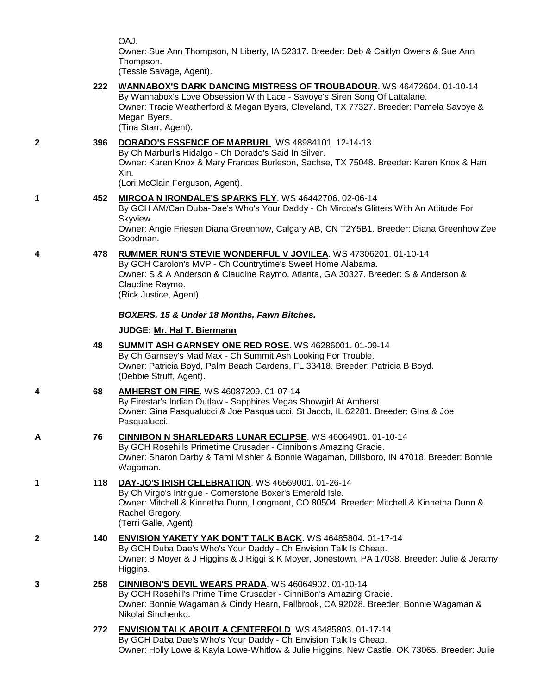OAJ.

Owner: Sue Ann Thompson, N Liberty, IA 52317. Breeder: Deb & Caitlyn Owens & Sue Ann Thompson.

(Tessie Savage, Agent).

# **222 [WANNABOX'S DARK DANCING MISTRESS OF TROUBADOUR](http://www.infodog.com/files/bdogrsl1.prg;makc=WS%2046472604;mdog=Wannabox_s_Dark_Dancing_Mistress_Of_Troubadour;wins=all)**. WS 46472604. 01-10-14

By Wannabox's Love Obsession With Lace - Savoye's Siren Song Of Lattalane. Owner: Tracie Weatherford & Megan Byers, Cleveland, TX 77327. Breeder: Pamela Savoye & Megan Byers. (Tina Starr, Agent).

## **2 396 [DORADO'S ESSENCE OF MARBURL](http://www.infodog.com/files/bdogrsl1.prg;makc=WS%2048984101;mdog=Dorado_s_Essence_Of_Marburl;wins=all)**. WS 48984101. 12-14-13

By Ch Marburl's Hidalgo - Ch Dorado's Said In Silver. Owner: Karen Knox & Mary Frances Burleson, Sachse, TX 75048. Breeder: Karen Knox & Han

Xin.

(Lori McClain Ferguson, Agent).

## **1 452 [MIRCOA N IRONDALE'S SPARKS FLY](http://www.infodog.com/files/bdogrsl1.prg;makc=WS%2046442706;mdog=Mircoa_N_Irondale_s_Sparks_Fly;wins=all)**. WS 46442706. 02-06-14

By GCH AM/Can Duba-Dae's Who's Your Daddy - Ch Mircoa's Glitters With An Attitude For Skyview.

Owner: Angie Friesen Diana Greenhow, Calgary AB, CN T2Y5B1. Breeder: Diana Greenhow Zee Goodman.

## **4 478 [RUMMER RUN'S STEVIE WONDERFUL V JOVILEA](http://www.infodog.com/files/bdogrsl1.prg;makc=WS%2047306201;mdog=Rummer_Run_s_Stevie_Wonderful_V_Jovilea;wins=all)**. WS 47306201. 01-10-14

By GCH Carolon's MVP - Ch Countrytime's Sweet Home Alabama. Owner: S & A Anderson & Claudine Raymo, Atlanta, GA 30327. Breeder: S & Anderson & Claudine Raymo.

(Rick Justice, Agent).

## *BOXERS. 15 & Under 18 Months, Fawn Bitches.*

## **JUDGE: [Mr. Hal T. Biermann](http://www.infodog.com/judges/3643/juddat.htm)**

**48 [SUMMIT ASH GARNSEY ONE RED ROSE](http://www.infodog.com/files/bdogrsl1.prg;makc=WS%2046286001;mdog=Summit_Ash_Garnsey_One_Red_Rose;wins=all)**. WS 46286001. 01-09-14 By Ch Garnsey's Mad Max - Ch Summit Ash Looking For Trouble. Owner: Patricia Boyd, Palm Beach Gardens, FL 33418. Breeder: Patricia B Boyd. (Debbie Struff, Agent).

## **4 68 [AMHERST ON FIRE](http://www.infodog.com/files/bdogrsl1.prg;makc=WS%2046087209;mdog=Amherst_On_Fire;wins=all)**. WS 46087209. 01-07-14 By Firestar's Indian Outlaw - Sapphires Vegas Showgirl At Amherst. Owner: Gina Pasqualucci & Joe Pasqualucci, St Jacob, IL 62281. Breeder: Gina & Joe Pasqualucci.

**A 76 [CINNIBON N SHARLEDARS LUNAR ECLIPSE](http://www.infodog.com/files/bdogrsl1.prg;makc=WS%2046064901;mdog=Cinnibon_N_Sharledars_Lunar_Eclipse;wins=all)**. WS 46064901. 01-10-14 By GCH Rosehills Primetime Crusader - Cinnibon's Amazing Gracie. Owner: Sharon Darby & Tami Mishler & Bonnie Wagaman, Dillsboro, IN 47018. Breeder: Bonnie Wagaman.

#### **1 118 [DAY-JO'S IRISH CELEBRATION](http://www.infodog.com/files/bdogrsl1.prg;makc=WS%2046569001;mdog=Day-Jo_s_Irish_Celebration;wins=all)**. WS 46569001. 01-26-14 By Ch Virgo's Intrigue - Cornerstone Boxer's Emerald Isle. Owner: Mitchell & Kinnetha Dunn, Longmont, CO 80504. Breeder: Mitchell & Kinnetha Dunn & Rachel Gregory. (Terri Galle, Agent).

**2 140 [ENVISION YAKETY YAK DON'T TALK BACK](http://www.infodog.com/files/bdogrsl1.prg;makc=WS%2046485804;mdog=Envision_Yakety_Yak_Don_t_Talk_Back;wins=all)**. WS 46485804. 01-17-14 By GCH Duba Dae's Who's Your Daddy - Ch Envision Talk Is Cheap. Owner: B Moyer & J Higgins & J Riggi & K Moyer, Jonestown, PA 17038. Breeder: Julie & Jeramy Higgins.

## **3 258 [CINNIBON'S DEVIL WEARS PRADA](http://www.infodog.com/files/bdogrsl1.prg;makc=WS%2046064902;mdog=CinniBon_s_Devil_Wears_Prada;wins=all)**. WS 46064902. 01-10-14 By GCH Rosehill's Prime Time Crusader - CinniBon's Amazing Gracie. Owner: Bonnie Wagaman & Cindy Hearn, Fallbrook, CA 92028. Breeder: Bonnie Wagaman & Nikolai Sinchenko.

**272 [ENVISION TALK ABOUT A CENTERFOLD](http://www.infodog.com/files/bdogrsl1.prg;makc=WS%2046485803;mdog=Envision_Talk_About_A_Centerfold;wins=all)**. WS 46485803. 01-17-14 By GCH Daba Dae's Who's Your Daddy - Ch Envision Talk Is Cheap. Owner: Holly Lowe & Kayla Lowe-Whitlow & Julie Higgins, New Castle, OK 73065. Breeder: Julie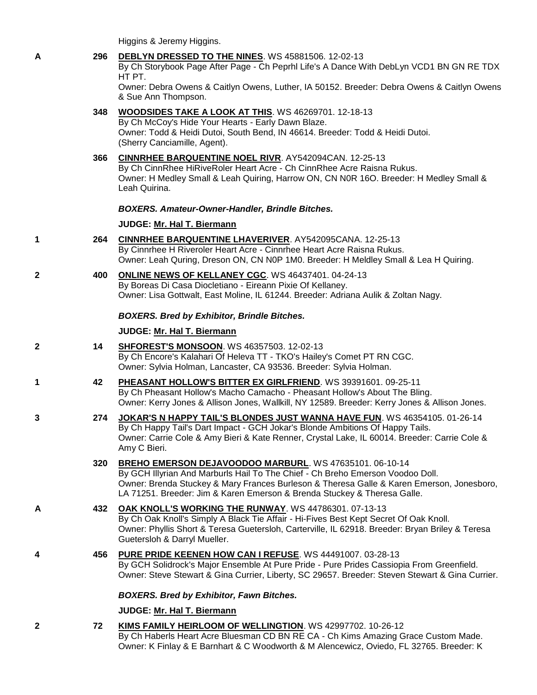Higgins & Jeremy Higgins.

## **A 296 [DEBLYN DRESSED TO THE NINES](http://www.infodog.com/files/bdogrsl1.prg;makc=WS%2045881506;mdog=DebLyn_Dressed_To_The_Nines;wins=all)**. WS 45881506. 12-02-13

By Ch Storybook Page After Page - Ch Peprhl Life's A Dance With DebLyn VCD1 BN GN RE TDX HT PT.

Owner: Debra Owens & Caitlyn Owens, Luther, IA 50152. Breeder: Debra Owens & Caitlyn Owens & Sue Ann Thompson.

## **348 [WOODSIDES TAKE A LOOK AT THIS](http://www.infodog.com/files/bdogrsl1.prg;makc=WS%2046269701;mdog=Woodsides_Take_A_Look_At_This;wins=all)**. WS 46269701. 12-18-13

By Ch McCoy's Hide Your Hearts - Early Dawn Blaze. Owner: Todd & Heidi Dutoi, South Bend, IN 46614. Breeder: Todd & Heidi Dutoi. (Sherry Canciamille, Agent).

**366 [CINNRHEE BARQUENTINE NOEL RIVR](http://www.infodog.com/files/bdogrsl1.prg;makc=AY542094CAN;mdog=CinnRhee_Barquentine_Noel_Rivr;wins=all)**. AY542094CAN. 12-25-13 By Ch CinnRhee HiRiveRoler Heart Acre - Ch CinnRhee Acre Raisna Rukus. Owner: H Medley Small & Leah Quiring, Harrow ON, CN N0R 16O. Breeder: H Medley Small & Leah Quirina.

## *BOXERS. Amateur-Owner-Handler, Brindle Bitches.*

## **JUDGE: [Mr. Hal T. Biermann](http://www.infodog.com/judges/3643/juddat.htm)**

- **1 264 [CINNRHEE BARQUENTINE LHAVERIVER](http://www.infodog.com/files/bdogrsl1.prg;makc=AY542095CANA;mdog=Cinnrhee_Barquentine_Lhaveriver;wins=all)**. AY542095CANA. 12-25-13 By Cinnrhee H Riveroler Heart Acre - Cinnrhee Heart Acre Raisna Rukus. Owner: Leah Quring, Dreson ON, CN N0P 1M0. Breeder: H Meldley Small & Lea H Quiring.
- **2 400 [ONLINE NEWS OF KELLANEY CGC](http://www.infodog.com/files/bdogrsl1.prg;makc=WS%2046437401;mdog=Online_News_Of_Kellaney_CGC;wins=all)**. WS 46437401. 04-24-13 By Boreas Di Casa Diocletiano - Eireann Pixie Of Kellaney. Owner: Lisa Gottwalt, East Moline, IL 61244. Breeder: Adriana Aulik & Zoltan Nagy.

## *BOXERS. Bred by Exhibitor, Brindle Bitches.*

## **JUDGE: [Mr. Hal T. Biermann](http://www.infodog.com/judges/3643/juddat.htm)**

- **2 14 [SHFOREST'S MONSOON](http://www.infodog.com/files/bdogrsl1.prg;makc=WS%2046357503;mdog=SHForest_s_Monsoon;wins=all)**. WS 46357503. 12-02-13 By Ch Encore's Kalahari Of Heleva TT - TKO's Hailey's Comet PT RN CGC. Owner: Sylvia Holman, Lancaster, CA 93536. Breeder: Sylvia Holman.
- **1 42 [PHEASANT HOLLOW'S BITTER EX GIRLFRIEND](http://www.infodog.com/files/bdogrsl1.prg;makc=WS%2039391601;mdog=Pheasant_Hollow_s_Bitter_Ex_Girlfriend;wins=all)**. WS 39391601. 09-25-11 By Ch Pheasant Hollow's Macho Camacho - Pheasant Hollow's About The Bling. Owner: Kerry Jones & Allison Jones, Wallkill, NY 12589. Breeder: Kerry Jones & Allison Jones.
- **3 274 [JOKAR'S N HAPPY TAIL'S BLONDES JUST WANNA HAVE FUN](http://www.infodog.com/files/bdogrsl1.prg;makc=WS%2046354105;mdog=Jokar_s_N_Happy_Tail_s_Blondes_Just_Wanna_Have_Fun;wins=all)**. WS 46354105. 01-26-14 By Ch Happy Tail's Dart Impact - GCH Jokar's Blonde Ambitions Of Happy Tails. Owner: Carrie Cole & Amy Bieri & Kate Renner, Crystal Lake, IL 60014. Breeder: Carrie Cole & Amy C Bieri.

## **320 [BREHO EMERSON DEJAVOODOO MARBURL](http://www.infodog.com/files/bdogrsl1.prg;makc=WS%2047635101;mdog=Breho_Emerson_DeJaVoodoo_Marburl;wins=all)**. WS 47635101. 06-10-14 By GCH Illyrian And Marburls Hail To The Chief - Ch Breho Emerson Voodoo Doll. Owner: Brenda Stuckey & Mary Frances Burleson & Theresa Galle & Karen Emerson, Jonesboro,

- LA 71251. Breeder: Jim & Karen Emerson & Brenda Stuckey & Theresa Galle. **A 432 [OAK KNOLL'S WORKING THE RUNWAY](http://www.infodog.com/files/bdogrsl1.prg;makc=WS%2044786301;mdog=Oak_Knoll_s_Working_The_Runway;wins=all)**. WS 44786301. 07-13-13 By Ch Oak Knoll's Simply A Black Tie Affair - Hi-Fives Best Kept Secret Of Oak Knoll. Owner: Phyllis Short & Teresa Guetersloh, Carterville, IL 62918. Breeder: Bryan Briley & Teresa Guetersloh & Darryl Mueller.
- **4 456 [PURE PRIDE KEENEN HOW CAN I REFUSE](http://www.infodog.com/files/bdogrsl1.prg;makc=WS%2044491007;mdog=Pure_Pride_Keenen_How_Can_I_Refuse;wins=all)**. WS 44491007. 03-28-13 By GCH Solidrock's Major Ensemble At Pure Pride - Pure Prides Cassiopia From Greenfield. Owner: Steve Stewart & Gina Currier, Liberty, SC 29657. Breeder: Steven Stewart & Gina Currier.

## *BOXERS. Bred by Exhibitor, Fawn Bitches.*

## **JUDGE: [Mr. Hal T. Biermann](http://www.infodog.com/judges/3643/juddat.htm)**

**2 72 [KIMS FAMILY HEIRLOOM OF WELLINGTION](http://www.infodog.com/files/bdogrsl1.prg;makc=WS%2042997702;mdog=Kims_Family_Heirloom_Of_Wellingtion;wins=all)**. WS 42997702. 10-26-12 By Ch Haberls Heart Acre Bluesman CD BN RE CA - Ch Kims Amazing Grace Custom Made. Owner: K Finlay & E Barnhart & C Woodworth & M Alencewicz, Oviedo, FL 32765. Breeder: K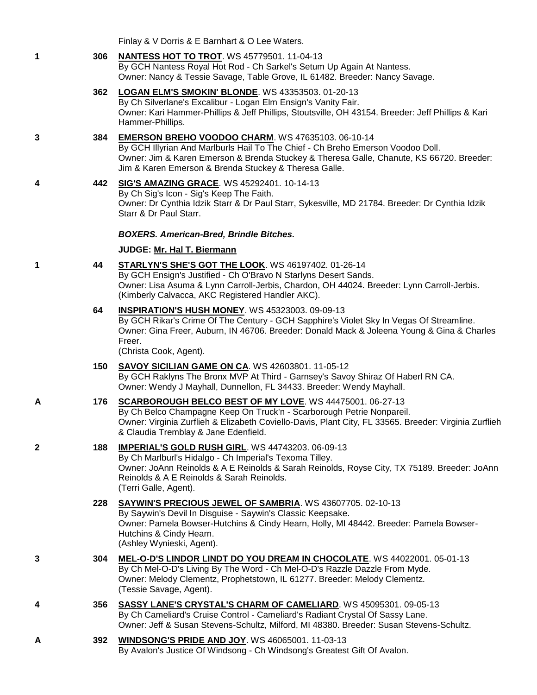Finlay & V Dorris & E Barnhart & O Lee Waters.

## **1 306 [NANTESS HOT TO TROT](http://www.infodog.com/files/bdogrsl1.prg;makc=WS%2045779501;mdog=Nantess_Hot_To_Trot;wins=all)**. WS 45779501. 11-04-13

By GCH Nantess Royal Hot Rod - Ch Sarkel's Setum Up Again At Nantess. Owner: Nancy & Tessie Savage, Table Grove, IL 61482. Breeder: Nancy Savage.

- **362 [LOGAN ELM'S SMOKIN' BLONDE](http://www.infodog.com/files/bdogrsl1.prg;makc=WS%2043353503;mdog=Logan_Elm_s_Smokin__Blonde;wins=all)**. WS 43353503. 01-20-13 By Ch Silverlane's Excalibur - Logan Elm Ensign's Vanity Fair. Owner: Kari Hammer-Phillips & Jeff Phillips, Stoutsville, OH 43154. Breeder: Jeff Phillips & Kari Hammer-Phillips.
- **3 384 [EMERSON BREHO VOODOO CHARM](http://www.infodog.com/files/bdogrsl1.prg;makc=WS%2047635103;mdog=Emerson_Breho_Voodoo_Charm;wins=all)**. WS 47635103. 06-10-14

By GCH Illyrian And Marlburls Hail To The Chief - Ch Breho Emerson Voodoo Doll. Owner: Jim & Karen Emerson & Brenda Stuckey & Theresa Galle, Chanute, KS 66720. Breeder: Jim & Karen Emerson & Brenda Stuckey & Theresa Galle.

**4 442 [SIG'S AMAZING GRACE](http://www.infodog.com/files/bdogrsl1.prg;makc=WS%2045292401;mdog=Sig_s_Amazing_Grace;wins=all)**. WS 45292401. 10-14-13

By Ch Sig's Icon - Sig's Keep The Faith. Owner: Dr Cynthia Idzik Starr & Dr Paul Starr, Sykesville, MD 21784. Breeder: Dr Cynthia Idzik Starr & Dr Paul Starr.

## *BOXERS. American-Bred, Brindle Bitches.*

## **JUDGE: [Mr. Hal T. Biermann](http://www.infodog.com/judges/3643/juddat.htm)**

**1 44 [STARLYN'S SHE'S GOT THE LOOK](http://www.infodog.com/files/bdogrsl1.prg;makc=WS%2046197402;mdog=Starlyn_s_She_s_Got_The_Look;wins=all)**. WS 46197402. 01-26-14

By GCH Ensign's Justified - Ch O'Bravo N Starlyns Desert Sands. Owner: Lisa Asuma & Lynn Carroll-Jerbis, Chardon, OH 44024. Breeder: Lynn Carroll-Jerbis. (Kimberly Calvacca, AKC Registered Handler AKC).

## **64 [INSPIRATION'S HUSH MONEY](http://www.infodog.com/files/bdogrsl1.prg;makc=WS%2045323003;mdog=Inspiration_s_Hush_Money;wins=all)**. WS 45323003. 09-09-13

By GCH Rikar's Crime Of The Century - GCH Sapphire's Violet Sky In Vegas Of Streamline. Owner: Gina Freer, Auburn, IN 46706. Breeder: Donald Mack & Joleena Young & Gina & Charles Freer.

(Christa Cook, Agent).

**150 [SAVOY SICILIAN GAME ON CA](http://www.infodog.com/files/bdogrsl1.prg;makc=WS%2042603801;mdog=Savoy_Sicilian_Game_On_CA;wins=all)**. WS 42603801. 11-05-12

By GCH Raklyns The Bronx MVP At Third - Garnsey's Savoy Shiraz Of Haberl RN CA. Owner: Wendy J Mayhall, Dunnellon, FL 34433. Breeder: Wendy Mayhall.

## **A 176 [SCARBOROUGH BELCO BEST OF MY LOVE](http://www.infodog.com/files/bdogrsl1.prg;makc=WS%2044475001;mdog=Scarborough_Belco_Best_Of_My_Love;wins=all)**. WS 44475001. 06-27-13

By Ch Belco Champagne Keep On Truck'n - Scarborough Petrie Nonpareil. Owner: Virginia Zurflieh & Elizabeth Coviello-Davis, Plant City, FL 33565. Breeder: Virginia Zurflieh & Claudia Tremblay & Jane Edenfield.

## **2 188 [IMPERIAL'S GOLD RUSH GIRL](http://www.infodog.com/files/bdogrsl1.prg;makc=WS%2044743203;mdog=Imperial_s_Gold_Rush_Girl;wins=all)**. WS 44743203. 06-09-13

By Ch Marlburl's Hidalgo - Ch Imperial's Texoma Tilley. Owner: JoAnn Reinolds & A E Reinolds & Sarah Reinolds, Royse City, TX 75189. Breeder: JoAnn Reinolds & A E Reinolds & Sarah Reinolds. (Terri Galle, Agent).

## **228 [SAYWIN'S PRECIOUS JEWEL OF SAMBRIA](http://www.infodog.com/files/bdogrsl1.prg;makc=WS%2043607705;mdog=Saywin_s_Precious_Jewel_Of_Sambria;wins=all)**. WS 43607705. 02-10-13

By Saywin's Devil In Disguise - Saywin's Classic Keepsake. Owner: Pamela Bowser-Hutchins & Cindy Hearn, Holly, MI 48442. Breeder: Pamela Bowser-Hutchins & Cindy Hearn. (Ashley Wynieski, Agent).

- **3 304 [MEL-O-D'S LINDOR LINDT DO YOU DREAM IN CHOCOLATE](http://www.infodog.com/files/bdogrsl1.prg;makc=WS%2044022001;mdog=Mel-O-D_s_Lindor_Lindt_Do_You_Dream_In_Chocolate;wins=all)**. WS 44022001. 05-01-13 By Ch Mel-O-D's Living By The Word - Ch Mel-O-D's Razzle Dazzle From Myde. Owner: Melody Clementz, Prophetstown, IL 61277. Breeder: Melody Clementz. (Tessie Savage, Agent).
- **4 356 [SASSY LANE'S CRYSTAL'S CHARM OF CAMELIARD](http://www.infodog.com/files/bdogrsl1.prg;makc=WS%2045095301;mdog=Sassy_Lane_s_Crystal_s_Charm_Of_Cameliard;wins=all)**. WS 45095301. 09-05-13 By Ch Cameliard's Cruise Control - Cameliard's Radiant Crystal Of Sassy Lane. Owner: Jeff & Susan Stevens-Schultz, Milford, MI 48380. Breeder: Susan Stevens-Schultz.
- **A 392 [WINDSONG'S PRIDE AND JOY](http://www.infodog.com/files/bdogrsl1.prg;makc=WS%2046065001;mdog=Windsong_s_Pride_And_Joy;wins=all)**. WS 46065001. 11-03-13 By Avalon's Justice Of Windsong - Ch Windsong's Greatest Gift Of Avalon.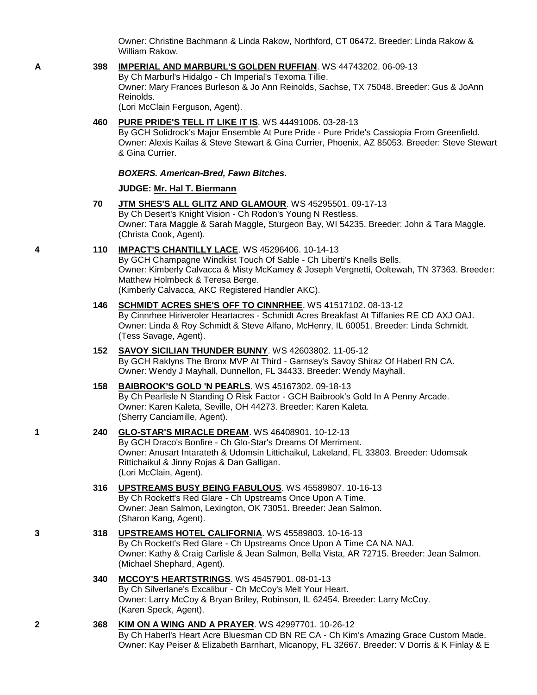Owner: Christine Bachmann & Linda Rakow, Northford, CT 06472. Breeder: Linda Rakow & William Rakow.

#### **A 398 [IMPERIAL AND MARBURL'S GOLDEN RUFFIAN](http://www.infodog.com/files/bdogrsl1.prg;makc=WS%2044743202;mdog=Imperial_And_Marburl_s_Golden_Ruffian;wins=all)**. WS 44743202. 06-09-13

By Ch Marburl's Hidalgo - Ch Imperial's Texoma Tillie. Owner: Mary Frances Burleson & Jo Ann Reinolds, Sachse, TX 75048. Breeder: Gus & JoAnn Reinolds.

(Lori McClain Ferguson, Agent).

#### **460 [PURE PRIDE'S TELL IT LIKE IT IS](http://www.infodog.com/files/bdogrsl1.prg;makc=WS%2044491006;mdog=Pure_Pride_s_Tell_It_Like_It_Is;wins=all)**. WS 44491006. 03-28-13

By GCH Solidrock's Major Ensemble At Pure Pride - Pure Pride's Cassiopia From Greenfield. Owner: Alexis Kailas & Steve Stewart & Gina Currier, Phoenix, AZ 85053. Breeder: Steve Stewart & Gina Currier.

#### *BOXERS. American-Bred, Fawn Bitches.*

#### **JUDGE: [Mr. Hal T. Biermann](http://www.infodog.com/judges/3643/juddat.htm)**

- **70 [JTM SHES'S ALL GLITZ AND GLAMOUR](http://www.infodog.com/files/bdogrsl1.prg;makc=WS%2045295501;mdog=JTM_Shes_s_All_Glitz_And_Glamour;wins=all)**. WS 45295501. 09-17-13 By Ch Desert's Knight Vision - Ch Rodon's Young N Restless. Owner: Tara Maggle & Sarah Maggle, Sturgeon Bay, WI 54235. Breeder: John & Tara Maggle. (Christa Cook, Agent).
- **4 110 [IMPACT'S CHANTILLY LACE](http://www.infodog.com/files/bdogrsl1.prg;makc=WS%2045296406;mdog=Impact_s_Chantilly_Lace;wins=all)**. WS 45296406. 10-14-13

By GCH Champagne Windkist Touch Of Sable - Ch Liberti's Knells Bells. Owner: Kimberly Calvacca & Misty McKamey & Joseph Vergnetti, Ooltewah, TN 37363. Breeder: Matthew Holmbeck & Teresa Berge. (Kimberly Calvacca, AKC Registered Handler AKC).

#### **146 [SCHMIDT ACRES SHE'S OFF TO CINNRHEE](http://www.infodog.com/files/bdogrsl1.prg;makc=WS%2041517102;mdog=Schmidt_Acres_She_s_Off_To_Cinnrhee;wins=all)**. WS 41517102. 08-13-12

By Cinnrhee Hiriveroler Heartacres - Schmidt Acres Breakfast At Tiffanies RE CD AXJ OAJ. Owner: Linda & Roy Schmidt & Steve Alfano, McHenry, IL 60051. Breeder: Linda Schmidt. (Tess Savage, Agent).

**152 [SAVOY SICILIAN THUNDER BUNNY](http://www.infodog.com/files/bdogrsl1.prg;makc=WS%2042603802;mdog=Savoy_Sicilian_Thunder_Bunny;wins=all)**. WS 42603802. 11-05-12 By GCH Raklyns The Bronx MVP At Third - Garnsey's Savoy Shiraz Of Haberl RN CA. Owner: Wendy J Mayhall, Dunnellon, FL 34433. Breeder: Wendy Mayhall.

## **158 [BAIBROOK'S GOLD 'N PEARLS](http://www.infodog.com/files/bdogrsl1.prg;makc=WS%2045167302;mdog=Baibrook_s_Gold__N_Pearls;wins=all)**. WS 45167302. 09-18-13

By Ch Pearlisle N Standing O Risk Factor - GCH Baibrook's Gold In A Penny Arcade. Owner: Karen Kaleta, Seville, OH 44273. Breeder: Karen Kaleta. (Sherry Canciamille, Agent).

## **1 240 [GLO-STAR'S MIRACLE DREAM](http://www.infodog.com/files/bdogrsl1.prg;makc=WS%2046408901;mdog=Glo-Star_s_Miracle_Dream;wins=all)**. WS 46408901. 10-12-13

By GCH Draco's Bonfire - Ch Glo-Star's Dreams Of Merriment. Owner: Anusart Intarateth & Udomsin Littichaikul, Lakeland, FL 33803. Breeder: Udomsak Rittichaikul & Jinny Rojas & Dan Galligan. (Lori McClain, Agent).

## **316 [UPSTREAMS BUSY BEING FABULOUS](http://www.infodog.com/files/bdogrsl1.prg;makc=WS%2045589807;mdog=Upstreams_Busy_Being_Fabulous;wins=all)**. WS 45589807. 10-16-13 By Ch Rockett's Red Glare - Ch Upstreams Once Upon A Time. Owner: Jean Salmon, Lexington, OK 73051. Breeder: Jean Salmon. (Sharon Kang, Agent).

### **3 318 [UPSTREAMS HOTEL CALIFORNIA](http://www.infodog.com/files/bdogrsl1.prg;makc=WS%2045589803;mdog=Upstreams_Hotel_California;wins=all)**. WS 45589803. 10-16-13 By Ch Rockett's Red Glare - Ch Upstreams Once Upon A Time CA NA NAJ. Owner: Kathy & Craig Carlisle & Jean Salmon, Bella Vista, AR 72715. Breeder: Jean Salmon. (Michael Shephard, Agent).

## **340 [MCCOY'S HEARTSTRINGS](http://www.infodog.com/files/bdogrsl1.prg;makc=WS%2045457901;mdog=McCoy_s_Heartstrings;wins=all)**. WS 45457901. 08-01-13 By Ch Silverlane's Excalibur - Ch McCoy's Melt Your Heart. Owner: Larry McCoy & Bryan Briley, Robinson, IL 62454. Breeder: Larry McCoy. (Karen Speck, Agent).

## **2 368 [KIM ON A WING AND A PRAYER](http://www.infodog.com/files/bdogrsl1.prg;makc=WS%2042997701;mdog=Kim_On_A_Wing_And_A_Prayer;wins=all)**. WS 42997701. 10-26-12 By Ch Haberl's Heart Acre Bluesman CD BN RE CA - Ch Kim's Amazing Grace Custom Made. Owner: Kay Peiser & Elizabeth Barnhart, Micanopy, FL 32667. Breeder: V Dorris & K Finlay & E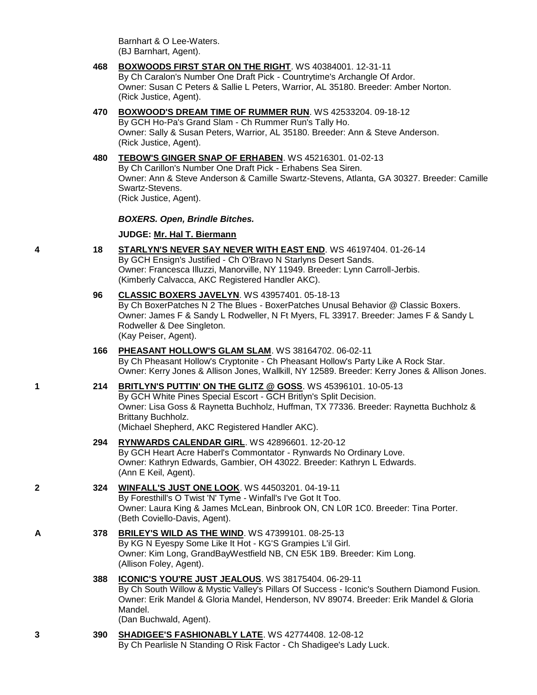Barnhart & O Lee-Waters. (BJ Barnhart, Agent).

- **468 [BOXWOODS FIRST STAR ON THE RIGHT](http://www.infodog.com/files/bdogrsl1.prg;makc=WS%2040384001;mdog=Boxwoods_First_Star_On_The_Right;wins=all)**. WS 40384001. 12-31-11 By Ch Caralon's Number One Draft Pick - Countrytime's Archangle Of Ardor. Owner: Susan C Peters & Sallie L Peters, Warrior, AL 35180. Breeder: Amber Norton. (Rick Justice, Agent).
- **470 [BOXWOOD'S DREAM TIME OF RUMMER RUN](http://www.infodog.com/files/bdogrsl1.prg;makc=WS%2042533204;mdog=Boxwood_s_Dream_Time_Of_Rummer_Run;wins=all)**. WS 42533204. 09-18-12 By GCH Ho-Pa's Grand Slam - Ch Rummer Run's Tally Ho. Owner: Sally & Susan Peters, Warrior, AL 35180. Breeder: Ann & Steve Anderson. (Rick Justice, Agent).
- **480 [TEBOW'S GINGER SNAP OF ERHABEN](http://www.infodog.com/files/bdogrsl1.prg;makc=WS%2045216301;mdog=Tebow_s_Ginger_Snap_Of_Erhaben;wins=all)**. WS 45216301. 01-02-13 By Ch Carillon's Number One Draft Pick - Erhabens Sea Siren. Owner: Ann & Steve Anderson & Camille Swartz-Stevens, Atlanta, GA 30327. Breeder: Camille Swartz-Stevens. (Rick Justice, Agent).

*BOXERS. Open, Brindle Bitches.*

## **JUDGE: [Mr. Hal T. Biermann](http://www.infodog.com/judges/3643/juddat.htm)**

- **4 18 [STARLYN'S NEVER SAY NEVER WITH EAST END](http://www.infodog.com/files/bdogrsl1.prg;makc=WS%2046197404;mdog=Starlyn_s_Never_Say_Never_With_East_End;wins=all)**. WS 46197404. 01-26-14 By GCH Ensign's Justified - Ch O'Bravo N Starlyns Desert Sands. Owner: Francesca Illuzzi, Manorville, NY 11949. Breeder: Lynn Carroll-Jerbis. (Kimberly Calvacca, AKC Registered Handler AKC).
	- **96 [CLASSIC BOXERS JAVELYN](http://www.infodog.com/files/bdogrsl1.prg;makc=WS%2043957401;mdog=Classic_Boxers_Javelyn;wins=all)**. WS 43957401. 05-18-13 By Ch BoxerPatches N 2 The Blues - BoxerPatches Unusal Behavior @ Classic Boxers. Owner: James F & Sandy L Rodweller, N Ft Myers, FL 33917. Breeder: James F & Sandy L Rodweller & Dee Singleton. (Kay Peiser, Agent).
	- **166 [PHEASANT HOLLOW'S GLAM SLAM](http://www.infodog.com/files/bdogrsl1.prg;makc=WS%2038164702;mdog=Pheasant_Hollow_s_Glam_Slam;wins=all)**. WS 38164702. 06-02-11 By Ch Pheasant Hollow's Cryptonite - Ch Pheasant Hollow's Party Like A Rock Star. Owner: Kerry Jones & Allison Jones, Wallkill, NY 12589. Breeder: Kerry Jones & Allison Jones.
- **1 214 [BRITLYN'S PUTTIN' ON THE GLITZ @ GOSS](http://www.infodog.com/files/bdogrsl1.prg;makc=WS%2045396101;mdog=Britlyn_s_Puttin__On_The_Glitz_@_Goss;wins=all)**. WS 45396101. 10-05-13 By GCH White Pines Special Escort - GCH Britlyn's Split Decision. Owner: Lisa Goss & Raynetta Buchholz, Huffman, TX 77336. Breeder: Raynetta Buchholz & Brittany Buchholz. (Michael Shepherd, AKC Registered Handler AKC).
	- **294 [RYNWARDS CALENDAR GIRL](http://www.infodog.com/files/bdogrsl1.prg;makc=WS%2042896601;mdog=Rynwards_Calendar_Girl;wins=all)**. WS 42896601. 12-20-12 By GCH Heart Acre Haberl's Commontator - Rynwards No Ordinary Love. Owner: Kathryn Edwards, Gambier, OH 43022. Breeder: Kathryn L Edwards. (Ann E Keil, Agent).
- **2 324 [WINFALL'S JUST ONE LOOK](http://www.infodog.com/files/bdogrsl1.prg;makc=WS%2044503201;mdog=Winfall_s_Just_One_Look;wins=all)**. WS 44503201. 04-19-11 By Foresthill's O Twist 'N' Tyme - Winfall's I've Got It Too. Owner: Laura King & James McLean, Binbrook ON, CN L0R 1C0. Breeder: Tina Porter. (Beth Coviello-Davis, Agent).
- **A 378 [BRILEY'S WILD AS THE WIND](http://www.infodog.com/files/bdogrsl1.prg;makc=WS%2047399101;mdog=Briley_s_Wild_As_The_Wind;wins=all)**. WS 47399101. 08-25-13 By KG N Eyespy Some Like It Hot - KG'S Grampies L'il Girl. Owner: Kim Long, GrandBayWestfield NB, CN E5K 1B9. Breeder: Kim Long. (Allison Foley, Agent).
	- **388 [ICONIC'S YOU'RE JUST JEALOUS](http://www.infodog.com/files/bdogrsl1.prg;makc=WS%2038175404;mdog=Iconic_s_You_re_Just_Jealous;wins=all)**. WS 38175404. 06-29-11 By Ch South Willow & Mystic Valley's Pillars Of Success - Iconic's Southern Diamond Fusion. Owner: Erik Mandel & Gloria Mandel, Henderson, NV 89074. Breeder: Erik Mandel & Gloria Mandel. (Dan Buchwald, Agent).
- **3 390 [SHADIGEE'S FASHIONABLY LATE](http://www.infodog.com/files/bdogrsl1.prg;makc=WS%2042774408;mdog=Shadigee_s_Fashionably_Late;wins=all)**. WS 42774408. 12-08-12 By Ch Pearlisle N Standing O Risk Factor - Ch Shadigee's Lady Luck.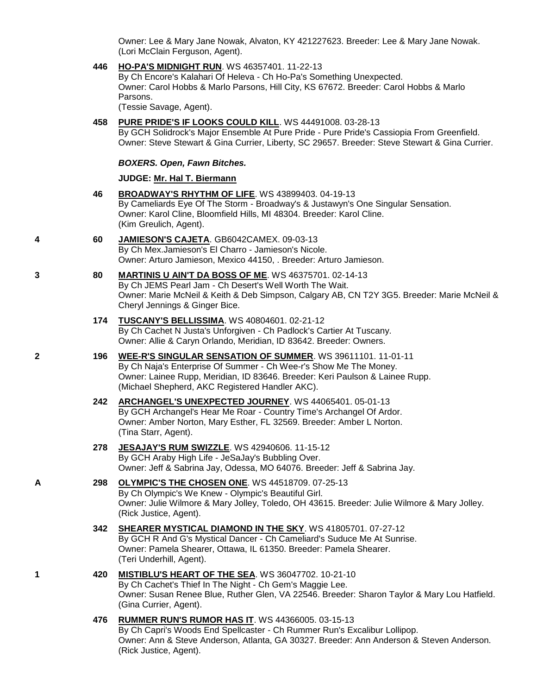Owner: Lee & Mary Jane Nowak, Alvaton, KY 421227623. Breeder: Lee & Mary Jane Nowak. (Lori McClain Ferguson, Agent).

**446 [HO-PA'S MIDNIGHT RUN](http://www.infodog.com/files/bdogrsl1.prg;makc=WS%2046357401;mdog=Ho-Pa_s_Midnight_Run;wins=all)**. WS 46357401. 11-22-13 By Ch Encore's Kalahari Of Heleva - Ch Ho-Pa's Something Unexpected. Owner: Carol Hobbs & Marlo Parsons, Hill City, KS 67672. Breeder: Carol Hobbs & Marlo Parsons. (Tessie Savage, Agent). **458 [PURE PRIDE'S IF LOOKS COULD KILL](http://www.infodog.com/files/bdogrsl1.prg;makc=WS%2044491008;mdog=Pure_Pride_s_If_Looks_Could_Kill;wins=all)**. WS 44491008. 03-28-13 By GCH Solidrock's Major Ensemble At Pure Pride - Pure Pride's Cassiopia From Greenfield. Owner: Steve Stewart & Gina Currier, Liberty, SC 29657. Breeder: Steve Stewart & Gina Currier. *BOXERS. Open, Fawn Bitches.* **JUDGE: [Mr. Hal T. Biermann](http://www.infodog.com/judges/3643/juddat.htm) 46 [BROADWAY'S RHYTHM OF LIFE](http://www.infodog.com/files/bdogrsl1.prg;makc=WS%2043899403;mdog=Broadway_s_Rhythm_Of_Life;wins=all)**. WS 43899403. 04-19-13 By Cameliards Eye Of The Storm - Broadway's & Justawyn's One Singular Sensation. Owner: Karol Cline, Bloomfield Hills, MI 48304. Breeder: Karol Cline. (Kim Greulich, Agent). **4 60 [JAMIESON'S CAJETA](http://www.infodog.com/files/bdogrsl1.prg;makc=GB6042CAMEX;mdog=Jamieson_s_Cajeta;wins=all)**. GB6042CAMEX. 09-03-13 By Ch Mex.Jamieson's El Charro - Jamieson's Nicole. Owner: Arturo Jamieson, Mexico 44150, . Breeder: Arturo Jamieson. **3 80 [MARTINIS U AIN'T DA BOSS OF ME](http://www.infodog.com/files/bdogrsl1.prg;makc=WS%2046375701;mdog=Martinis_U_Ain_t_Da_Boss_Of_Me;wins=all)**. WS 46375701. 02-14-13 By Ch JEMS Pearl Jam - Ch Desert's Well Worth The Wait. Owner: Marie McNeil & Keith & Deb Simpson, Calgary AB, CN T2Y 3G5. Breeder: Marie McNeil & Cheryl Jennings & Ginger Bice. **174 [TUSCANY'S BELLISSIMA](http://www.infodog.com/files/bdogrsl1.prg;makc=WS%2040804601;mdog=Tuscany_s_Bellissima;wins=all)**. WS 40804601. 02-21-12 By Ch Cachet N Justa's Unforgiven - Ch Padlock's Cartier At Tuscany. Owner: Allie & Caryn Orlando, Meridian, ID 83642. Breeder: Owners. **2 196 [WEE-R'S SINGULAR SENSATION OF SUMMER](http://www.infodog.com/files/bdogrsl1.prg;makc=WS%2039611101;mdog=Wee-R_s_Singular_Sensation_Of_Summer;wins=all)**. WS 39611101. 11-01-11 By Ch Naja's Enterprise Of Summer - Ch Wee-r's Show Me The Money. Owner: Lainee Rupp, Meridian, ID 83646. Breeder: Keri Paulson & Lainee Rupp. (Michael Shepherd, AKC Registered Handler AKC). **242 [ARCHANGEL'S UNEXPECTED JOURNEY](http://www.infodog.com/files/bdogrsl1.prg;makc=WS%2044065401;mdog=Archangel_s_Unexpected_Journey;wins=all)**. WS 44065401. 05-01-13 By GCH Archangel's Hear Me Roar - Country Time's Archangel Of Ardor. Owner: Amber Norton, Mary Esther, FL 32569. Breeder: Amber L Norton. (Tina Starr, Agent). **278 [JESAJAY'S RUM SWIZZLE](http://www.infodog.com/files/bdogrsl1.prg;makc=WS%2042940606;mdog=JeSaJay_s_Rum_Swizzle;wins=all)**. WS 42940606. 11-15-12 By GCH Araby High Life - JeSaJay's Bubbling Over. Owner: Jeff & Sabrina Jay, Odessa, MO 64076. Breeder: Jeff & Sabrina Jay. **A 298 [OLYMPIC'S THE CHOSEN ONE](http://www.infodog.com/files/bdogrsl1.prg;makc=WS%2044518709;mdog=Olympic_s_The_Chosen_One;wins=all)**. WS 44518709. 07-25-13 By Ch Olympic's We Knew - Olympic's Beautiful Girl. Owner: Julie Wilmore & Mary Jolley, Toledo, OH 43615. Breeder: Julie Wilmore & Mary Jolley. (Rick Justice, Agent). **342 [SHEARER MYSTICAL DIAMOND IN THE SKY](http://www.infodog.com/files/bdogrsl1.prg;makc=WS%2041805701;mdog=Shearer_Mystical_Diamond_In_The_Sky;wins=all)**. WS 41805701. 07-27-12 By GCH R And G's Mystical Dancer - Ch Cameliard's Suduce Me At Sunrise. Owner: Pamela Shearer, Ottawa, IL 61350. Breeder: Pamela Shearer. (Teri Underhill, Agent). **1 420 [MISTIBLU'S HEART OF THE SEA](http://www.infodog.com/files/bdogrsl1.prg;makc=WS%2036047702;mdog=Mistiblu_s_Heart_Of_The_Sea;wins=all)**. WS 36047702. 10-21-10 By Ch Cachet's Thief In The Night - Ch Gem's Maggie Lee. Owner: Susan Renee Blue, Ruther Glen, VA 22546. Breeder: Sharon Taylor & Mary Lou Hatfield. (Gina Currier, Agent). **476 [RUMMER RUN'S RUMOR HAS IT](http://www.infodog.com/files/bdogrsl1.prg;makc=WS%2044366005;mdog=Rummer_Run_s_Rumor_Has_It;wins=all)**. WS 44366005. 03-15-13 By Ch Capri's Woods End Spellcaster - Ch Rummer Run's Excalibur Lollipop.

Owner: Ann & Steve Anderson, Atlanta, GA 30327. Breeder: Ann Anderson & Steven Anderson. (Rick Justice, Agent).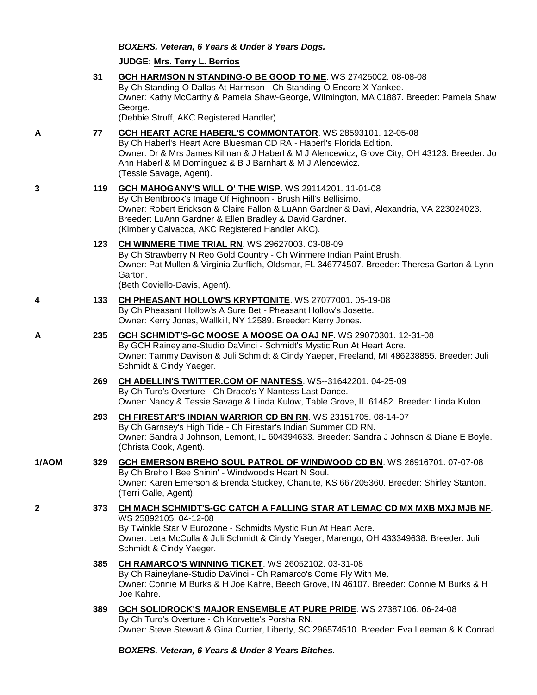*BOXERS. Veteran, 6 Years & Under 8 Years Dogs.*

**JUDGE: [Mrs. Terry L. Berrios](http://www.infodog.com/judges/7393/juddat.htm)**

|       | 31  | GCH HARMSON N STANDING-O BE GOOD TO ME. WS 27425002. 08-08-08<br>By Ch Standing-O Dallas At Harmson - Ch Standing-O Encore X Yankee.<br>Owner: Kathy McCarthy & Pamela Shaw-George, Wilmington, MA 01887. Breeder: Pamela Shaw<br>George.<br>(Debbie Struff, AKC Registered Handler).                                              |
|-------|-----|------------------------------------------------------------------------------------------------------------------------------------------------------------------------------------------------------------------------------------------------------------------------------------------------------------------------------------|
| A     | 77  | GCH HEART ACRE HABERL'S COMMONTATOR. WS 28593101. 12-05-08<br>By Ch Haberl's Heart Acre Bluesman CD RA - Haberl's Florida Edition.<br>Owner: Dr & Mrs James Kilman & J Haberl & M J Alencewicz, Grove City, OH 43123. Breeder: Jo<br>Ann Haberl & M Dominguez & B J Barnhart & M J Alencewicz.<br>(Tessie Savage, Agent).          |
| 3     | 119 | GCH MAHOGANY'S WILL O' THE WISP. WS 29114201. 11-01-08<br>By Ch Bentbrook's Image Of Highnoon - Brush Hill's Bellisimo.<br>Owner: Robert Erickson & Claire Fallon & LuAnn Gardner & Davi, Alexandria, VA 223024023.<br>Breeder: LuAnn Gardner & Ellen Bradley & David Gardner.<br>(Kimberly Calvacca, AKC Registered Handler AKC). |
|       | 123 | <b>CH WINMERE TIME TRIAL RN. WS 29627003. 03-08-09</b><br>By Ch Strawberry N Reo Gold Country - Ch Winmere Indian Paint Brush.<br>Owner: Pat Mullen & Virginia Zurflieh, Oldsmar, FL 346774507. Breeder: Theresa Garton & Lynn<br>Garton.<br>(Beth Coviello-Davis, Agent).                                                         |
| 4     | 133 | CH PHEASANT HOLLOW'S KRYPTONITE. WS 27077001. 05-19-08<br>By Ch Pheasant Hollow's A Sure Bet - Pheasant Hollow's Josette.<br>Owner: Kerry Jones, Wallkill, NY 12589. Breeder: Kerry Jones.                                                                                                                                         |
| A     | 235 | GCH SCHMIDT'S-GC MOOSE A MOOSE OA OAJ NF. WS 29070301. 12-31-08<br>By GCH Raineylane-Studio DaVinci - Schmidt's Mystic Run At Heart Acre.<br>Owner: Tammy Davison & Juli Schmidt & Cindy Yaeger, Freeland, MI 486238855. Breeder: Juli<br>Schmidt & Cindy Yaeger.                                                                  |
|       | 269 | CH ADELLIN'S TWITTER.COM OF NANTESS. WS--31642201. 04-25-09<br>By Ch Turo's Overture - Ch Draco's Y Nantess Last Dance.<br>Owner: Nancy & Tessie Savage & Linda Kulow, Table Grove, IL 61482. Breeder: Linda Kulon.                                                                                                                |
|       | 293 | CH FIRESTAR'S INDIAN WARRIOR CD BN RN. WS 23151705. 08-14-07<br>By Ch Garnsey's High Tide - Ch Firestar's Indian Summer CD RN.<br>Owner: Sandra J Johnson, Lemont, IL 604394633. Breeder: Sandra J Johnson & Diane E Boyle.<br>(Christa Cook, Agent).                                                                              |
| 1/AOM | 329 | GCH EMERSON BREHO SOUL PATROL OF WINDWOOD CD BN. WS 26916701. 07-07-08<br>By Ch Breho I Bee Shinin' - Windwood's Heart N Soul.<br>Owner: Karen Emerson & Brenda Stuckey, Chanute, KS 667205360. Breeder: Shirley Stanton.<br>(Terri Galle, Agent).                                                                                 |
| 2     | 373 | CH MACH SCHMIDT'S-GC CATCH A FALLING STAR AT LEMAC CD MX MXB MXJ MJB NF.<br>WS 25892105.04-12-08<br>By Twinkle Star V Eurozone - Schmidts Mystic Run At Heart Acre.<br>Owner: Leta McCulla & Juli Schmidt & Cindy Yaeger, Marengo, OH 433349638. Breeder: Juli<br>Schmidt & Cindy Yaeger.                                          |
|       | 385 | <b>CH RAMARCO'S WINNING TICKET. WS 26052102. 03-31-08</b><br>By Ch Raineylane-Studio DaVinci - Ch Ramarco's Come Fly With Me.<br>Owner: Connie M Burks & H Joe Kahre, Beech Grove, IN 46107. Breeder: Connie M Burks & H<br>Joe Kahre.                                                                                             |
|       | 389 | <b>GCH SOLIDROCK'S MAJOR ENSEMBLE AT PURE PRIDE. WS 27387106. 06-24-08</b><br>By Ch Turo's Overture - Ch Korvette's Porsha RN.<br>Owner: Steve Stewart & Gina Currier, Liberty, SC 296574510. Breeder: Eva Leeman & K Conrad.                                                                                                      |
|       |     | BOXERS. Veteran, 6 Years & Under 8 Years Bitches.                                                                                                                                                                                                                                                                                  |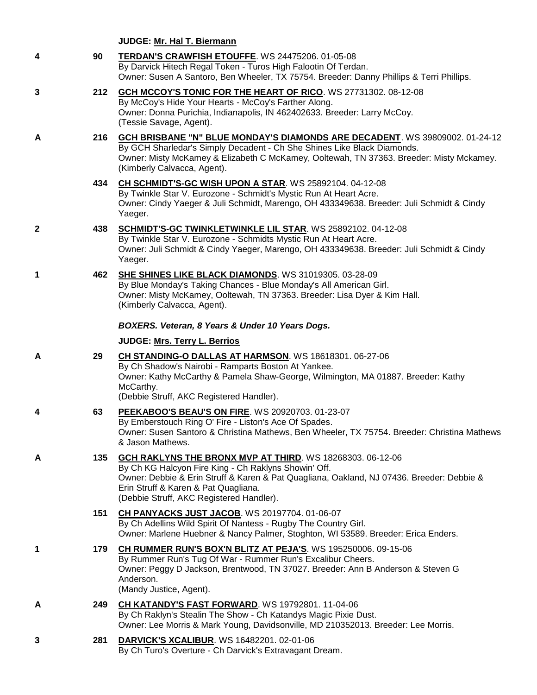|              |     | JUDGE: Mr. Hal T. Biermann                                                                                                                                                                                                                                                                         |
|--------------|-----|----------------------------------------------------------------------------------------------------------------------------------------------------------------------------------------------------------------------------------------------------------------------------------------------------|
| 4            | 90  | TERDAN'S CRAWFISH ETOUFFE. WS 24475206. 01-05-08<br>By Darvick Hitech Regal Token - Turos High Falootin Of Terdan.<br>Owner: Susen A Santoro, Ben Wheeler, TX 75754. Breeder: Danny Phillips & Terri Phillips.                                                                                     |
| 3            | 212 | GCH MCCOY'S TONIC FOR THE HEART OF RICO. WS 27731302. 08-12-08<br>By McCoy's Hide Your Hearts - McCoy's Farther Along.<br>Owner: Donna Purichia, Indianapolis, IN 462402633. Breeder: Larry McCoy.<br>(Tessie Savage, Agent).                                                                      |
| A            | 216 | <b>GCH BRISBANE "N" BLUE MONDAY'S DIAMONDS ARE DECADENT</b> . WS 39809002. 01-24-12<br>By GCH Sharledar's Simply Decadent - Ch She Shines Like Black Diamonds.<br>Owner: Misty McKamey & Elizabeth C McKamey, Ooltewah, TN 37363. Breeder: Misty Mckamey.<br>(Kimberly Calvacca, Agent).           |
|              | 434 | CH SCHMIDT'S-GC WISH UPON A STAR. WS 25892104. 04-12-08<br>By Twinkle Star V. Eurozone - Schmidt's Mystic Run At Heart Acre.<br>Owner: Cindy Yaeger & Juli Schmidt, Marengo, OH 433349638. Breeder: Juli Schmidt & Cindy<br>Yaeger.                                                                |
| $\mathbf{2}$ | 438 | SCHMIDT'S-GC TWINKLETWINKLE LIL STAR. WS 25892102. 04-12-08<br>By Twinkle Star V. Eurozone - Schmidts Mystic Run At Heart Acre.<br>Owner: Juli Schmidt & Cindy Yaeger, Marengo, OH 433349638. Breeder: Juli Schmidt & Cindy<br>Yaeger.                                                             |
| 1            | 462 | <b>SHE SHINES LIKE BLACK DIAMONDS.</b> WS 31019305. 03-28-09<br>By Blue Monday's Taking Chances - Blue Monday's All American Girl.<br>Owner: Misty McKamey, Ooltewah, TN 37363. Breeder: Lisa Dyer & Kim Hall.<br>(Kimberly Calvacca, Agent).                                                      |
|              |     | BOXERS. Veteran, 8 Years & Under 10 Years Dogs.                                                                                                                                                                                                                                                    |
|              |     | JUDGE: Mrs. Terry L. Berrios                                                                                                                                                                                                                                                                       |
| A            | 29  | CH STANDING-O DALLAS AT HARMSON. WS 18618301. 06-27-06<br>By Ch Shadow's Nairobi - Ramparts Boston At Yankee.<br>Owner: Kathy McCarthy & Pamela Shaw-George, Wilmington, MA 01887. Breeder: Kathy<br>McCarthy.<br>(Debbie Struff, AKC Registered Handler).                                         |
| 4            | 63  | PEEKABOO'S BEAU'S ON FIRE. WS 20920703. 01-23-07<br>By Emberstouch Ring O' Fire - Liston's Ace Of Spades.<br>Owner: Susen Santoro & Christina Mathews, Ben Wheeler, TX 75754. Breeder: Christina Mathews<br>& Jason Mathews.                                                                       |
| A            | 135 | GCH RAKLYNS THE BRONX MVP AT THIRD. WS 18268303. 06-12-06<br>By Ch KG Halcyon Fire King - Ch Raklyns Showin' Off.<br>Owner: Debbie & Erin Struff & Karen & Pat Quagliana, Oakland, NJ 07436. Breeder: Debbie &<br>Erin Struff & Karen & Pat Quagliana.<br>(Debbie Struff, AKC Registered Handler). |
|              | 151 | CH PANYACKS JUST JACOB. WS 20197704. 01-06-07<br>By Ch Adellins Wild Spirit Of Nantess - Rugby The Country Girl.<br>Owner: Marlene Huebner & Nancy Palmer, Stoghton, WI 53589. Breeder: Erica Enders.                                                                                              |
| 1            | 179 | CH RUMMER RUN'S BOX'N BLITZ AT PEJA'S. WS 195250006. 09-15-06<br>By Rummer Run's Tug Of War - Rummer Run's Excalibur Cheers.<br>Owner: Peggy D Jackson, Brentwood, TN 37027. Breeder: Ann B Anderson & Steven G<br>Anderson.<br>(Mandy Justice, Agent).                                            |
| A            | 249 | CH KATANDY'S FAST FORWARD. WS 19792801. 11-04-06<br>By Ch Raklyn's Stealin The Show - Ch Katandys Magic Pixie Dust.<br>Owner: Lee Morris & Mark Young, Davidsonville, MD 210352013. Breeder: Lee Morris.                                                                                           |
| 3            | 281 | <b>DARVICK'S XCALIBUR.</b> WS 16482201. 02-01-06<br>By Ch Turo's Overture - Ch Darvick's Extravagant Dream.                                                                                                                                                                                        |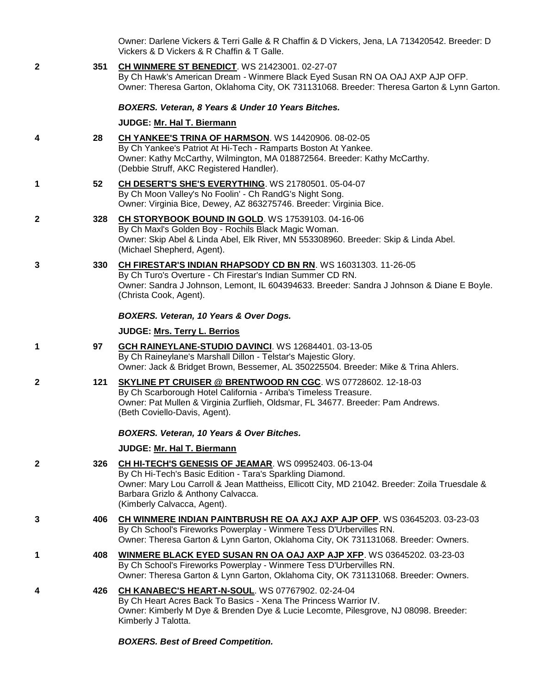Owner: Darlene Vickers & Terri Galle & R Chaffin & D Vickers, Jena, LA 713420542. Breeder: D Vickers & D Vickers & R Chaffin & T Galle.

**2 351 [CH WINMERE ST BENEDICT](http://www.infodog.com/files/bdogrsl1.prg;makc=WS%2021423001;mdog=Ch_Winmere_St_Benedict;wins=all)**. WS 21423001. 02-27-07 By Ch Hawk's American Dream - Winmere Black Eyed Susan RN OA OAJ AXP AJP OFP. Owner: Theresa Garton, Oklahoma City, OK 731131068. Breeder: Theresa Garton & Lynn Garton.

*BOXERS. Veteran, 8 Years & Under 10 Years Bitches.*

## **JUDGE: [Mr. Hal T. Biermann](http://www.infodog.com/judges/3643/juddat.htm)**

- **4 28 [CH YANKEE'S TRINA OF HARMSON](http://www.infodog.com/files/bdogrsl1.prg;makc=WS%2014420906;mdog=Ch_Yankee_s_Trina_Of_Harmson;wins=all)**. WS 14420906. 08-02-05 By Ch Yankee's Patriot At Hi-Tech - Ramparts Boston At Yankee. Owner: Kathy McCarthy, Wilmington, MA 018872564. Breeder: Kathy McCarthy. (Debbie Struff, AKC Registered Handler).
- **1 52 [CH DESERT'S SHE'S EVERYTHING](http://www.infodog.com/files/bdogrsl1.prg;makc=WS%2021780501;mdog=Ch_Desert_s_She_s_Everything;wins=all)**. WS 21780501. 05-04-07 By Ch Moon Valley's No Foolin' - Ch RandG's Night Song. Owner: Virginia Bice, Dewey, AZ 863275746. Breeder: Virginia Bice.
- **2 328 [CH STORYBOOK BOUND IN GOLD](http://www.infodog.com/files/bdogrsl1.prg;makc=WS%2017539103;mdog=Ch_Storybook_Bound_In_Gold;wins=all)**. WS 17539103. 04-16-06 By Ch Maxl's Golden Boy - Rochils Black Magic Woman. Owner: Skip Abel & Linda Abel, Elk River, MN 553308960. Breeder: Skip & Linda Abel. (Michael Shepherd, Agent).
- **3 330 [CH FIRESTAR'S INDIAN RHAPSODY CD BN RN](http://www.infodog.com/files/bdogrsl1.prg;makc=WS%2016031303;mdog=Ch_Firestar_s_Indian_Rhapsody_CD_BN_RN;wins=all)**. WS 16031303. 11-26-05

By Ch Turo's Overture - Ch Firestar's Indian Summer CD RN. Owner: Sandra J Johnson, Lemont, IL 604394633. Breeder: Sandra J Johnson & Diane E Boyle. (Christa Cook, Agent).

#### *BOXERS. Veteran, 10 Years & Over Dogs.*

#### **JUDGE: [Mrs. Terry L. Berrios](http://www.infodog.com/judges/7393/juddat.htm)**

- **1 97 [GCH RAINEYLANE-STUDIO DAVINCI](http://www.infodog.com/files/bdogrsl1.prg;makc=WS%2012684401;mdog=GCH_Raineylane-Studio_DaVinci;wins=all)**. WS 12684401. 03-13-05 By Ch Raineylane's Marshall Dillon - Telstar's Majestic Glory. Owner: Jack & Bridget Brown, Bessemer, AL 350225504. Breeder: Mike & Trina Ahlers.
- **2 121 [SKYLINE PT CRUISER @ BRENTWOOD RN CGC](http://www.infodog.com/files/bdogrsl1.prg;makc=WS%2007728602;mdog=Skyline_PT_Cruiser_@_Brentwood_RN_CGC;wins=all)**. WS 07728602. 12-18-03 By Ch Scarborough Hotel California - Arriba's Timeless Treasure. Owner: Pat Mullen & Virginia Zurflieh, Oldsmar, FL 34677. Breeder: Pam Andrews. (Beth Coviello-Davis, Agent).

## *BOXERS. Veteran, 10 Years & Over Bitches.*

## **JUDGE: [Mr. Hal T. Biermann](http://www.infodog.com/judges/3643/juddat.htm)**

- **2 326 [CH HI-TECH'S GENESIS OF JEAMAR](http://www.infodog.com/files/bdogrsl1.prg;makc=WS%2009952403;mdog=Ch_Hi-Tech_s_Genesis_Of_Jeamar;wins=all)**. WS 09952403. 06-13-04 By Ch Hi-Tech's Basic Edition - Tara's Sparkling Diamond. Owner: Mary Lou Carroll & Jean Mattheiss, Ellicott City, MD 21042. Breeder: Zoila Truesdale & Barbara Grizlo & Anthony Calvacca. (Kimberly Calvacca, Agent).
- **3 406 [CH WINMERE INDIAN PAINTBRUSH RE OA AXJ AXP AJP OFP](http://www.infodog.com/files/bdogrsl1.prg;makc=WS%2003645203;mdog=Ch_Winmere_Indian_Paintbrush_RE_OA_AXJ_AXP_AJP_OFP;wins=all)**. WS 03645203. 03-23-03 By Ch School's Fireworks Powerplay - Winmere Tess D'Urbervilles RN. Owner: Theresa Garton & Lynn Garton, Oklahoma City, OK 731131068. Breeder: Owners.
- **1 408 [WINMERE BLACK EYED SUSAN RN OA OAJ AXP AJP XFP](http://www.infodog.com/files/bdogrsl1.prg;makc=WS%2003645202;mdog=Winmere_Black_Eyed_Susan_RN_OA_OAJ_AXP_AJP_XFP;wins=all)**. WS 03645202. 03-23-03 By Ch School's Fireworks Powerplay - Winmere Tess D'Urbervilles RN. Owner: Theresa Garton & Lynn Garton, Oklahoma City, OK 731131068. Breeder: Owners.
- **4 426 [CH KANABEC'S HEART-N-SOUL](http://www.infodog.com/files/bdogrsl1.prg;makc=WS%2007767902;mdog=Ch_Kanabec_s_Heart-N-Soul;wins=all)**. WS 07767902. 02-24-04 By Ch Heart Acres Back To Basics - Xena The Princess Warrior IV. Owner: Kimberly M Dye & Brenden Dye & Lucie Lecomte, Pilesgrove, NJ 08098. Breeder: Kimberly J Talotta.

## *BOXERS. Best of Breed Competition.*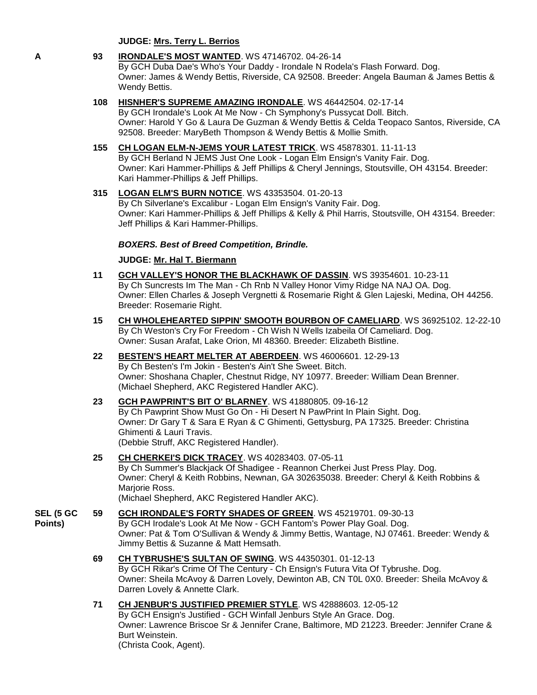**JUDGE: [Mrs. Terry L. Berrios](http://www.infodog.com/judges/7393/juddat.htm)**

## **A 93 [IRONDALE'S MOST WANTED](http://www.infodog.com/files/bdogrsl1.prg;makc=WS%2047146702;mdog=Irondale_s_Most_Wanted;wins=all)**. WS 47146702. 04-26-14

By GCH Duba Dae's Who's Your Daddy - Irondale N Rodela's Flash Forward. Dog. Owner: James & Wendy Bettis, Riverside, CA 92508. Breeder: Angela Bauman & James Bettis & Wendy Bettis.

## **108 [HISNHER'S SUPREME AMAZING IRONDALE](http://www.infodog.com/files/bdogrsl1.prg;makc=WS%2046442504;mdog=HisNHer_s_Supreme_Amazing_Irondale;wins=all)**. WS 46442504. 02-17-14

By GCH Irondale's Look At Me Now - Ch Symphony's Pussycat Doll. Bitch. Owner: Harold Y Go & Laura De Guzman & Wendy Bettis & Celda Teopaco Santos, Riverside, CA 92508. Breeder: MaryBeth Thompson & Wendy Bettis & Mollie Smith.

## **155 [CH LOGAN ELM-N-JEMS YOUR LATEST TRICK](http://www.infodog.com/files/bdogrsl1.prg;makc=WS%2045878301;mdog=Ch_Logan_Elm-N-JEMS_Your_Latest_Trick;wins=all)**. WS 45878301. 11-11-13

By GCH Berland N JEMS Just One Look - Logan Elm Ensign's Vanity Fair. Dog. Owner: Kari Hammer-Phillips & Jeff Phillips & Cheryl Jennings, Stoutsville, OH 43154. Breeder: Kari Hammer-Phillips & Jeff Phillips.

## **315 [LOGAN ELM'S BURN NOTICE](http://www.infodog.com/files/bdogrsl1.prg;makc=WS%2043353504;mdog=Logan_Elm_s_Burn_Notice;wins=all)**. WS 43353504. 01-20-13

By Ch Silverlane's Excalibur - Logan Elm Ensign's Vanity Fair. Dog. Owner: Kari Hammer-Phillips & Jeff Phillips & Kelly & Phil Harris, Stoutsville, OH 43154. Breeder: Jeff Phillips & Kari Hammer-Phillips.

## *BOXERS. Best of Breed Competition, Brindle.*

## **JUDGE: [Mr. Hal T. Biermann](http://www.infodog.com/judges/3643/juddat.htm)**

- **11 [GCH VALLEY'S HONOR THE BLACKHAWK OF DASSIN](http://www.infodog.com/files/bdogrsl1.prg;makc=WS%2039354601;mdog=GCH_Valley_s_Honor_The_Blackhawk_Of_Dassin;wins=all)**. WS 39354601. 10-23-11 By Ch Suncrests Im The Man - Ch Rnb N Valley Honor Vimy Ridge NA NAJ OA. Dog. Owner: Ellen Charles & Joseph Vergnetti & Rosemarie Right & Glen Lajeski, Medina, OH 44256. Breeder: Rosemarie Right.
- **15 [CH WHOLEHEARTED SIPPIN' SMOOTH BOURBON OF CAMELIARD](http://www.infodog.com/files/bdogrsl1.prg;makc=WS%2036925102;mdog=Ch_Wholehearted_Sippin__Smooth_Bourbon_Of_Cameliard;wins=all)**. WS 36925102. 12-22-10 By Ch Weston's Cry For Freedom - Ch Wish N Wells Izabeila Of Cameliard. Dog. Owner: Susan Arafat, Lake Orion, MI 48360. Breeder: Elizabeth Bistline.

## **22 [BESTEN'S HEART MELTER AT ABERDEEN](http://www.infodog.com/files/bdogrsl1.prg;makc=WS%2046006601;mdog=Besten_s_Heart_Melter_At_Aberdeen;wins=all)**. WS 46006601. 12-29-13 By Ch Besten's I'm Jokin - Besten's Ain't She Sweet. Bitch. Owner: Shoshana Chapler, Chestnut Ridge, NY 10977. Breeder: William Dean Brenner. (Michael Shepherd, AKC Registered Handler AKC).

# **23 [GCH PAWPRINT'S BIT O' BLARNEY](http://www.infodog.com/files/bdogrsl1.prg;makc=WS%2041880805;mdog=GCH_Pawprint_s_Bit_O__Blarney;wins=all)**. WS 41880805. 09-16-12

By Ch Pawprint Show Must Go On - Hi Desert N PawPrint In Plain Sight. Dog. Owner: Dr Gary T & Sara E Ryan & C Ghimenti, Gettysburg, PA 17325. Breeder: Christina Ghimenti & Lauri Travis. (Debbie Struff, AKC Registered Handler).

## **25 [CH CHERKEI'S DICK TRACEY](http://www.infodog.com/files/bdogrsl1.prg;makc=WS%2040283403;mdog=Ch_Cherkei_s_Dick_Tracey;wins=all)**. WS 40283403. 07-05-11 By Ch Summer's Blackjack Of Shadigee - Reannon Cherkei Just Press Play. Dog. Owner: Cheryl & Keith Robbins, Newnan, GA 302635038. Breeder: Cheryl & Keith Robbins & Marjorie Ross.

(Michael Shepherd, AKC Registered Handler AKC).

#### **SEL (5 GC Points) 59 [GCH IRONDALE'S FORTY SHADES OF GREEN](http://www.infodog.com/files/bdogrsl1.prg;makc=WS%2045219701;mdog=GCH_Irondale_s_Forty_Shades_Of_Green;wins=all)**. WS 45219701. 09-30-13 By GCH Irodale's Look At Me Now - GCH Fantom's Power Play Goal. Dog. Owner: Pat & Tom O'Sullivan & Wendy & Jimmy Bettis, Wantage, NJ 07461. Breeder: Wendy & Jimmy Bettis & Suzanne & Matt Hemsath.

## **69 [CH TYBRUSHE'S SULTAN OF SWING](http://www.infodog.com/files/bdogrsl1.prg;makc=WS%2044350301;mdog=Ch_Tybrushe_s_Sultan_Of_Swing;wins=all)**. WS 44350301. 01-12-13 By GCH Rikar's Crime Of The Century - Ch Ensign's Futura Vita Of Tybrushe. Dog. Owner: Sheila McAvoy & Darren Lovely, Dewinton AB, CN T0L 0X0. Breeder: Sheila McAvoy & Darren Lovely & Annette Clark.

## **71 [CH JENBUR'S JUSTIFIED PREMIER STYLE](http://www.infodog.com/files/bdogrsl1.prg;makc=WS%2042888603;mdog=Ch_Jenbur_s_Justified_Premier_Style;wins=all)**. WS 42888603. 12-05-12

By GCH Ensign's Justified - GCH Winfall Jenburs Style An Grace. Dog. Owner: Lawrence Briscoe Sr & Jennifer Crane, Baltimore, MD 21223. Breeder: Jennifer Crane & Burt Weinstein.

(Christa Cook, Agent).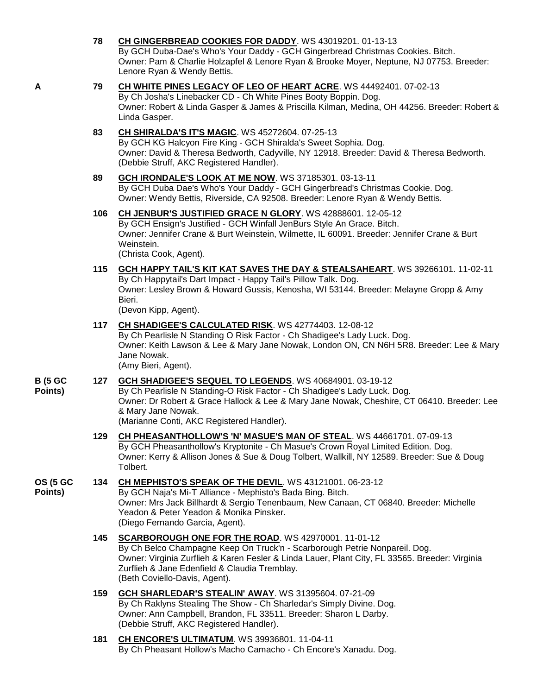|                             |     | By GCH Duba-Dae's Who's Your Daddy - GCH Gingerbread Christmas Cookies. Bitch.<br>Owner: Pam & Charlie Holzapfel & Lenore Ryan & Brooke Moyer, Neptune, NJ 07753. Breeder:<br>Lenore Ryan & Wendy Bettis.                                                                                                             |
|-----------------------------|-----|-----------------------------------------------------------------------------------------------------------------------------------------------------------------------------------------------------------------------------------------------------------------------------------------------------------------------|
| A                           | 79  | CH WHITE PINES LEGACY OF LEO OF HEART ACRE. WS 44492401. 07-02-13<br>By Ch Josha's Linebacker CD - Ch White Pines Booty Boppin. Dog.<br>Owner: Robert & Linda Gasper & James & Priscilla Kilman, Medina, OH 44256. Breeder: Robert &<br>Linda Gasper.                                                                 |
|                             | 83  | <b>CH SHIRALDA'S IT'S MAGIC. WS 45272604. 07-25-13</b><br>By GCH KG Halcyon Fire King - GCH Shiralda's Sweet Sophia. Dog.<br>Owner: David & Theresa Bedworth, Cadyville, NY 12918. Breeder: David & Theresa Bedworth.<br>(Debbie Struff, AKC Registered Handler).                                                     |
|                             | 89  | GCH IRONDALE'S LOOK AT ME NOW. WS 37185301. 03-13-11<br>By GCH Duba Dae's Who's Your Daddy - GCH Gingerbread's Christmas Cookie. Dog.<br>Owner: Wendy Bettis, Riverside, CA 92508. Breeder: Lenore Ryan & Wendy Bettis.                                                                                               |
|                             | 106 | CH JENBUR'S JUSTIFIED GRACE N GLORY. WS 42888601. 12-05-12<br>By GCH Ensign's Justified - GCH Winfall JenBurs Style An Grace. Bitch.<br>Owner: Jennifer Crane & Burt Weinstein, Wilmette, IL 60091. Breeder: Jennifer Crane & Burt<br>Weinstein.<br>(Christa Cook, Agent).                                            |
|                             | 115 | <b>GCH HAPPY TAIL'S KIT KAT SAVES THE DAY &amp; STEALSAHEART.</b> WS 39266101. 11-02-11<br>By Ch Happytail's Dart Impact - Happy Tail's Pillow Talk. Dog.<br>Owner: Lesley Brown & Howard Gussis, Kenosha, WI 53144. Breeder: Melayne Gropp & Amy<br>Bieri.<br>(Devon Kipp, Agent).                                   |
|                             | 117 | CH SHADIGEE'S CALCULATED RISK. WS 42774403. 12-08-12<br>By Ch Pearlisle N Standing O Risk Factor - Ch Shadigee's Lady Luck. Dog.<br>Owner: Keith Lawson & Lee & Mary Jane Nowak, London ON, CN N6H 5R8. Breeder: Lee & Mary<br>Jane Nowak.<br>(Amy Bieri, Agent).                                                     |
| <b>B</b> (5 GC<br>Points)   | 127 | GCH SHADIGEE'S SEQUEL TO LEGENDS. WS 40684901. 03-19-12<br>By Ch Pearlisle N Standing-O Risk Factor - Ch Shadigee's Lady Luck. Dog.<br>Owner: Dr Robert & Grace Hallock & Lee & Mary Jane Nowak, Cheshire, CT 06410. Breeder: Lee<br>& Mary Jane Nowak.<br>(Marianne Conti, AKC Registered Handler).                  |
|                             | 129 | CH PHEASANTHOLLOW'S 'N' MASUE'S MAN OF STEAL. WS 44661701. 07-09-13<br>By GCH Pheasanthollow's Kryptonite - Ch Masue's Crown Royal Limited Edition. Dog.<br>Owner: Kerry & Allison Jones & Sue & Doug Tolbert, Wallkill, NY 12589. Breeder: Sue & Doug<br>Tolbert.                                                    |
| <b>OS (5 GC)</b><br>Points) | 134 | CH MEPHISTO'S SPEAK OF THE DEVIL. WS 43121001. 06-23-12<br>By GCH Naja's Mi-T Alliance - Mephisto's Bada Bing. Bitch.<br>Owner: Mrs Jack Billhardt & Sergio Tenenbaum, New Canaan, CT 06840. Breeder: Michelle<br>Yeadon & Peter Yeadon & Monika Pinsker.<br>(Diego Fernando Garcia, Agent).                          |
|                             | 145 | SCARBOROUGH ONE FOR THE ROAD. WS 42970001. 11-01-12<br>By Ch Belco Champagne Keep On Truck'n - Scarborough Petrie Nonpareil. Dog.<br>Owner: Virginia Zurflieh & Karen Fesler & Linda Lauer, Plant City, FL 33565. Breeder: Virginia<br>Zurflieh & Jane Edenfield & Claudia Tremblay.<br>(Beth Coviello-Davis, Agent). |
|                             | 159 | GCH SHARLEDAR'S STEALIN' AWAY. WS 31395604. 07-21-09<br>By Ch Raklyns Stealing The Show - Ch Sharledar's Simply Divine. Dog.<br>Owner: Ann Campbell, Brandon, FL 33511. Breeder: Sharon L Darby.<br>(Debbie Struff, AKC Registered Handler).                                                                          |
|                             | 181 | <b>CH ENCORE'S ULTIMATUM. WS 39936801. 11-04-11</b>                                                                                                                                                                                                                                                                   |

**78 [CH GINGERBREAD COOKIES FOR DADDY](http://www.infodog.com/files/bdogrsl1.prg;makc=WS%2043019201;mdog=Ch_Gingerbread_Cookies_For_Daddy;wins=all)**. WS 43019201. 01-13-13

By Ch Pheasant Hollow's Macho Camacho - Ch Encore's Xanadu. Dog.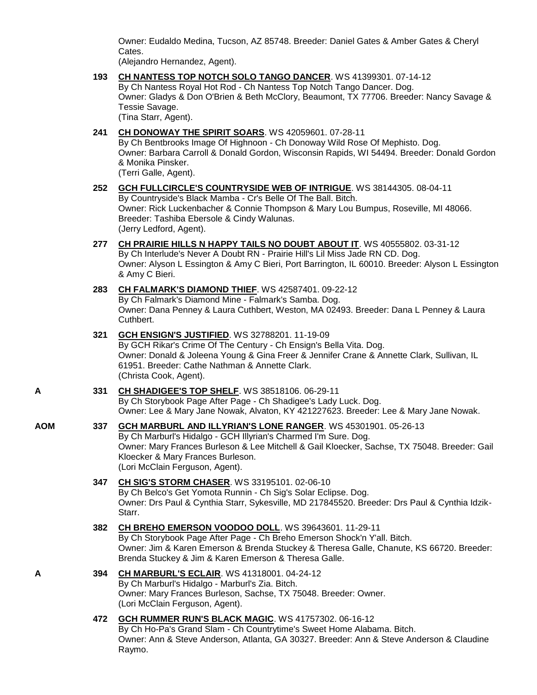Owner: Eudaldo Medina, Tucson, AZ 85748. Breeder: Daniel Gates & Amber Gates & Cheryl Cates.

(Alejandro Hernandez, Agent).

- **193 [CH NANTESS TOP NOTCH SOLO TANGO DANCER](http://www.infodog.com/files/bdogrsl1.prg;makc=WS%2041399301;mdog=Ch_Nantess_Top_Notch_Solo_Tango_Dancer;wins=all)**. WS 41399301. 07-14-12 By Ch Nantess Royal Hot Rod - Ch Nantess Top Notch Tango Dancer. Dog. Owner: Gladys & Don O'Brien & Beth McClory, Beaumont, TX 77706. Breeder: Nancy Savage & Tessie Savage. (Tina Starr, Agent).
- **241 [CH DONOWAY THE SPIRIT SOARS](http://www.infodog.com/files/bdogrsl1.prg;makc=WS%2042059601;mdog=Ch_Donoway_The_Spirit_Soars;wins=all)**. WS 42059601. 07-28-11 By Ch Bentbrooks Image Of Highnoon - Ch Donoway Wild Rose Of Mephisto. Dog. Owner: Barbara Carroll & Donald Gordon, Wisconsin Rapids, WI 54494. Breeder: Donald Gordon & Monika Pinsker. (Terri Galle, Agent).
- **252 [GCH FULLCIRCLE'S COUNTRYSIDE WEB OF INTRIGUE](http://www.infodog.com/files/bdogrsl1.prg;makc=WS%2038144305;mdog=GCH_Fullcircle_s_Countryside_Web_Of_Intrigue;wins=all)**. WS 38144305. 08-04-11 By Countryside's Black Mamba - Cr's Belle Of The Ball. Bitch. Owner: Rick Luckenbacher & Connie Thompson & Mary Lou Bumpus, Roseville, MI 48066. Breeder: Tashiba Ebersole & Cindy Walunas. (Jerry Ledford, Agent).
- **277 [CH PRAIRIE HILLS N HAPPY TAILS NO DOUBT ABOUT IT](http://www.infodog.com/files/bdogrsl1.prg;makc=WS%2040555802;mdog=Ch_Prairie_Hills_N_Happy_Tails_No_Doubt_About_It;wins=all)**. WS 40555802. 03-31-12 By Ch Interlude's Never A Doubt RN - Prairie Hill's Lil Miss Jade RN CD. Dog. Owner: Alyson L Essington & Amy C Bieri, Port Barrington, IL 60010. Breeder: Alyson L Essington & Amy C Bieri.
- **283 [CH FALMARK'S DIAMOND](http://www.infodog.com/files/bdogrsl1.prg;makc=WS%2042587401;mdog=Ch_Falmark_s_Diamond_Thief;wins=all) THIEF**. WS 42587401. 09-22-12 By Ch Falmark's Diamond Mine - Falmark's Samba. Dog. Owner: Dana Penney & Laura Cuthbert, Weston, MA 02493. Breeder: Dana L Penney & Laura Cuthbert.
- **321 [GCH ENSIGN'S JUSTIFIED](http://www.infodog.com/files/bdogrsl1.prg;makc=WS%2032788201;mdog=GCH_Ensign_s_Justified;wins=all)**. WS 32788201. 11-19-09 By GCH Rikar's Crime Of The Century - Ch Ensign's Bella Vita. Dog. Owner: Donald & Joleena Young & Gina Freer & Jennifer Crane & Annette Clark, Sullivan, IL 61951. Breeder: Cathe Nathman & Annette Clark. (Christa Cook, Agent).
- **A 331 [CH SHADIGEE'S TOP SHELF](http://www.infodog.com/files/bdogrsl1.prg;makc=WS%2038518106;mdog=Ch_Shadigee_s_Top_Shelf;wins=all)**. WS 38518106. 06-29-11 By Ch Storybook Page After Page - Ch Shadigee's Lady Luck. Dog. Owner: Lee & Mary Jane Nowak, Alvaton, KY 421227623. Breeder: Lee & Mary Jane Nowak.
- **AOM 337 [GCH MARBURL AND ILLYRIAN'S LONE RANGER](http://www.infodog.com/files/bdogrsl1.prg;makc=WS%2045301901;mdog=GCH_Marburl_And_Illyrian_s_Lone_Ranger;wins=all)**. WS 45301901. 05-26-13 By Ch Marburl's Hidalgo - GCH Illyrian's Charmed I'm Sure. Dog. Owner: Mary Frances Burleson & Lee Mitchell & Gail Kloecker, Sachse, TX 75048. Breeder: Gail Kloecker & Mary Frances Burleson. (Lori McClain Ferguson, Agent).
	- **347 [CH SIG'S STORM CHASER](http://www.infodog.com/files/bdogrsl1.prg;makc=WS%2033195101;mdog=Ch_Sig_s_Storm_Chaser;wins=all)**. WS 33195101. 02-06-10 By Ch Belco's Get Yomota Runnin - Ch Sig's Solar Eclipse. Dog. Owner: Drs Paul & Cynthia Starr, Sykesville, MD 217845520. Breeder: Drs Paul & Cynthia Idzik-Starr.
	- **382 [CH BREHO EMERSON VOODOO DOLL](http://www.infodog.com/files/bdogrsl1.prg;makc=WS%2039643601;mdog=Ch_Breho_Emerson_Voodoo_Doll;wins=all)**. WS 39643601. 11-29-11 By Ch Storybook Page After Page - Ch Breho Emerson Shock'n Y'all. Bitch. Owner: Jim & Karen Emerson & Brenda Stuckey & Theresa Galle, Chanute, KS 66720. Breeder: Brenda Stuckey & Jim & Karen Emerson & Theresa Galle.
- **A 394 [CH MARBURL'S ECLAIR](http://www.infodog.com/files/bdogrsl1.prg;makc=WS%2041318001;mdog=Ch_Marburl_s_Eclair;wins=all)**. WS 41318001. 04-24-12 By Ch Marburl's Hidalgo - Marburl's Zia. Bitch. Owner: Mary Frances Burleson, Sachse, TX 75048. Breeder: Owner. (Lori McClain Ferguson, Agent).
	- **472 [GCH RUMMER RUN'S BLACK MAGIC](http://www.infodog.com/files/bdogrsl1.prg;makc=WS%2041757302;mdog=GCH_Rummer_Run_s_Black_Magic;wins=all)**. WS 41757302. 06-16-12 By Ch Ho-Pa's Grand Slam - Ch Countrytime's Sweet Home Alabama. Bitch. Owner: Ann & Steve Anderson, Atlanta, GA 30327. Breeder: Ann & Steve Anderson & Claudine Raymo.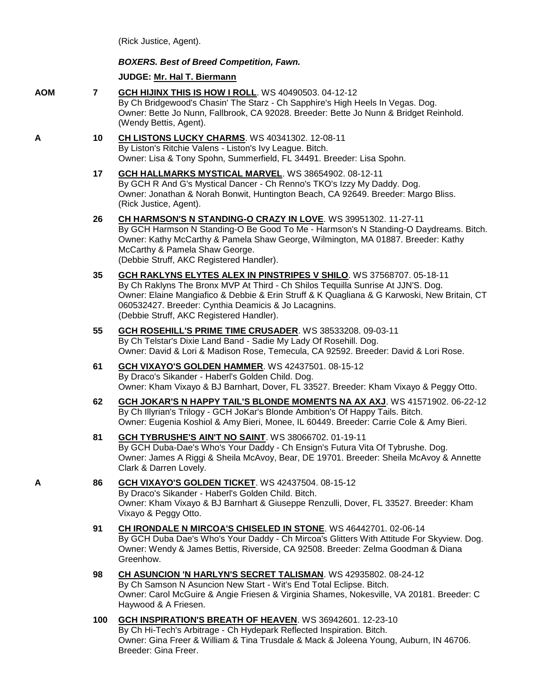(Rick Justice, Agent).

Haywood & A Friesen.

## *BOXERS. Best of Breed Competition, Fawn.*

## **JUDGE: [Mr. Hal T. Biermann](http://www.infodog.com/judges/3643/juddat.htm)**

- **AOM 7 [GCH HIJINX THIS IS HOW I ROLL](http://www.infodog.com/files/bdogrsl1.prg;makc=WS%2040490503;mdog=GCH_HiJinx_This_Is_How_I_Roll;wins=all)**. WS 40490503. 04-12-12 By Ch Bridgewood's Chasin' The Starz - Ch Sapphire's High Heels In Vegas. Dog. Owner: Bette Jo Nunn, Fallbrook, CA 92028. Breeder: Bette Jo Nunn & Bridget Reinhold. (Wendy Bettis, Agent). **A 10 [CH LISTONS LUCKY CHARMS](http://www.infodog.com/files/bdogrsl1.prg;makc=WS%2040341302;mdog=Ch_Listons_Lucky_Charms;wins=all)**. WS 40341302. 12-08-11 By Liston's Ritchie Valens - Liston's Ivy League. Bitch. Owner: Lisa & Tony Spohn, Summerfield, FL 34491. Breeder: Lisa Spohn. **17 [GCH HALLMARKS MYSTICAL MARVEL](http://www.infodog.com/files/bdogrsl1.prg;makc=WS%2038654902;mdog=GCH_Hallmarks_Mystical_Marvel;wins=all)**. WS 38654902. 08-12-11 By GCH R And G's Mystical Dancer - Ch Renno's TKO's Izzy My Daddy. Dog. Owner: Jonathan & Norah Bonwit, Huntington Beach, CA 92649. Breeder: Margo Bliss. (Rick Justice, Agent). **26 [CH HARMSON'S N STANDING-O CRAZY IN LOVE](http://www.infodog.com/files/bdogrsl1.prg;makc=WS%2039951302;mdog=Ch_Harmson_s_N_Standing-O_Crazy_In_Love;wins=all)**. WS 39951302. 11-27-11 By GCH Harmson N Standing-O Be Good To Me - Harmson's N Standing-O Daydreams. Bitch. Owner: Kathy McCarthy & Pamela Shaw George, Wilmington, MA 01887. Breeder: Kathy McCarthy & Pamela Shaw George. (Debbie Struff, AKC Registered Handler). **35 [GCH RAKLYNS ELYTES ALEX IN PINSTRIPES V SHILO](http://www.infodog.com/files/bdogrsl1.prg;makc=WS%2037568707;mdog=GCH_Raklyns_Elytes_Alex_In_Pinstripes_V_Shilo;wins=all)**. WS 37568707. 05-18-11 By Ch Raklyns The Bronx MVP At Third - Ch Shilos Tequilla Sunrise At JJN'S. Dog. Owner: Elaine Mangiafico & Debbie & Erin Struff & K Quagliana & G Karwoski, New Britain, CT 060532427. Breeder: Cynthia Deamicis & Jo Lacagnins. (Debbie Struff, AKC Registered Handler). **55 [GCH ROSEHILL'S PRIME TIME CRUSADER](http://www.infodog.com/files/bdogrsl1.prg;makc=WS%2038533208;mdog=GCH_Rosehill_s_Prime_Time_Crusader;wins=all)**. WS 38533208. 09-03-11 By Ch Telstar's Dixie Land Band - Sadie My Lady Of Rosehill. Dog. Owner: David & Lori & Madison Rose, Temecula, CA 92592. Breeder: David & Lori Rose. **61 [GCH VIXAYO'S GOLDEN HAMMER](http://www.infodog.com/files/bdogrsl1.prg;makc=WS%2042437501;mdog=GCH_Vixayo_s_Golden_Hammer;wins=all)**. WS 42437501. 08-15-12 By Draco's Sikander - Haberl's Golden Child. Dog. Owner: Kham Vixayo & BJ Barnhart, Dover, FL 33527. Breeder: Kham Vixayo & Peggy Otto. **62 [GCH JOKAR'S N HAPPY TAIL'S BLONDE MOMENTS NA AX AXJ](http://www.infodog.com/files/bdogrsl1.prg;makc=WS%2041571902;mdog=GCH_JoKar_s_N_Happy_Tail_s_Blonde_Moments_NA_AX_AXJ;wins=all)**. WS 41571902. 06-22-12 By Ch Illyrian's Trilogy - GCH JoKar's Blonde Ambition's Of Happy Tails. Bitch. Owner: Eugenia Koshiol & Amy Bieri, Monee, IL 60449. Breeder: Carrie Cole & Amy Bieri. **81 [GCH TYBRUSHE'S AIN'T NO SAINT](http://www.infodog.com/files/bdogrsl1.prg;makc=WS%2038066702;mdog=GCH_Tybrushe_s_Ain_t_No_Saint;wins=all)**. WS 38066702. 01-19-11 By GCH Duba-Dae's Who's Your Daddy - Ch Ensign's Futura Vita Of Tybrushe. Dog. Owner: James A Riggi & Sheila McAvoy, Bear, DE 19701. Breeder: Sheila McAvoy & Annette Clark & Darren Lovely. **A 86 [GCH VIXAYO'S GOLDEN TICKET](http://www.infodog.com/files/bdogrsl1.prg;makc=WS%2042437504;mdog=GCH_Vixayo_s_Golden_Ticket;wins=all)**. WS 42437504. 08-15-12 By Draco's Sikander - Haberl's Golden Child. Bitch. Owner: Kham Vixayo & BJ Barnhart & Giuseppe Renzulli, Dover, FL 33527. Breeder: Kham Vixayo & Peggy Otto. **91 [CH IRONDALE N MIRCOA'S CHISELED IN STONE](http://www.infodog.com/files/bdogrsl1.prg;makc=WS%2046442701;mdog=Ch_Irondale_N_Mircoa_s_Chiseled_In_Stone;wins=all)**. WS 46442701. 02-06-14 By GCH Duba Dae's Who's Your Daddy - Ch Mircoa's Glitters With Attitude For Skyview. Dog. Owner: Wendy & James Bettis, Riverside, CA 92508. Breeder: Zelma Goodman & Diana Greenhow. **98 [CH ASUNCION 'N HARLYN'S SECRET TALISMAN](http://www.infodog.com/files/bdogrsl1.prg;makc=WS%2042935802;mdog=Ch_Asuncion__N_Harlyn_s_Secret_Talisman;wins=all)**. WS 42935802. 08-24-12 By Ch Samson N Asuncion New Start - Wit's End Total Eclipse. Bitch. Owner: Carol McGuire & Angie Friesen & Virginia Shames, Nokesville, VA 20181. Breeder: C
	- **100 [GCH INSPIRATION'S BREATH OF HEAVEN](http://www.infodog.com/files/bdogrsl1.prg;makc=WS%2036942601;mdog=GCH_Inspiration_s_Breath_Of_Heaven;wins=all)**. WS 36942601. 12-23-10 By Ch Hi-Tech's Arbitrage - Ch Hydepark Reflected Inspiration. Bitch. Owner: Gina Freer & William & Tina Trusdale & Mack & Joleena Young, Auburn, IN 46706. Breeder: Gina Freer.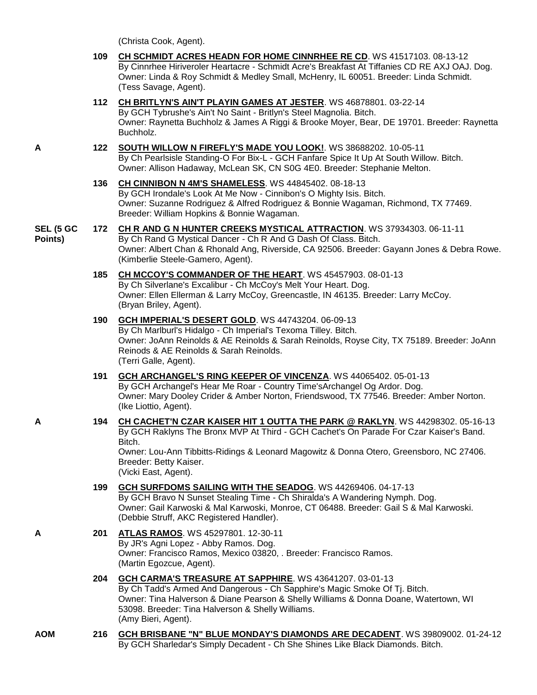|                      |     | (Christa Cook, Agent).                                                                                                                                                                                                                                                                                                        |
|----------------------|-----|-------------------------------------------------------------------------------------------------------------------------------------------------------------------------------------------------------------------------------------------------------------------------------------------------------------------------------|
|                      | 109 | CH SCHMIDT ACRES HEADN FOR HOME CINNRHEE RE CD. WS 41517103. 08-13-12<br>By Cinnrhee Hiriveroler Heartacre - Schmidt Acre's Breakfast At Tiffanies CD RE AXJ OAJ. Dog.<br>Owner: Linda & Roy Schmidt & Medley Small, McHenry, IL 60051. Breeder: Linda Schmidt.<br>(Tess Savage, Agent).                                      |
|                      |     | 112 CH BRITLYN'S AIN'T PLAYIN GAMES AT JESTER. WS 46878801. 03-22-14<br>By GCH Tybrushe's Ain't No Saint - Britlyn's Steel Magnolia. Bitch.<br>Owner: Raynetta Buchholz & James A Riggi & Brooke Moyer, Bear, DE 19701. Breeder: Raynetta<br>Buchholz.                                                                        |
| Α                    | 122 | SOUTH WILLOW N FIREFLY'S MADE YOU LOOK!. WS 38688202. 10-05-11<br>By Ch Pearlsisle Standing-O For Bix-L - GCH Fanfare Spice It Up At South Willow. Bitch.<br>Owner: Allison Hadaway, McLean SK, CN S0G 4E0. Breeder: Stephanie Melton.                                                                                        |
|                      | 136 | CH CINNIBON N 4M'S SHAMELESS. WS 44845402. 08-18-13<br>By GCH Irondale's Look At Me Now - Cinnibon's O Mighty Isis. Bitch.<br>Owner: Suzanne Rodriguez & Alfred Rodriguez & Bonnie Wagaman, Richmond, TX 77469.<br>Breeder: William Hopkins & Bonnie Wagaman.                                                                 |
| SEL (5 GC<br>Points) |     | 172 CH R AND G N HUNTER CREEKS MYSTICAL ATTRACTION. WS 37934303. 06-11-11<br>By Ch Rand G Mystical Dancer - Ch R And G Dash Of Class. Bitch.<br>Owner: Albert Chan & Rhonald Ang, Riverside, CA 92506. Breeder: Gayann Jones & Debra Rowe.<br>(Kimberlie Steele-Gamero, Agent).                                               |
|                      | 185 | CH MCCOY'S COMMANDER OF THE HEART. WS 45457903. 08-01-13<br>By Ch Silverlane's Excalibur - Ch McCoy's Melt Your Heart. Dog.<br>Owner: Ellen Ellerman & Larry McCoy, Greencastle, IN 46135. Breeder: Larry McCoy.<br>(Bryan Briley, Agent).                                                                                    |
|                      | 190 | GCH IMPERIAL'S DESERT GOLD. WS 44743204. 06-09-13<br>By Ch Marlburl's Hidalgo - Ch Imperial's Texoma Tilley. Bitch.<br>Owner: JoAnn Reinolds & AE Reinolds & Sarah Reinolds, Royse City, TX 75189. Breeder: JoAnn<br>Reinods & AE Reinolds & Sarah Reinolds.<br>(Terri Galle, Agent).                                         |
|                      | 191 | <b>GCH ARCHANGEL'S RING KEEPER OF VINCENZA. WS 44065402. 05-01-13</b><br>By GCH Archangel's Hear Me Roar - Country Time's Archangel Og Ardor. Dog.<br>Owner: Mary Dooley Crider & Amber Norton, Friendswood, TX 77546. Breeder: Amber Norton.<br>(Ike Liottio, Agent).                                                        |
| Α                    | 194 | CH CACHET'N CZAR KAISER HIT 1 OUTTA THE PARK @ RAKLYN. WS 44298302. 05-16-13<br>By GCH Raklyns The Bronx MVP At Third - GCH Cachet's On Parade For Czar Kaiser's Band.<br>Bitch.<br>Owner: Lou-Ann Tibbitts-Ridings & Leonard Magowitz & Donna Otero, Greensboro, NC 27406.<br>Breeder: Betty Kaiser.<br>(Vicki East, Agent). |
|                      | 199 | <b>GCH SURFDOMS SAILING WITH THE SEADOG. WS 44269406. 04-17-13</b><br>By GCH Bravo N Sunset Stealing Time - Ch Shiralda's A Wandering Nymph. Dog.<br>Owner: Gail Karwoski & Mal Karwoski, Monroe, CT 06488. Breeder: Gail S & Mal Karwoski.<br>(Debbie Struff, AKC Registered Handler).                                       |
| A                    | 201 | ATLAS RAMOS. WS 45297801. 12-30-11<br>By JR's Agni Lopez - Abby Ramos. Dog.<br>Owner: Francisco Ramos, Mexico 03820, . Breeder: Francisco Ramos.<br>(Martin Egozcue, Agent).                                                                                                                                                  |
|                      | 204 | GCH CARMA'S TREASURE AT SAPPHIRE. WS 43641207. 03-01-13<br>By Ch Tadd's Armed And Dangerous - Ch Sapphire's Magic Smoke Of Tj. Bitch.<br>Owner: Tina Halverson & Diane Pearson & Shelly Williams & Donna Doane, Watertown, WI<br>53098. Breeder: Tina Halverson & Shelly Williams.                                            |

(Amy Bieri, Agent).

**AOM 216 [GCH BRISBANE "N" BLUE MONDAY'S DIAMONDS ARE DECADENT](http://www.infodog.com/files/bdogrsl1.prg;makc=WS%2039809002;mdog=GCH_Brisbane__N__Blue_Monday_s_Diamonds_Are_Decadent;wins=all)**. WS 39809002. 01-24-12 By GCH Sharledar's Simply Decadent - Ch She Shines Like Black Diamonds. Bitch.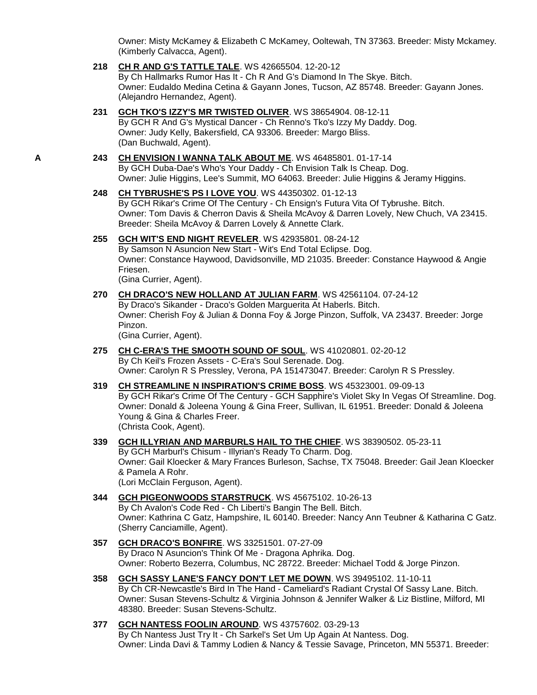Owner: Misty McKamey & Elizabeth C McKamey, Ooltewah, TN 37363. Breeder: Misty Mckamey. (Kimberly Calvacca, Agent).

**218 [CH R AND G'S TATTLE TALE](http://www.infodog.com/files/bdogrsl1.prg;makc=WS%2042665504;mdog=Ch_R_And_G_s_Tattle_Tale;wins=all)**. WS 42665504. 12-20-12

By Ch Hallmarks Rumor Has It - Ch R And G's Diamond In The Skye. Bitch. Owner: Eudaldo Medina Cetina & Gayann Jones, Tucson, AZ 85748. Breeder: Gayann Jones. (Alejandro Hernandez, Agent).

- **231 [GCH TKO'S IZZY'S MR TWISTED OLIVER](http://www.infodog.com/files/bdogrsl1.prg;makc=WS%2038654904;mdog=GCH_TKO_s_Izzy_s_Mr_Twisted_Oliver;wins=all)**. WS 38654904. 08-12-11 By GCH R And G's Mystical Dancer - Ch Renno's Tko's Izzy My Daddy. Dog. Owner: Judy Kelly, Bakersfield, CA 93306. Breeder: Margo Bliss. (Dan Buchwald, Agent).
- **A 243 [CH ENVISION I WANNA TALK ABOUT ME](http://www.infodog.com/files/bdogrsl1.prg;makc=WS%2046485801;mdog=Ch_Envision_I_Wanna_Talk_About_Me;wins=all)**. WS 46485801. 01-17-14 By GCH Duba-Dae's Who's Your Daddy - Ch Envision Talk Is Cheap. Dog. Owner: Julie Higgins, Lee's Summit, MO 64063. Breeder: Julie Higgins & Jeramy Higgins.
	- **248 [CH TYBRUSHE'S PS I LOVE YOU](http://www.infodog.com/files/bdogrsl1.prg;makc=WS%2044350302;mdog=Ch_Tybrushe_s_PS_I_Love_You;wins=all)**. WS 44350302. 01-12-13 By GCH Rikar's Crime Of The Century - Ch Ensign's Futura Vita Of Tybrushe. Bitch. Owner: Tom Davis & Cherron Davis & Sheila McAvoy & Darren Lovely, New Chuch, VA 23415. Breeder: Sheila McAvoy & Darren Lovely & Annette Clark.
	- **255 [GCH WIT'S END NIGHT REVELER](http://www.infodog.com/files/bdogrsl1.prg;makc=WS%2042935801;mdog=GCH_Wit_s_End_Night_Reveler;wins=all)**. WS 42935801. 08-24-12 By Samson N Asuncion New Start - Wit's End Total Eclipse. Dog. Owner: Constance Haywood, Davidsonville, MD 21035. Breeder: Constance Haywood & Angie Friesen. (Gina Currier, Agent).

**270 [CH DRACO'S NEW HOLLAND AT JULIAN FARM](http://www.infodog.com/files/bdogrsl1.prg;makc=WS%2042561104;mdog=Ch_Draco_s_New_Holland_At_Julian_Farm;wins=all)**. WS 42561104. 07-24-12 By Draco's Sikander - Draco's Golden Marguerita At Haberls. Bitch. Owner: Cherish Foy & Julian & Donna Foy & Jorge Pinzon, Suffolk, VA 23437. Breeder: Jorge Pinzon.

(Gina Currier, Agent).

- **275 [CH C-ERA'S THE SMOOTH SOUND OF SOUL](http://www.infodog.com/files/bdogrsl1.prg;makc=WS%2041020801;mdog=Ch_C-Era_s_The_Smooth_Sound_Of_Soul;wins=all)**. WS 41020801. 02-20-12 By Ch Keil's Frozen Assets - C-Era's Soul Serenade. Dog. Owner: Carolyn R S Pressley, Verona, PA 151473047. Breeder: Carolyn R S Pressley.
- **319 [CH STREAMLINE N INSPIRATION'S CRIME BOSS](http://www.infodog.com/files/bdogrsl1.prg;makc=WS%2045323001;mdog=Ch_Streamline_N_Inspiration_s_Crime_Boss;wins=all)**. WS 45323001. 09-09-13 By GCH Rikar's Crime Of The Century - GCH Sapphire's Violet Sky In Vegas Of Streamline. Dog. Owner: Donald & Joleena Young & Gina Freer, Sullivan, IL 61951. Breeder: Donald & Joleena Young & Gina & Charles Freer. (Christa Cook, Agent).
- **339 [GCH ILLYRIAN AND MARBURLS HAIL TO THE CHIEF](http://www.infodog.com/files/bdogrsl1.prg;makc=WS%2038390502;mdog=GCH_Illyrian_And_Marburls_Hail_To_The_Chief;wins=all)**. WS 38390502. 05-23-11 By GCH Marburl's Chisum - Illyrian's Ready To Charm. Dog. Owner: Gail Kloecker & Mary Frances Burleson, Sachse, TX 75048. Breeder: Gail Jean Kloecker & Pamela A Rohr. (Lori McClain Ferguson, Agent).
- **344 [GCH PIGEONWOODS STARSTRUCK](http://www.infodog.com/files/bdogrsl1.prg;makc=WS%2045675102;mdog=GCH_Pigeonwoods_Starstruck;wins=all)**. WS 45675102. 10-26-13 By Ch Avalon's Code Red - Ch Liberti's Bangin The Bell. Bitch. Owner: Kathrina C Gatz, Hampshire, IL 60140. Breeder: Nancy Ann Teubner & Katharina C Gatz. (Sherry Canciamille, Agent).
- **357 [GCH DRACO'S BONFIRE](http://www.infodog.com/files/bdogrsl1.prg;makc=WS%2033251501;mdog=GCH_Draco_s_Bonfire;wins=all)**. WS 33251501. 07-27-09 By Draco N Asuncion's Think Of Me - Dragona Aphrika. Dog. Owner: Roberto Bezerra, Columbus, NC 28722. Breeder: Michael Todd & Jorge Pinzon.
- **358 [GCH SASSY LANE'S FANCY DON'T LET ME DOWN](http://www.infodog.com/files/bdogrsl1.prg;makc=WS%2039495102;mdog=GCH_Sassy_Lane_s_Fancy_Don_t_Let_Me_Down;wins=all)**. WS 39495102. 11-10-11 By Ch CR-Newcastle's Bird In The Hand - Cameliard's Radiant Crystal Of Sassy Lane. Bitch. Owner: Susan Stevens-Schultz & Virginia Johnson & Jennifer Walker & Liz Bistline, Milford, MI 48380. Breeder: Susan Stevens-Schultz.
- **377 [GCH NANTESS FOOLIN AROUND](http://www.infodog.com/files/bdogrsl1.prg;makc=WS%2043757602;mdog=GCH_NANTESS_Foolin_Around;wins=all)**. WS 43757602. 03-29-13 By Ch Nantess Just Try It - Ch Sarkel's Set Um Up Again At Nantess. Dog. Owner: Linda Davi & Tammy Lodien & Nancy & Tessie Savage, Princeton, MN 55371. Breeder: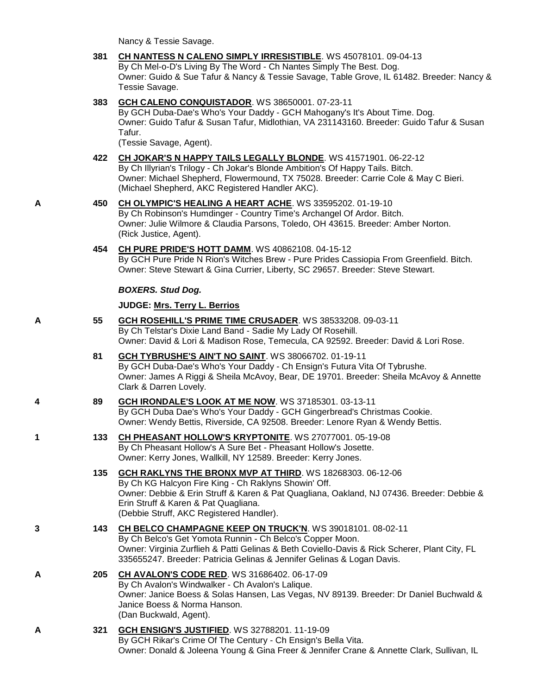- Nancy & Tessie Savage. **381 [CH NANTESS N CALENO SIMPLY IRRESISTIBLE](http://www.infodog.com/files/bdogrsl1.prg;makc=WS%2045078101;mdog=Ch_Nantess_N_Caleno_Simply_Irresistible;wins=all)**. WS 45078101. 09-04-13 By Ch Mel-o-D's Living By The Word - Ch Nantes Simply The Best. Dog. Owner: Guido & Sue Tafur & Nancy & Tessie Savage, Table Grove, IL 61482. Breeder: Nancy & Tessie Savage. **383 [GCH CALENO CONQUISTADOR](http://www.infodog.com/files/bdogrsl1.prg;makc=WS%2038650001;mdog=GCH_Caleno_Conquistador;wins=all)**. WS 38650001. 07-23-11 By GCH Duba-Dae's Who's Your Daddy - GCH Mahogany's It's About Time. Dog. Owner: Guido Tafur & Susan Tafur, Midlothian, VA 231143160. Breeder: Guido Tafur & Susan Tafur. (Tessie Savage, Agent). **422 CH JOKAR'S N HAPPY [TAILS LEGALLY BLONDE](http://www.infodog.com/files/bdogrsl1.prg;makc=WS%2041571901;mdog=Ch_Jokar_s_N_Happy_Tails_Legally_Blonde;wins=all)**. WS 41571901. 06-22-12 By Ch Illyrian's Trilogy - Ch Jokar's Blonde Ambition's Of Happy Tails. Bitch. Owner: Michael Shepherd, Flowermound, TX 75028. Breeder: Carrie Cole & May C Bieri. (Michael Shepherd, AKC Registered Handler AKC). **A 450 [CH OLYMPIC'S HEALING A HEART ACHE](http://www.infodog.com/files/bdogrsl1.prg;makc=WS%2033595202;mdog=Ch_Olympic_s_Healing_A_Heart_Ache;wins=all)**. WS 33595202. 01-19-10 By Ch Robinson's Humdinger - Country Time's Archangel Of Ardor. Bitch. Owner: Julie Wilmore & Claudia Parsons, Toledo, OH 43615. Breeder: Amber Norton. (Rick Justice, Agent). **454 [CH PURE PRIDE'S HOTT](http://www.infodog.com/files/bdogrsl1.prg;makc=WS%2040862108;mdog=Ch_Pure_Pride_s_Hott_Damm;wins=all) DAMM**. WS 40862108. 04-15-12 By GCH Pure Pride N Rion's Witches Brew - Pure Prides Cassiopia From Greenfield. Bitch. Owner: Steve Stewart & Gina Currier, Liberty, SC 29657. Breeder: Steve Stewart. *BOXERS. Stud Dog.* **JUDGE: [Mrs. Terry L. Berrios](http://www.infodog.com/judges/7393/juddat.htm) A 55 [GCH ROSEHILL'S PRIME TIME CRUSADER](http://www.infodog.com/files/bdogrsl1.prg;makc=WS%2038533208;mdog=GCH_Rosehill_s_Prime_Time_Crusader;wins=all)**. WS 38533208. 09-03-11 By Ch Telstar's Dixie Land Band - Sadie My Lady Of Rosehill. Owner: David & Lori & Madison Rose, Temecula, CA 92592. Breeder: David & Lori Rose. **81 [GCH TYBRUSHE'S AIN'T NO SAINT](http://www.infodog.com/files/bdogrsl1.prg;makc=WS%2038066702;mdog=GCH_Tybrushe_s_Ain_t_No_Saint;wins=all)**. WS 38066702. 01-19-11 By GCH Duba-Dae's Who's Your Daddy - Ch Ensign's Futura Vita Of Tybrushe. Owner: James A Riggi & Sheila McAvoy, Bear, DE 19701. Breeder: Sheila McAvoy & Annette Clark & Darren Lovely. **4 89 [GCH IRONDALE'S LOOK AT ME NOW](http://www.infodog.com/files/bdogrsl1.prg;makc=WS%2037185301;mdog=GCH_Irondale_s_Look_At_Me_Now;wins=all)**. WS 37185301. 03-13-11 By GCH Duba Dae's Who's Your Daddy - GCH Gingerbread's Christmas Cookie. Owner: Wendy Bettis, Riverside, CA 92508. Breeder: Lenore Ryan & Wendy Bettis. **1 133 [CH PHEASANT HOLLOW'S KRYPTONITE](http://www.infodog.com/files/bdogrsl1.prg;makc=WS%2027077001;mdog=Ch_Pheasant_Hollow_s_Kryptonite;wins=all)**. WS 27077001. 05-19-08 By Ch Pheasant Hollow's A Sure Bet - Pheasant Hollow's Josette. Owner: Kerry Jones, Wallkill, NY 12589. Breeder: Kerry Jones. **135 [GCH RAKLYNS THE BRONX MVP AT THIRD](http://www.infodog.com/files/bdogrsl1.prg;makc=WS%2018268303;mdog=GCH_Raklyns_The_Bronx_MVP_At_Third;wins=all)**. WS 18268303. 06-12-06 By Ch KG Halcyon Fire King - Ch Raklyns Showin' Off. Owner: Debbie & Erin Struff & Karen & Pat Quagliana, Oakland, NJ 07436. Breeder: Debbie & Erin Struff & Karen & Pat Quagliana. (Debbie Struff, AKC Registered Handler). **3 143 [CH BELCO CHAMPAGNE KEEP ON TRUCK'N](http://www.infodog.com/files/bdogrsl1.prg;makc=WS%2039018101;mdog=Ch_Belco_Champagne_Keep_On_Truck_n;wins=all)**. WS 39018101. 08-02-11 By Ch Belco's Get Yomota Runnin - Ch Belco's Copper Moon. Owner: Virginia Zurflieh & Patti Gelinas & Beth Coviello-Davis & Rick Scherer, Plant City, FL 335655247. Breeder: Patricia Gelinas & Jennifer Gelinas & Logan Davis. **A 205 [CH AVALON'S CODE RED](http://www.infodog.com/files/bdogrsl1.prg;makc=WS%2031686402;mdog=Ch_Avalon_s_Code_Red;wins=all)**. WS 31686402. 06-17-09 By Ch Avalon's Windwalker - Ch Avalon's Lalique. Owner: Janice Boess & Solas Hansen, Las Vegas, NV 89139. Breeder: Dr Daniel Buchwald &
- **A 321 [GCH ENSIGN'S JUSTIFIED](http://www.infodog.com/files/bdogrsl1.prg;makc=WS%2032788201;mdog=GCH_Ensign_s_Justified;wins=all)**. WS 32788201. 11-19-09 By GCH Rikar's Crime Of The Century - Ch Ensign's Bella Vita. Owner: Donald & Joleena Young & Gina Freer & Jennifer Crane & Annette Clark, Sullivan, IL

Janice Boess & Norma Hanson.

(Dan Buckwald, Agent).